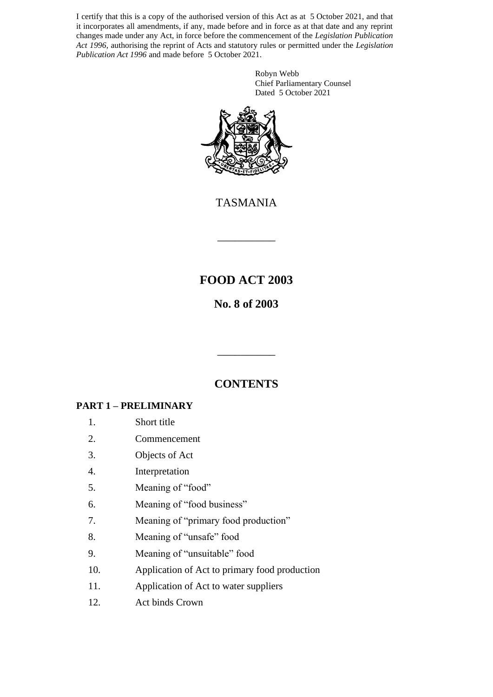I certify that this is a copy of the authorised version of this Act as at 5 October 2021, and that it incorporates all amendments, if any, made before and in force as at that date and any reprint changes made under any Act, in force before the commencement of the *Legislation Publication Act 1996*, authorising the reprint of Acts and statutory rules or permitted under the *Legislation Publication Act 1996* and made before 5 October 2021.

> Robyn Webb Chief Parliamentary Counsel Dated 5 October 2021



TASMANIA

\_\_\_\_\_\_\_\_\_\_

# **FOOD ACT 2003**

# **No. 8 of 2003**

# **CONTENTS**

\_\_\_\_\_\_\_\_\_\_

# **PART 1 – PRELIMINARY**

- 1. Short title
- 2. Commencement
- 3. Objects of Act
- 4. Interpretation
- 5. Meaning of "food"
- 6. Meaning of "food business"
- 7. Meaning of "primary food production"
- 8. Meaning of "unsafe" food
- 9. Meaning of "unsuitable" food
- 10. Application of Act to primary food production
- 11. Application of Act to water suppliers
- 12. Act binds Crown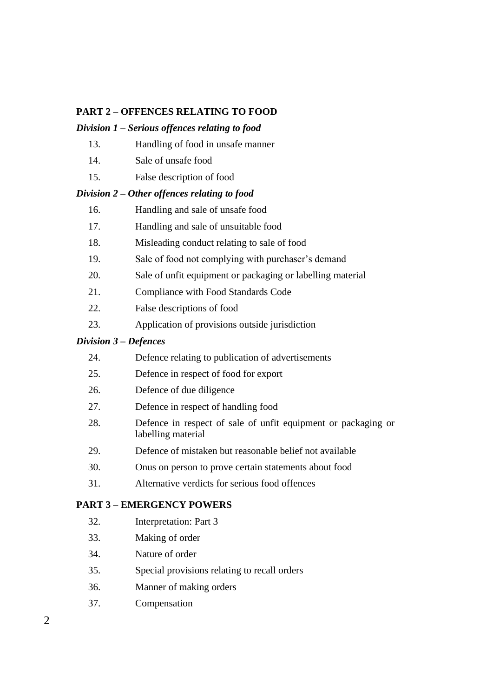## **PART 2 – OFFENCES RELATING TO FOOD**

### *Division 1 – Serious offences relating to food*

- 13. Handling of food in unsafe manner
- 14. Sale of unsafe food
- 15. False description of food

### *Division 2 – Other offences relating to food*

- 16. Handling and sale of unsafe food
- 17. Handling and sale of unsuitable food
- 18. Misleading conduct relating to sale of food
- 19. Sale of food not complying with purchaser's demand
- 20. Sale of unfit equipment or packaging or labelling material
- 21. Compliance with Food Standards Code
- 22. False descriptions of food
- 23. Application of provisions outside jurisdiction

## *Division 3 – Defences*

- 24. Defence relating to publication of advertisements
- 25. Defence in respect of food for export
- 26. Defence of due diligence
- 27. Defence in respect of handling food
- 28. Defence in respect of sale of unfit equipment or packaging or labelling material
- 29. Defence of mistaken but reasonable belief not available
- 30. Onus on person to prove certain statements about food
- 31. Alternative verdicts for serious food offences

### **PART 3 – EMERGENCY POWERS**

- 32. Interpretation: Part 3
- 33. Making of order
- 34. Nature of order
- 35. Special provisions relating to recall orders
- 36. Manner of making orders
- 37. Compensation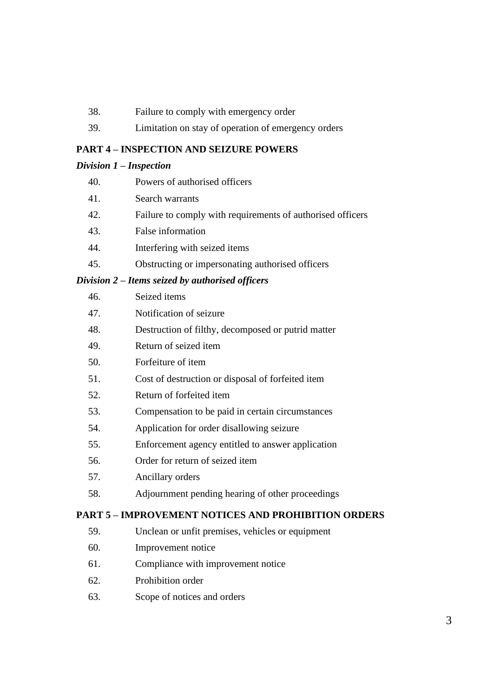- 38. Failure to comply with emergency order
- 39. Limitation on stay of operation of emergency orders

### **PART 4 – INSPECTION AND SEIZURE POWERS**

### *Division 1 – Inspection*

| 40. | Powers of authorised officers |
|-----|-------------------------------|
|-----|-------------------------------|

- 41. Search warrants
- 42. Failure to comply with requirements of authorised officers
- 43. False information
- 44. Interfering with seized items
- 45. Obstructing or impersonating authorised officers

### *Division 2 – Items seized by authorised officers*

| 46. | Seized items                                       |
|-----|----------------------------------------------------|
| 47. | Notification of seizure                            |
| 48. | Destruction of filthy, decomposed or putrid matter |
| 49. | Return of seized item                              |
| 50. | Forfeiture of item                                 |
| 51. | Cost of destruction or disposal of forfeited item  |
| 52. | Return of forfeited item                           |
| 53. | Compensation to be paid in certain circumstances   |
| 54. | Application for order disallowing seizure          |
| 55. | Enforcement agency entitled to answer application  |
| 56. | Order for return of seized item                    |
| 57. | Ancillary orders                                   |

58. Adjournment pending hearing of other proceedings

## **PART 5 – IMPROVEMENT NOTICES AND PROHIBITION ORDERS**

- 59. Unclean or unfit premises, vehicles or equipment
- 60. Improvement notice
- 61. Compliance with improvement notice
- 62. Prohibition order
- 63. Scope of notices and orders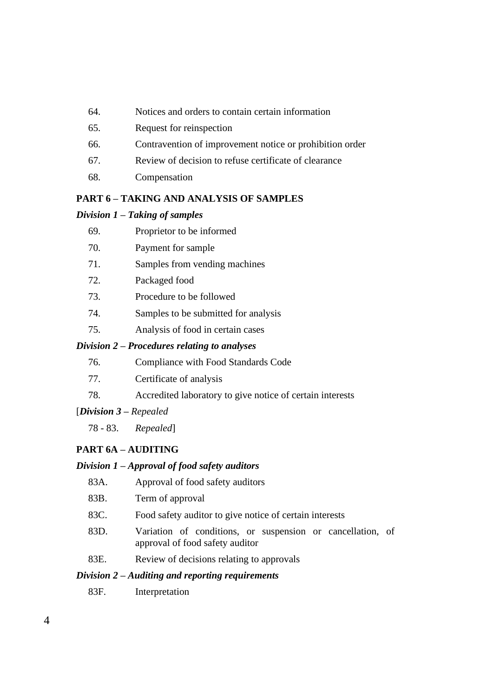- 64. Notices and orders to contain certain information
- 65. Request for reinspection
- 66. Contravention of improvement notice or prohibition order
- 67. Review of decision to refuse certificate of clearance
- 68. Compensation

### **PART 6 – TAKING AND ANALYSIS OF SAMPLES**

### *Division 1 – Taking of samples*

| 69. | Proprietor to be informed |  |
|-----|---------------------------|--|
|     |                           |  |

- 70. Payment for sample
- 71. Samples from vending machines
- 72. Packaged food
- 73. Procedure to be followed
- 74. Samples to be submitted for analysis
- 75. Analysis of food in certain cases

#### *Division 2 – Procedures relating to analyses*

- 76. Compliance with Food Standards Code
- 77. Certificate of analysis
- 78. Accredited laboratory to give notice of certain interests

#### [*Division 3 – Repealed*

78 - 83. *Repealed*]

### **PART 6A – AUDITING**

### *Division 1 – Approval of food safety auditors*

- 83A. Approval of food safety auditors
- 83B. Term of approval
- 83C. Food safety auditor to give notice of certain interests
- 83D. Variation of conditions, or suspension or cancellation, of approval of food safety auditor
- 83E. Review of decisions relating to approvals

### *Division 2 – Auditing and reporting requirements*

83F. Interpretation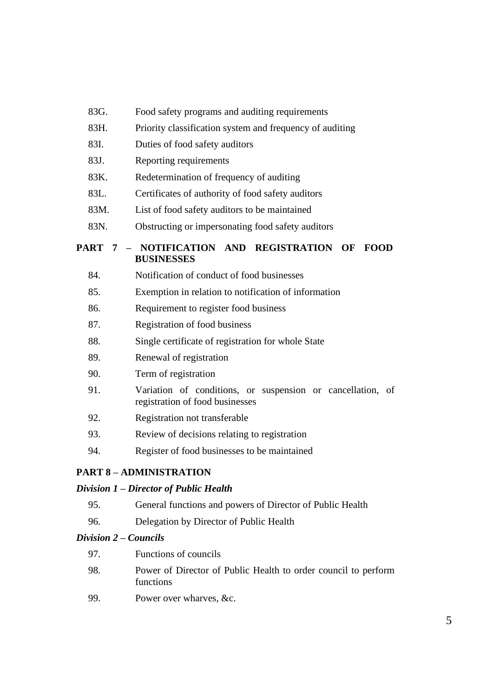| 83G. |  | Food safety programs and auditing requirements |
|------|--|------------------------------------------------|
|------|--|------------------------------------------------|

- 83H. Priority classification system and frequency of auditing
- 83I. Duties of food safety auditors
- 83J. Reporting requirements
- 83K. Redetermination of frequency of auditing
- 83L. Certificates of authority of food safety auditors
- 83M. List of food safety auditors to be maintained
- 83N. Obstructing or impersonating food safety auditors

## **PART 7 – NOTIFICATION AND REGISTRATION OF FOOD BUSINESSES**

- 84. Notification of conduct of food businesses
- 85. Exemption in relation to notification of information
- 86. Requirement to register food business
- 87. Registration of food business
- 88. Single certificate of registration for whole State
- 89. Renewal of registration
- 90. Term of registration
- 91. Variation of conditions, or suspension or cancellation, of registration of food businesses
- 92. Registration not transferable
- 93. Review of decisions relating to registration
- 94. Register of food businesses to be maintained

### **PART 8 – ADMINISTRATION**

### *Division 1 – Director of Public Health*

- 95. General functions and powers of Director of Public Health
- 96. Delegation by Director of Public Health

#### *Division 2 – Councils*

| 97. | Functions of councils                                                       |
|-----|-----------------------------------------------------------------------------|
| 98. | Power of Director of Public Health to order council to perform<br>functions |

99. Power over wharves, &c.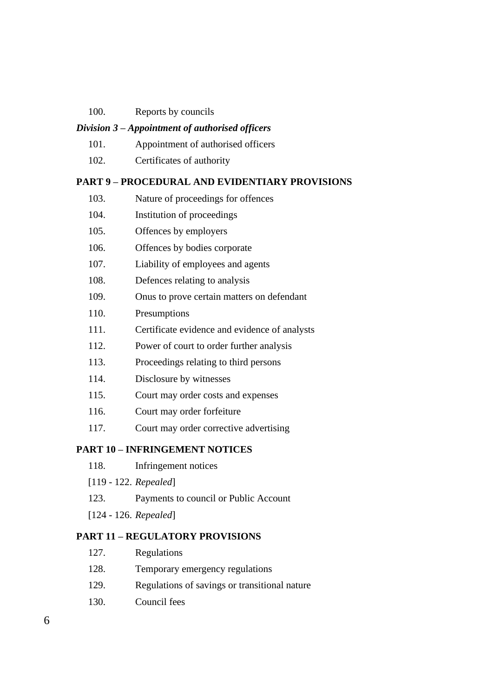100. Reports by councils

#### *Division 3 – Appointment of authorised officers*

- 101. Appointment of authorised officers
- 102. Certificates of authority

#### **PART 9 – PROCEDURAL AND EVIDENTIARY PROVISIONS**

| 103. | Nature of proceedings for offences |
|------|------------------------------------|
|------|------------------------------------|

- 104. Institution of proceedings
- 105. Offences by employers
- 106. Offences by bodies corporate
- 107. Liability of employees and agents
- 108. Defences relating to analysis
- 109. Onus to prove certain matters on defendant
- 110. Presumptions
- 111. Certificate evidence and evidence of analysts
- 112. Power of court to order further analysis
- 113. Proceedings relating to third persons
- 114. Disclosure by witnesses
- 115. Court may order costs and expenses
- 116. Court may order forfeiture
- 117. Court may order corrective advertising

#### **PART 10 – INFRINGEMENT NOTICES**

- 118. Infringement notices
- [119 122. *Repealed*]
- 123. Payments to council or Public Account
- [124 126. *Repealed*]

#### **PART 11 – REGULATORY PROVISIONS**

- 127. Regulations
- 128. Temporary emergency regulations
- 129. Regulations of savings or transitional nature
- 130. Council fees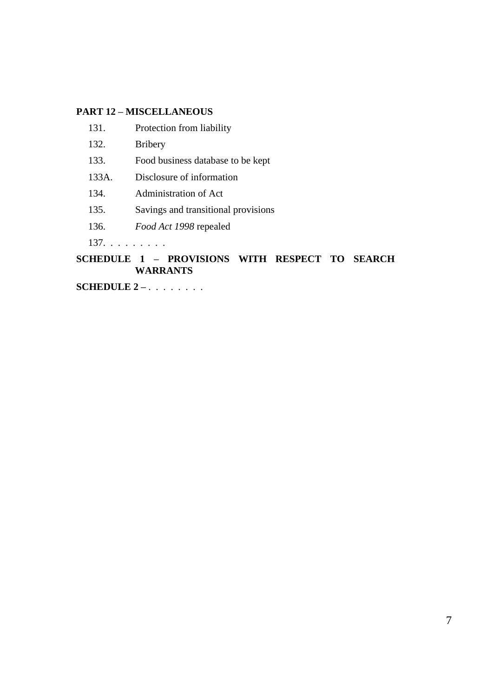### **PART 12 – MISCELLANEOUS**

- 131. Protection from liability
- 132. Bribery
- 133. Food business database to be kept
- 133A. Disclosure of information
- 134. Administration of Act
- 135. Savings and transitional provisions
- 136. *Food Act 1998* repealed

137. . . . . . . . .

## **SCHEDULE 1 – PROVISIONS WITH RESPECT TO SEARCH WARRANTS**

**SCHEDULE 2 –** . . . . . . . .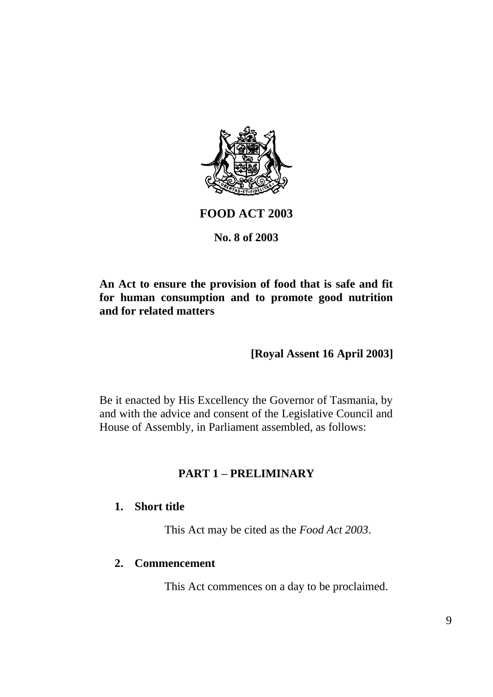

# **FOOD ACT 2003**

# **No. 8 of 2003**

# **An Act to ensure the provision of food that is safe and fit for human consumption and to promote good nutrition and for related matters**

**[Royal Assent 16 April 2003]**

Be it enacted by His Excellency the Governor of Tasmania, by and with the advice and consent of the Legislative Council and House of Assembly, in Parliament assembled, as follows:

# **PART 1 – PRELIMINARY**

# **1. Short title**

This Act may be cited as the *Food Act 2003*.

## **2. Commencement**

This Act commences on a day to be proclaimed.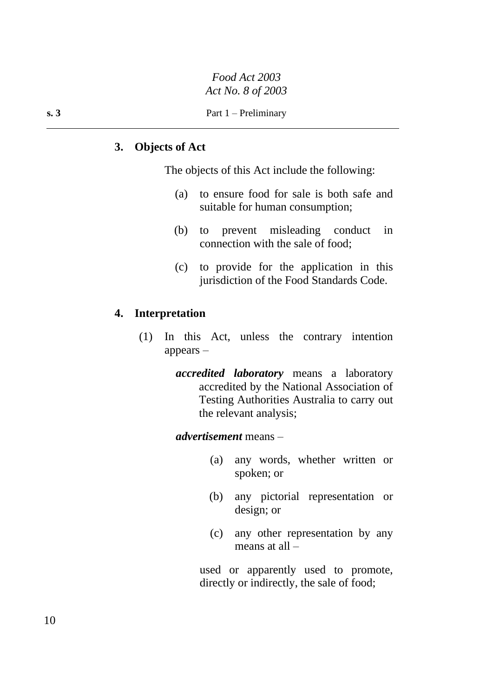# **3. Objects of Act**

The objects of this Act include the following:

- (a) to ensure food for sale is both safe and suitable for human consumption;
- (b) to prevent misleading conduct in connection with the sale of food;
- (c) to provide for the application in this jurisdiction of the Food Standards Code.

## **4. Interpretation**

- (1) In this Act, unless the contrary intention appears –
	- *accredited laboratory* means a laboratory accredited by the National Association of Testing Authorities Australia to carry out the relevant analysis;

## *advertisement* means –

- (a) any words, whether written or spoken; or
- (b) any pictorial representation or design; or
- (c) any other representation by any means at all –

used or apparently used to promote, directly or indirectly, the sale of food;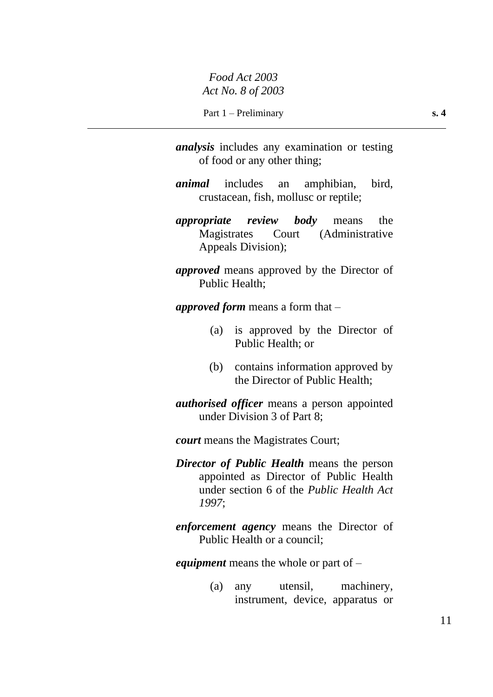- *analysis* includes any examination or testing of food or any other thing;
- *animal* includes an amphibian, bird, crustacean, fish, mollusc or reptile;
- *appropriate review body* means the Magistrates Court (Administrative Appeals Division);
- *approved* means approved by the Director of Public Health;

*approved form* means a form that –

- (a) is approved by the Director of Public Health; or
- (b) contains information approved by the Director of Public Health;
- *authorised officer* means a person appointed under Division 3 of Part 8;

*court* means the Magistrates Court;

- *Director of Public Health* means the person appointed as Director of Public Health under section 6 of the *Public Health Act 1997*;
- *enforcement agency* means the Director of Public Health or a council;

*equipment* means the whole or part of –

(a) any utensil, machinery, instrument, device, apparatus or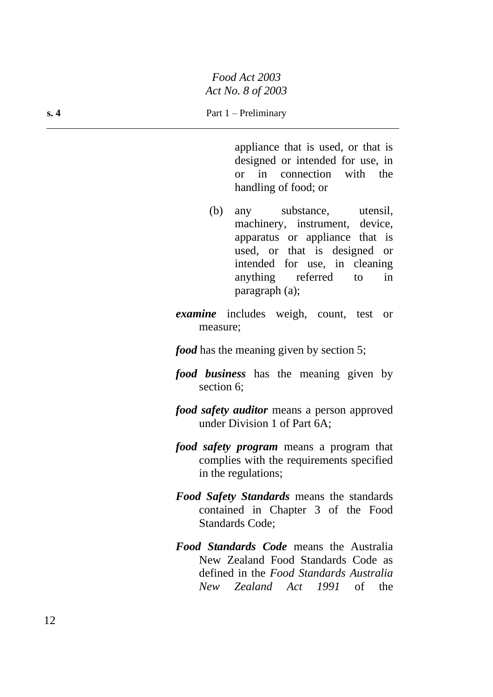appliance that is used, or that is designed or intended for use, in or in connection with the handling of food; or

- (b) any substance, utensil, machinery, instrument, device, apparatus or appliance that is used, or that is designed or intended for use, in cleaning anything referred to in paragraph (a);
- *examine* includes weigh, count, test or measure;
- *food* has the meaning given by section 5;
- *food business* has the meaning given by section 6;
- *food safety auditor* means a person approved under Division 1 of Part 6A;
- *food safety program* means a program that complies with the requirements specified in the regulations;
- *Food Safety Standards* means the standards contained in Chapter 3 of the Food Standards Code;
- *Food Standards Code* means the Australia New Zealand Food Standards Code as defined in the *Food Standards Australia New Zealand Act 1991* of the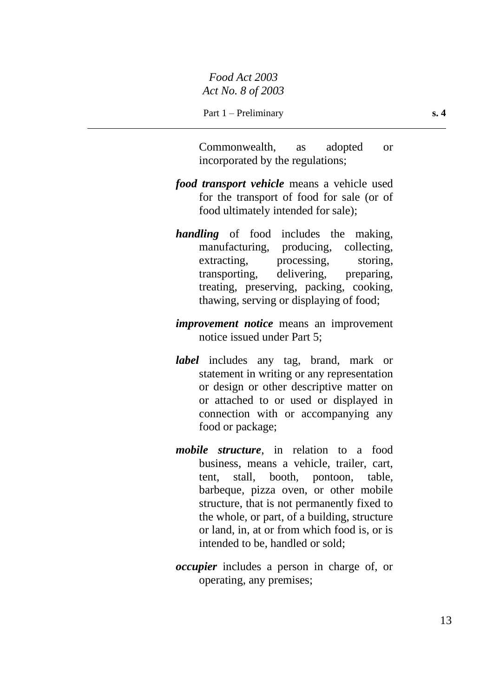Commonwealth, as adopted or incorporated by the regulations;

- *food transport vehicle* means a vehicle used for the transport of food for sale (or of food ultimately intended for sale);
- *handling* of food includes the making, manufacturing, producing, collecting, extracting, processing, storing, transporting, delivering, preparing, treating, preserving, packing, cooking, thawing, serving or displaying of food;
- *improvement notice* means an improvement notice issued under Part 5;
- *label* includes any tag, brand, mark or statement in writing or any representation or design or other descriptive matter on or attached to or used or displayed in connection with or accompanying any food or package;
- *mobile structure*, in relation to a food business, means a vehicle, trailer, cart, tent, stall, booth, pontoon, table, barbeque, pizza oven, or other mobile structure, that is not permanently fixed to the whole, or part, of a building, structure or land, in, at or from which food is, or is intended to be, handled or sold;
- *occupier* includes a person in charge of, or operating, any premises;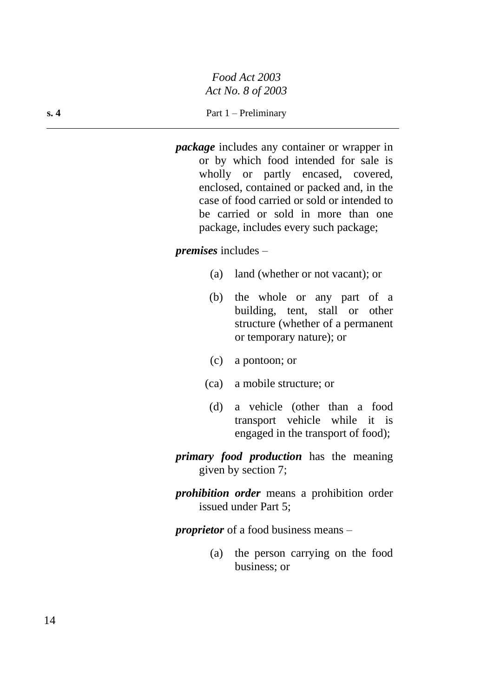### **s. 4** Part 1 – Preliminary

*package* includes any container or wrapper in or by which food intended for sale is wholly or partly encased, covered, enclosed, contained or packed and, in the case of food carried or sold or intended to be carried or sold in more than one package, includes every such package;

## *premises* includes –

- (a) land (whether or not vacant); or
- (b) the whole or any part of a building, tent, stall or other structure (whether of a permanent or temporary nature); or
- (c) a pontoon; or
- (ca) a mobile structure; or
- (d) a vehicle (other than a food transport vehicle while it is engaged in the transport of food);
- *primary food production* has the meaning given by section 7;
- *prohibition order* means a prohibition order issued under Part 5;

*proprietor* of a food business means –

(a) the person carrying on the food business; or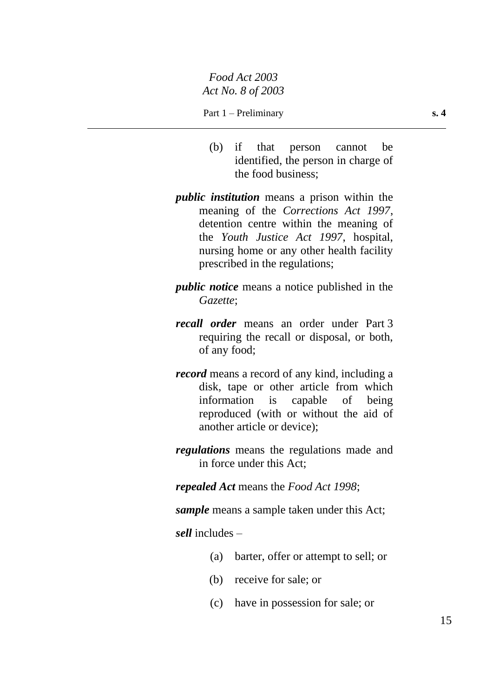- (b) if that person cannot be identified, the person in charge of the food business;
- *public institution* means a prison within the meaning of the *Corrections Act 1997*, detention centre within the meaning of the *Youth Justice Act 1997*, hospital, nursing home or any other health facility prescribed in the regulations;
- *public notice* means a notice published in the *Gazette*;
- *recall order* means an order under Part 3 requiring the recall or disposal, or both, of any food;
- *record* means a record of any kind, including a disk, tape or other article from which information is capable of being reproduced (with or without the aid of another article or device);
- *regulations* means the regulations made and in force under this Act;

*repealed Act* means the *Food Act 1998*;

*sample* means a sample taken under this Act;

*sell* includes –

- (a) barter, offer or attempt to sell; or
- (b) receive for sale; or
- (c) have in possession for sale; or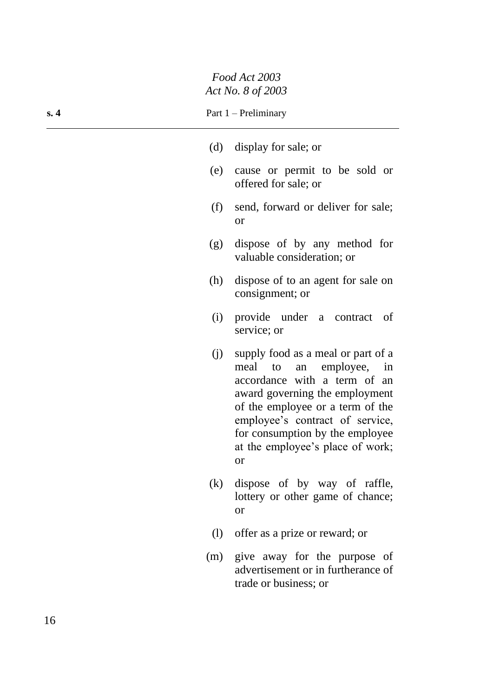| s. 4 | Part 1 – Preliminary |
|------|----------------------|
|      |                      |

|     | (d) display for sale; or                                                                                                                                                                                                                                                                      |
|-----|-----------------------------------------------------------------------------------------------------------------------------------------------------------------------------------------------------------------------------------------------------------------------------------------------|
| (e) | cause or permit to be sold or<br>offered for sale; or                                                                                                                                                                                                                                         |
| (f) | send, forward or deliver for sale;<br><b>or</b>                                                                                                                                                                                                                                               |
| (g) | dispose of by any method for<br>valuable consideration; or                                                                                                                                                                                                                                    |
| (h) | dispose of to an agent for sale on<br>consignment; or                                                                                                                                                                                                                                         |
| (i) | provide under a contract<br>of<br>service; or                                                                                                                                                                                                                                                 |
| (i) | supply food as a meal or part of a<br>to an employee, in<br>meal<br>accordance with a term of an<br>award governing the employment<br>of the employee or a term of the<br>employee's contract of service,<br>for consumption by the employee<br>at the employee's place of work;<br><b>or</b> |

- (k) dispose of by way of raffle, lottery or other game of chance; or
- (l) offer as a prize or reward; or
- (m) give away for the purpose of advertisement or in furtherance of trade or business; or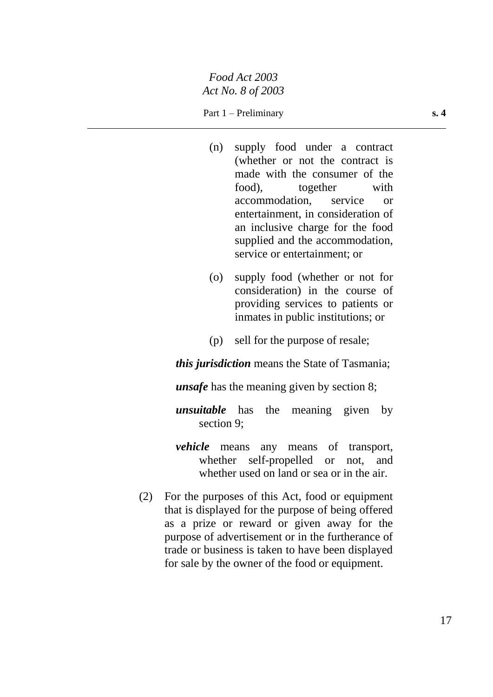### Part 1 – Preliminary **s. 4**

- (n) supply food under a contract (whether or not the contract is made with the consumer of the food), together with accommodation, service or entertainment, in consideration of an inclusive charge for the food supplied and the accommodation, service or entertainment; or
- (o) supply food (whether or not for consideration) in the course of providing services to patients or inmates in public institutions; or
- (p) sell for the purpose of resale;

*this jurisdiction* means the State of Tasmania;

*unsafe* has the meaning given by section 8;

*unsuitable* has the meaning given by section 9;

- *vehicle* means any means of transport, whether self-propelled or not, and whether used on land or sea or in the air.
- (2) For the purposes of this Act, food or equipment that is displayed for the purpose of being offered as a prize or reward or given away for the purpose of advertisement or in the furtherance of trade or business is taken to have been displayed for sale by the owner of the food or equipment.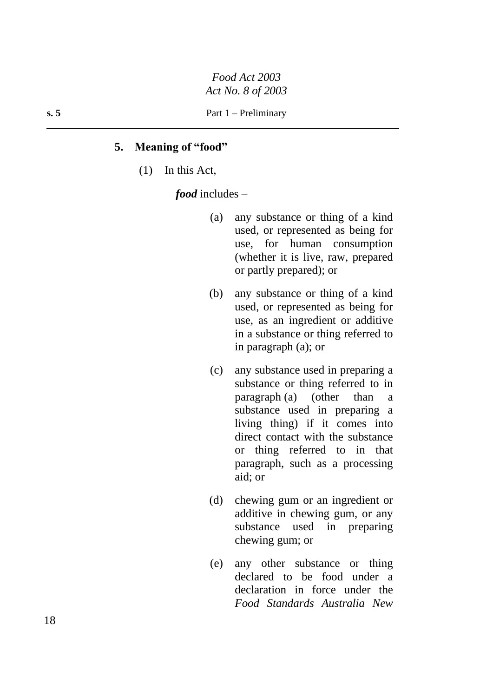### **5. Meaning of "food"**

(1) In this Act,

*food* includes –

- (a) any substance or thing of a kind used, or represented as being for use, for human consumption (whether it is live, raw, prepared or partly prepared); or
- (b) any substance or thing of a kind used, or represented as being for use, as an ingredient or additive in a substance or thing referred to in paragraph (a); or
- (c) any substance used in preparing a substance or thing referred to in paragraph (a) (other than a substance used in preparing a living thing) if it comes into direct contact with the substance or thing referred to in that paragraph, such as a processing aid; or
- (d) chewing gum or an ingredient or additive in chewing gum, or any substance used in preparing chewing gum; or
- (e) any other substance or thing declared to be food under a declaration in force under the *Food Standards Australia New*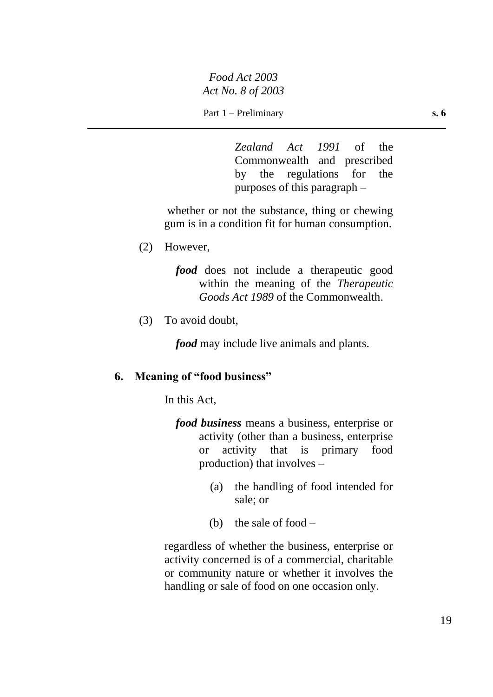Part 1 – Preliminary **s. 6** 

*Zealand Act 1991* of the Commonwealth and prescribed by the regulations for the purposes of this paragraph –

whether or not the substance, thing or chewing gum is in a condition fit for human consumption.

(2) However,

*food* does not include a therapeutic good within the meaning of the *Therapeutic Goods Act 1989* of the Commonwealth.

(3) To avoid doubt,

*food* may include live animals and plants.

# **6. Meaning of "food business"**

In this Act,

- *food business* means a business, enterprise or activity (other than a business, enterprise or activity that is primary food production) that involves –
	- (a) the handling of food intended for sale; or
	- (b) the sale of food –

regardless of whether the business, enterprise or activity concerned is of a commercial, charitable or community nature or whether it involves the handling or sale of food on one occasion only.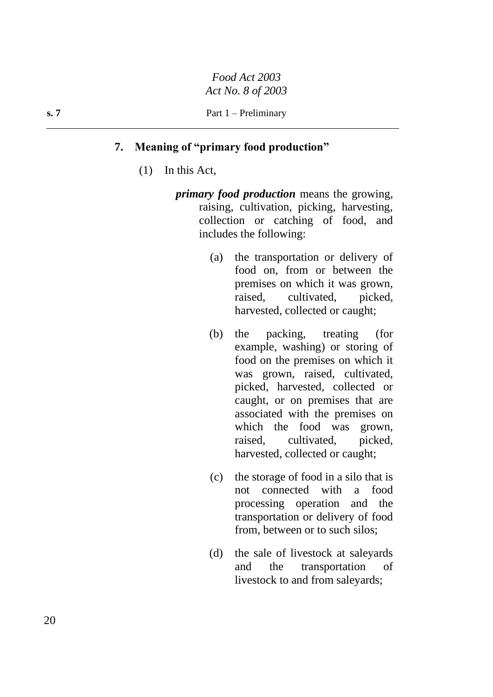# **7. Meaning of "primary food production"**

- (1) In this Act,
	- *primary food production* means the growing, raising, cultivation, picking, harvesting, collection or catching of food, and includes the following:
		- (a) the transportation or delivery of food on, from or between the premises on which it was grown, raised, cultivated, picked, harvested, collected or caught;
		- (b) the packing, treating (for example, washing) or storing of food on the premises on which it was grown, raised, cultivated, picked, harvested, collected or caught, or on premises that are associated with the premises on which the food was grown, raised, cultivated, picked, harvested, collected or caught;
		- (c) the storage of food in a silo that is not connected with a food processing operation and the transportation or delivery of food from, between or to such silos;
		- (d) the sale of livestock at saleyards and the transportation of livestock to and from saleyards;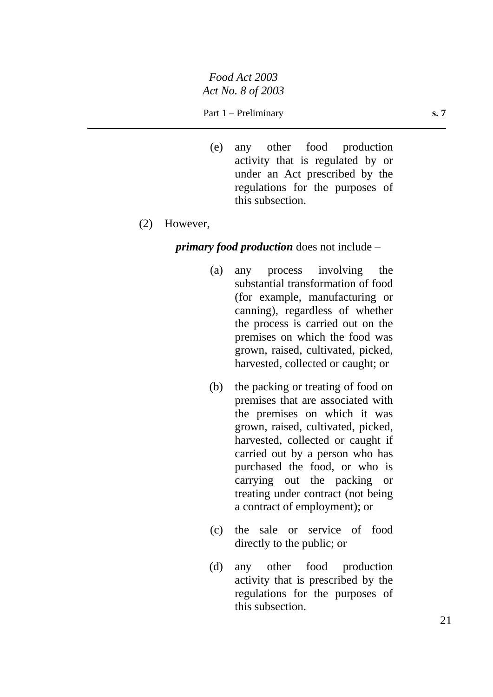### Part 1 – Preliminary **s. 7**

(e) any other food production activity that is regulated by or under an Act prescribed by the regulations for the purposes of this subsection.

#### (2) However,

### *primary food production* does not include –

- (a) any process involving the substantial transformation of food (for example, manufacturing or canning), regardless of whether the process is carried out on the premises on which the food was grown, raised, cultivated, picked, harvested, collected or caught; or
- (b) the packing or treating of food on premises that are associated with the premises on which it was grown, raised, cultivated, picked, harvested, collected or caught if carried out by a person who has purchased the food, or who is carrying out the packing or treating under contract (not being a contract of employment); or
- (c) the sale or service of food directly to the public; or
- (d) any other food production activity that is prescribed by the regulations for the purposes of this subsection.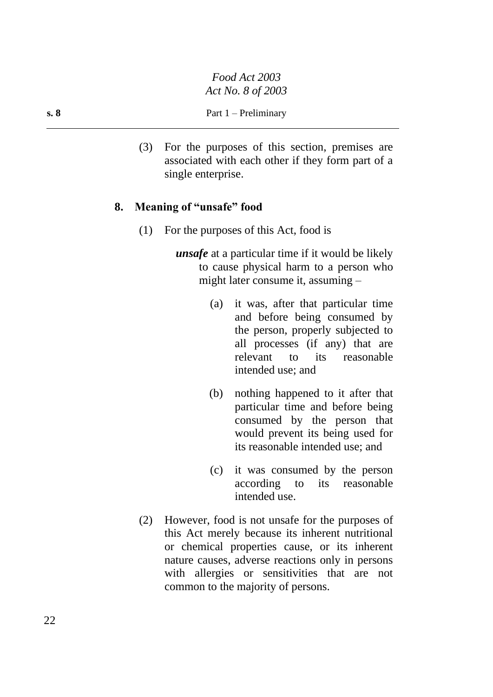(3) For the purposes of this section, premises are associated with each other if they form part of a single enterprise.

# **8. Meaning of "unsafe" food**

- (1) For the purposes of this Act, food is
	- *unsafe* at a particular time if it would be likely to cause physical harm to a person who might later consume it, assuming –
		- (a) it was, after that particular time and before being consumed by the person, properly subjected to all processes (if any) that are relevant to its reasonable intended use; and
		- (b) nothing happened to it after that particular time and before being consumed by the person that would prevent its being used for its reasonable intended use; and
		- (c) it was consumed by the person according to its reasonable intended use.
- (2) However, food is not unsafe for the purposes of this Act merely because its inherent nutritional or chemical properties cause, or its inherent nature causes, adverse reactions only in persons with allergies or sensitivities that are not common to the majority of persons.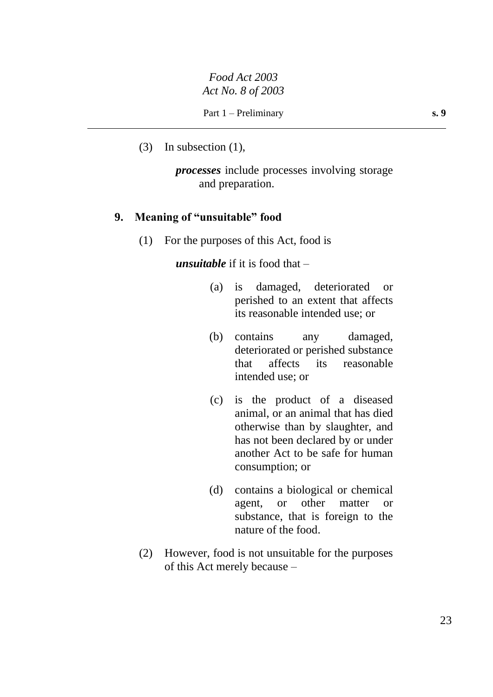(3) In subsection (1),

*processes* include processes involving storage and preparation.

## **9. Meaning of "unsuitable" food**

(1) For the purposes of this Act, food is

*unsuitable* if it is food that –

- (a) is damaged, deteriorated or perished to an extent that affects its reasonable intended use; or
- (b) contains any damaged, deteriorated or perished substance that affects its reasonable intended use; or
- (c) is the product of a diseased animal, or an animal that has died otherwise than by slaughter, and has not been declared by or under another Act to be safe for human consumption; or
- (d) contains a biological or chemical agent, or other matter or substance, that is foreign to the nature of the food.
- (2) However, food is not unsuitable for the purposes of this Act merely because –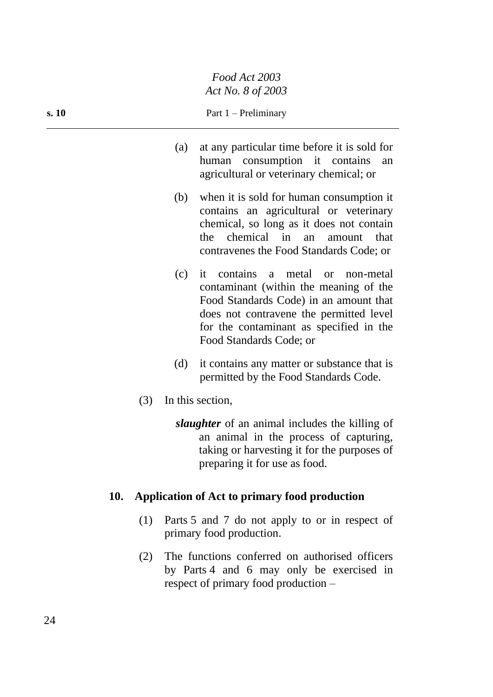| s. 10 |     | Part $1$ – Preliminary                                                                                                                                                                                      |
|-------|-----|-------------------------------------------------------------------------------------------------------------------------------------------------------------------------------------------------------------|
|       | (a) | at any particular time before it is sold for<br>human consumption it contains an<br>agricultural or veterinary chemical; or                                                                                 |
|       | (b) | when it is sold for human consumption it<br>contains an agricultural or veterinary<br>chemical, so long as it does not contain<br>the chemical in an amount that<br>contravenes the Food Standards Code; or |
|       | (c) | it contains a metal or non-metal<br>contaminant (within the meaning of the<br>Food Standards Code) in an amount that<br>does not contravene the permitted level<br>for the contaminant as specified in the  |

(d) it contains any matter or substance that is permitted by the Food Standards Code.

Food Standards Code; or

(3) In this section,

*slaughter* of an animal includes the killing of an animal in the process of capturing, taking or harvesting it for the purposes of preparing it for use as food.

# **10. Application of Act to primary food production**

- (1) Parts 5 and 7 do not apply to or in respect of primary food production.
- (2) The functions conferred on authorised officers by Parts 4 and 6 may only be exercised in respect of primary food production –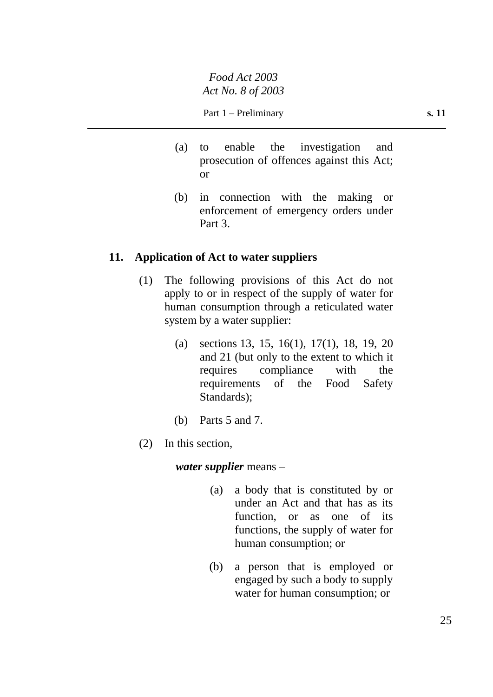- (a) to enable the investigation and prosecution of offences against this Act; or
- (b) in connection with the making or enforcement of emergency orders under Part 3.

# **11. Application of Act to water suppliers**

- (1) The following provisions of this Act do not apply to or in respect of the supply of water for human consumption through a reticulated water system by a water supplier:
	- (a) sections 13, 15, 16(1), 17(1), 18, 19, 20 and 21 (but only to the extent to which it requires compliance with the requirements of the Food Safety Standards);
	- (b) Parts 5 and 7.
- (2) In this section,

*water supplier* means –

- (a) a body that is constituted by or under an Act and that has as its function, or as one of its functions, the supply of water for human consumption; or
- (b) a person that is employed or engaged by such a body to supply water for human consumption; or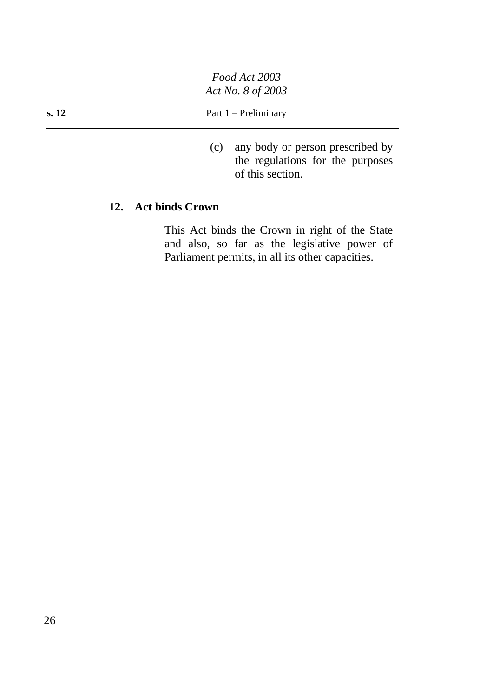(c) any body or person prescribed by the regulations for the purposes of this section.

# **12. Act binds Crown**

This Act binds the Crown in right of the State and also, so far as the legislative power of Parliament permits, in all its other capacities.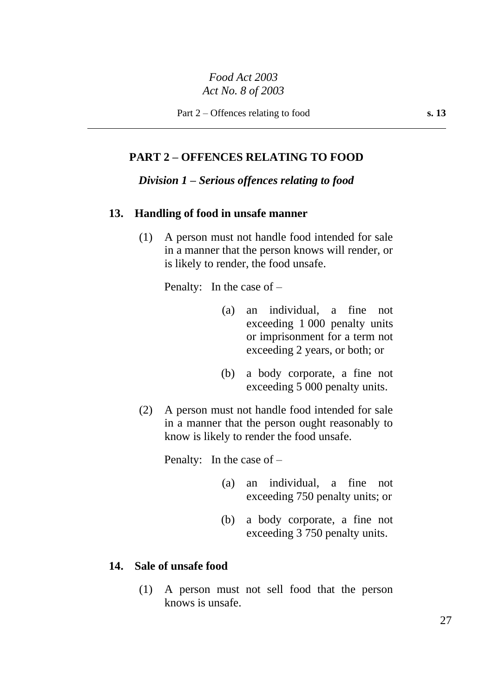## **PART 2 – OFFENCES RELATING TO FOOD**

### *Division 1 – Serious offences relating to food*

# **13. Handling of food in unsafe manner**

(1) A person must not handle food intended for sale in a manner that the person knows will render, or is likely to render, the food unsafe.

Penalty: In the case of –

- (a) an individual, a fine not exceeding 1 000 penalty units or imprisonment for a term not exceeding 2 years, or both; or
- (b) a body corporate, a fine not exceeding 5 000 penalty units.
- (2) A person must not handle food intended for sale in a manner that the person ought reasonably to know is likely to render the food unsafe.

Penalty: In the case of –

- (a) an individual, a fine not exceeding 750 penalty units; or
- (b) a body corporate, a fine not exceeding 3 750 penalty units.

## **14. Sale of unsafe food**

(1) A person must not sell food that the person knows is unsafe.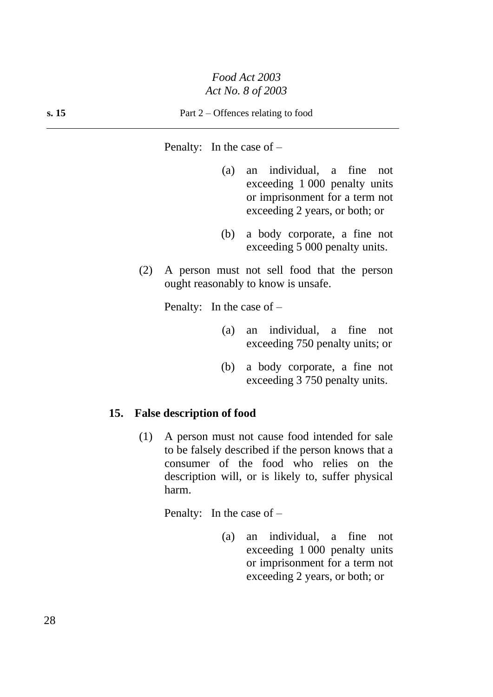Penalty: In the case of –

- (a) an individual, a fine not exceeding 1 000 penalty units or imprisonment for a term not exceeding 2 years, or both; or
- (b) a body corporate, a fine not exceeding 5 000 penalty units.
- (2) A person must not sell food that the person ought reasonably to know is unsafe.

Penalty: In the case of –

- (a) an individual, a fine not exceeding 750 penalty units; or
- (b) a body corporate, a fine not exceeding 3 750 penalty units.

### **15. False description of food**

(1) A person must not cause food intended for sale to be falsely described if the person knows that a consumer of the food who relies on the description will, or is likely to, suffer physical harm.

Penalty: In the case of –

(a) an individual, a fine not exceeding 1 000 penalty units or imprisonment for a term not exceeding 2 years, or both; or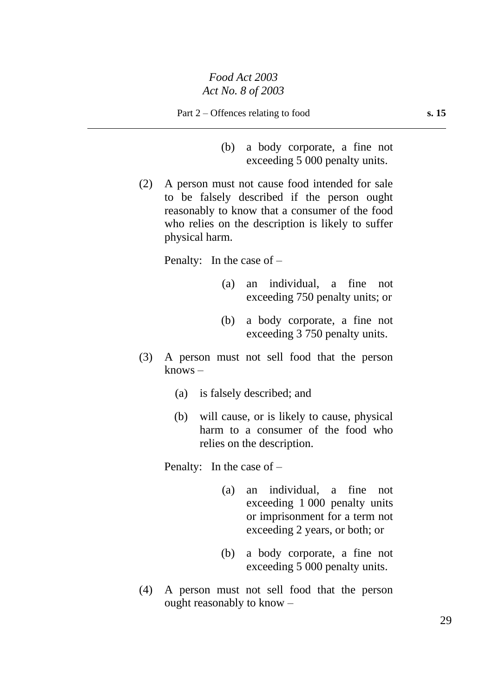- (b) a body corporate, a fine not exceeding 5 000 penalty units.
- (2) A person must not cause food intended for sale to be falsely described if the person ought reasonably to know that a consumer of the food who relies on the description is likely to suffer physical harm.

Penalty: In the case of –

- (a) an individual, a fine not exceeding 750 penalty units; or
- (b) a body corporate, a fine not exceeding 3 750 penalty units.
- (3) A person must not sell food that the person knows –
	- (a) is falsely described; and
	- (b) will cause, or is likely to cause, physical harm to a consumer of the food who relies on the description.

Penalty: In the case of –

- (a) an individual, a fine not exceeding 1 000 penalty units or imprisonment for a term not exceeding 2 years, or both; or
- (b) a body corporate, a fine not exceeding 5 000 penalty units.
- (4) A person must not sell food that the person ought reasonably to know –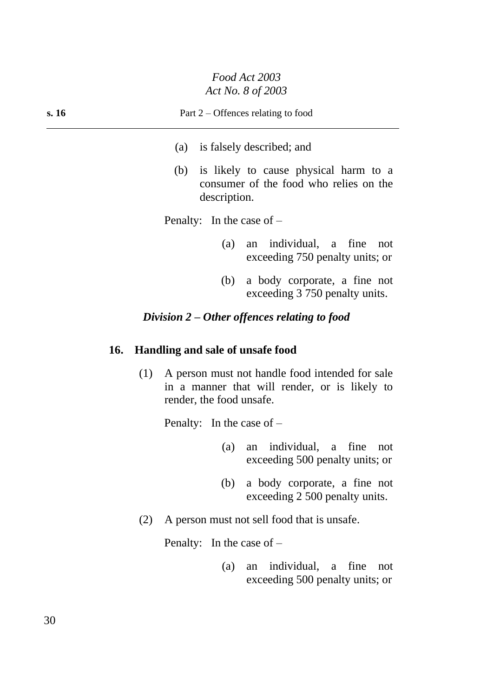| s. 16 | Part $2$ – Offences relating to food                                                                   |
|-------|--------------------------------------------------------------------------------------------------------|
|       | is falsely described; and<br>(a)                                                                       |
|       | is likely to cause physical harm to a<br>(b)<br>consumer of the food who relies on the<br>description. |
|       | Penalty: In the case of $-$                                                                            |
|       | an individual, a fine<br>(a)<br>not<br>exceeding 750 penalty units; or                                 |
|       | a body corporate, a fine not<br>(b)<br>exceeding 3 750 penalty units.                                  |

# *Division 2 – Other offences relating to food*

# **16. Handling and sale of unsafe food**

(1) A person must not handle food intended for sale in a manner that will render, or is likely to render, the food unsafe.

Penalty: In the case of –

- (a) an individual, a fine not exceeding 500 penalty units; or
- (b) a body corporate, a fine not exceeding 2 500 penalty units.
- (2) A person must not sell food that is unsafe.

Penalty: In the case of –

(a) an individual, a fine not exceeding 500 penalty units; or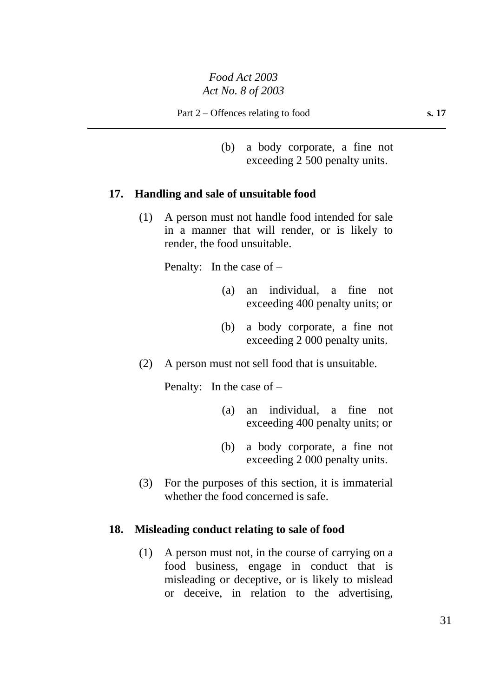(b) a body corporate, a fine not exceeding 2 500 penalty units.

# **17. Handling and sale of unsuitable food**

(1) A person must not handle food intended for sale in a manner that will render, or is likely to render, the food unsuitable.

Penalty: In the case of –

- (a) an individual, a fine not exceeding 400 penalty units; or
- (b) a body corporate, a fine not exceeding 2 000 penalty units.
- (2) A person must not sell food that is unsuitable.

Penalty: In the case of –

- (a) an individual, a fine not exceeding 400 penalty units; or
- (b) a body corporate, a fine not exceeding 2 000 penalty units.
- (3) For the purposes of this section, it is immaterial whether the food concerned is safe.

## **18. Misleading conduct relating to sale of food**

(1) A person must not, in the course of carrying on a food business, engage in conduct that is misleading or deceptive, or is likely to mislead or deceive, in relation to the advertising,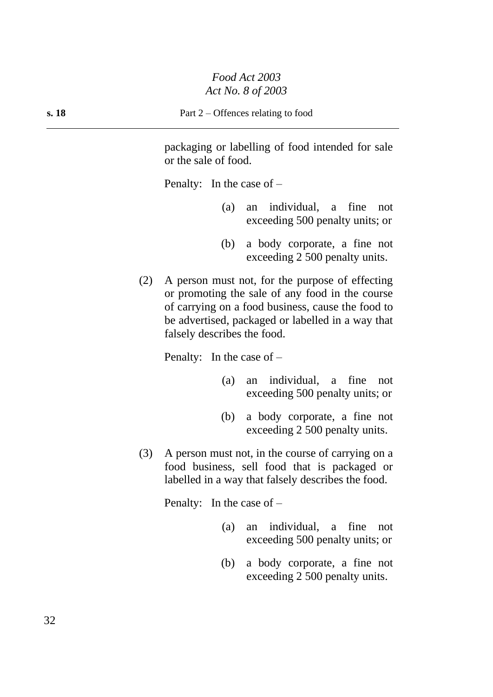packaging or labelling of food intended for sale or the sale of food.

Penalty: In the case of –

- (a) an individual, a fine not exceeding 500 penalty units; or
- (b) a body corporate, a fine not exceeding 2 500 penalty units.
- (2) A person must not, for the purpose of effecting or promoting the sale of any food in the course of carrying on a food business, cause the food to be advertised, packaged or labelled in a way that falsely describes the food.

Penalty: In the case of –

- (a) an individual, a fine not exceeding 500 penalty units; or
- (b) a body corporate, a fine not exceeding 2 500 penalty units.
- (3) A person must not, in the course of carrying on a food business, sell food that is packaged or labelled in a way that falsely describes the food.

Penalty: In the case of –

- (a) an individual, a fine not exceeding 500 penalty units; or
- (b) a body corporate, a fine not exceeding 2 500 penalty units.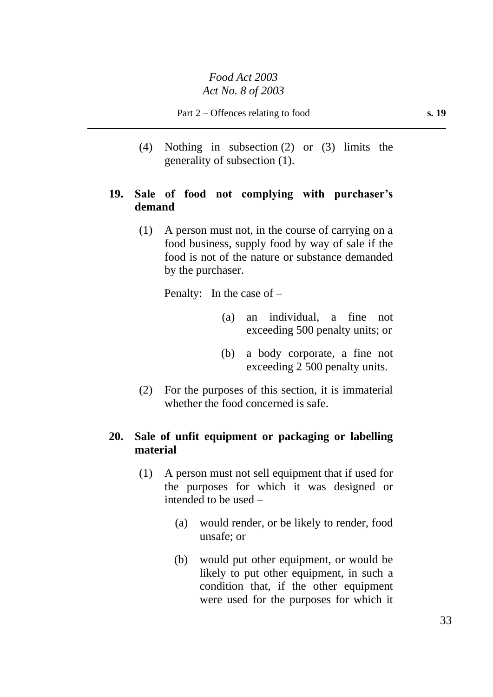(4) Nothing in subsection (2) or (3) limits the generality of subsection (1).

# **19. Sale of food not complying with purchaser's demand**

(1) A person must not, in the course of carrying on a food business, supply food by way of sale if the food is not of the nature or substance demanded by the purchaser.

Penalty: In the case of –

- (a) an individual, a fine not exceeding 500 penalty units; or
- (b) a body corporate, a fine not exceeding 2 500 penalty units.
- (2) For the purposes of this section, it is immaterial whether the food concerned is safe.

# **20. Sale of unfit equipment or packaging or labelling material**

- (1) A person must not sell equipment that if used for the purposes for which it was designed or intended to be used –
	- (a) would render, or be likely to render, food unsafe; or
	- (b) would put other equipment, or would be likely to put other equipment, in such a condition that, if the other equipment were used for the purposes for which it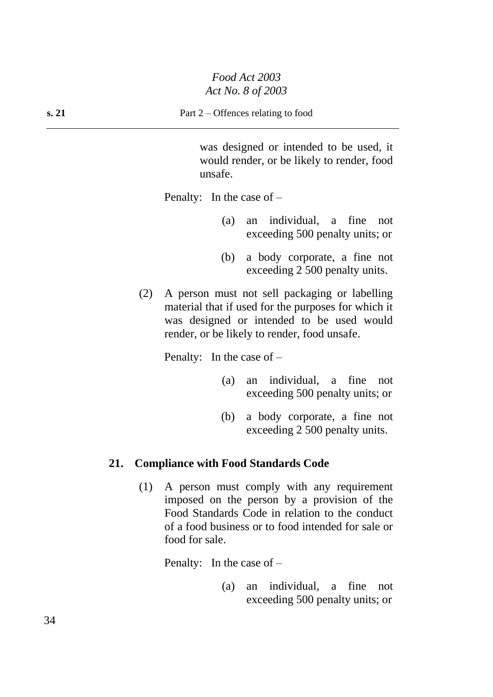was designed or intended to be used, it would render, or be likely to render, food unsafe.

Penalty: In the case of  $-$ 

- (a) an individual, a fine not exceeding 500 penalty units; or
- (b) a body corporate, a fine not exceeding 2 500 penalty units.
- (2) A person must not sell packaging or labelling material that if used for the purposes for which it was designed or intended to be used would render, or be likely to render, food unsafe.

Penalty: In the case of –

- (a) an individual, a fine not exceeding 500 penalty units; or
- (b) a body corporate, a fine not exceeding 2 500 penalty units.

### **21. Compliance with Food Standards Code**

(1) A person must comply with any requirement imposed on the person by a provision of the Food Standards Code in relation to the conduct of a food business or to food intended for sale or food for sale.

Penalty: In the case of –

(a) an individual, a fine not exceeding 500 penalty units; or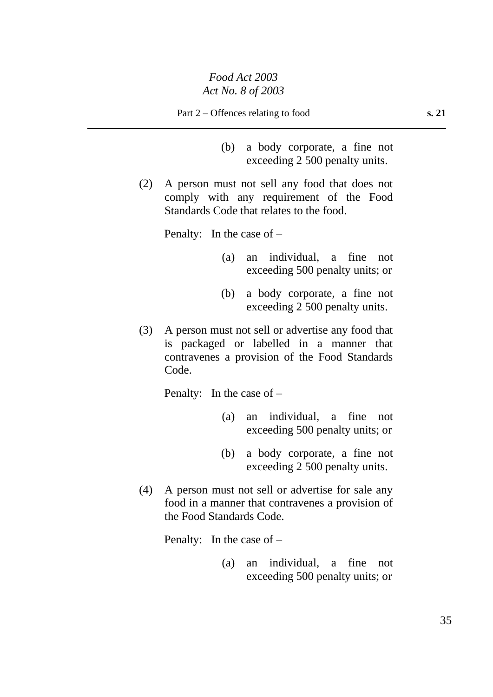Part 2 – Offences relating to food **s. 21** 

- (b) a body corporate, a fine not exceeding 2 500 penalty units.
- (2) A person must not sell any food that does not comply with any requirement of the Food Standards Code that relates to the food.

Penalty: In the case of –

- (a) an individual, a fine not exceeding 500 penalty units; or
- (b) a body corporate, a fine not exceeding 2 500 penalty units.
- (3) A person must not sell or advertise any food that is packaged or labelled in a manner that contravenes a provision of the Food Standards Code.

Penalty: In the case of –

- (a) an individual, a fine not exceeding 500 penalty units; or
- (b) a body corporate, a fine not exceeding 2 500 penalty units.
- (4) A person must not sell or advertise for sale any food in a manner that contravenes a provision of the Food Standards Code.

Penalty: In the case of –

(a) an individual, a fine not exceeding 500 penalty units; or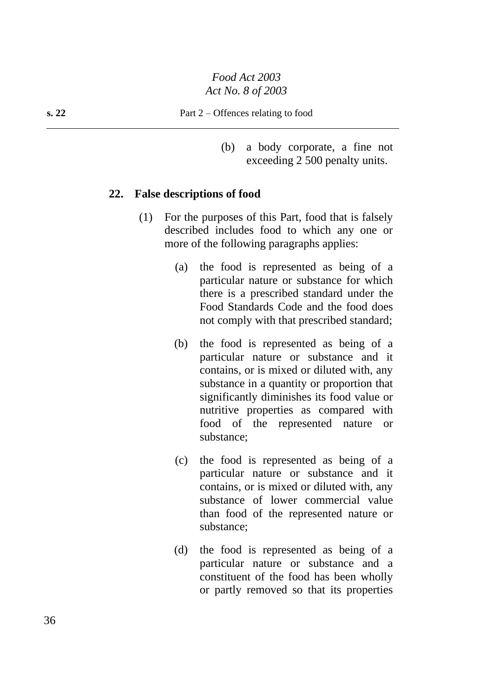(b) a body corporate, a fine not exceeding 2 500 penalty units.

### **22. False descriptions of food**

- (1) For the purposes of this Part, food that is falsely described includes food to which any one or more of the following paragraphs applies:
	- (a) the food is represented as being of a particular nature or substance for which there is a prescribed standard under the Food Standards Code and the food does not comply with that prescribed standard;
	- (b) the food is represented as being of a particular nature or substance and it contains, or is mixed or diluted with, any substance in a quantity or proportion that significantly diminishes its food value or nutritive properties as compared with food of the represented nature or substance;
	- (c) the food is represented as being of a particular nature or substance and it contains, or is mixed or diluted with, any substance of lower commercial value than food of the represented nature or substance;
	- (d) the food is represented as being of a particular nature or substance and a constituent of the food has been wholly or partly removed so that its properties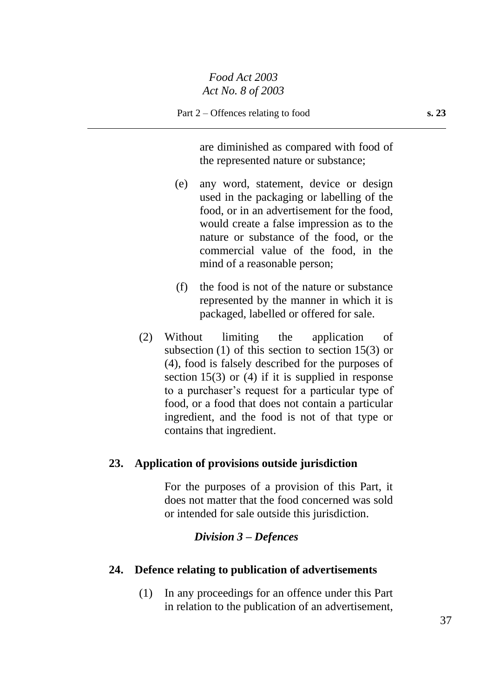are diminished as compared with food of the represented nature or substance;

- (e) any word, statement, device or design used in the packaging or labelling of the food, or in an advertisement for the food, would create a false impression as to the nature or substance of the food, or the commercial value of the food, in the mind of a reasonable person;
- (f) the food is not of the nature or substance represented by the manner in which it is packaged, labelled or offered for sale.
- (2) Without limiting the application of subsection (1) of this section to section 15(3) or (4), food is falsely described for the purposes of section 15(3) or (4) if it is supplied in response to a purchaser's request for a particular type of food, or a food that does not contain a particular ingredient, and the food is not of that type or contains that ingredient.

## **23. Application of provisions outside jurisdiction**

For the purposes of a provision of this Part, it does not matter that the food concerned was sold or intended for sale outside this jurisdiction.

## *Division 3 – Defences*

#### **24. Defence relating to publication of advertisements**

(1) In any proceedings for an offence under this Part in relation to the publication of an advertisement,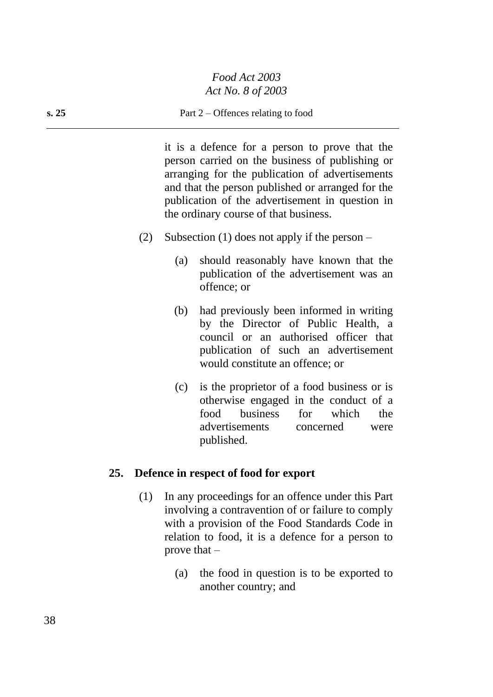#### **s. 25** Part 2 – Offences relating to food

it is a defence for a person to prove that the person carried on the business of publishing or arranging for the publication of advertisements and that the person published or arranged for the publication of the advertisement in question in the ordinary course of that business.

- (2) Subsection (1) does not apply if the person
	- (a) should reasonably have known that the publication of the advertisement was an offence; or
	- (b) had previously been informed in writing by the Director of Public Health, a council or an authorised officer that publication of such an advertisement would constitute an offence; or
	- (c) is the proprietor of a food business or is otherwise engaged in the conduct of a food business for which the advertisements concerned were published.

#### **25. Defence in respect of food for export**

- (1) In any proceedings for an offence under this Part involving a contravention of or failure to comply with a provision of the Food Standards Code in relation to food, it is a defence for a person to prove that  $-$ 
	- (a) the food in question is to be exported to another country; and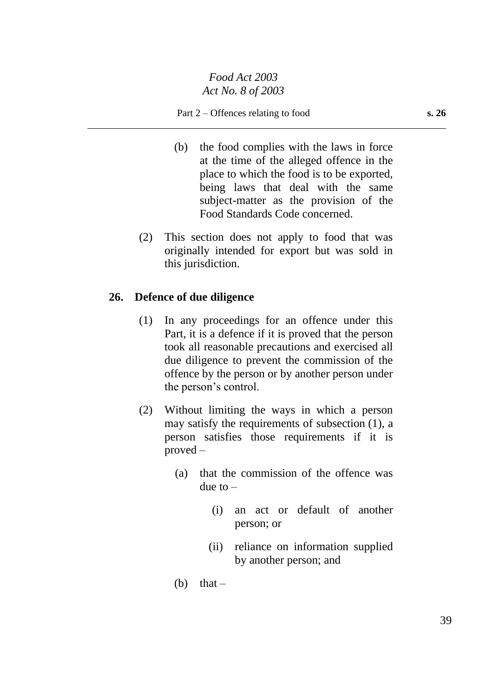- (b) the food complies with the laws in force at the time of the alleged offence in the place to which the food is to be exported, being laws that deal with the same subject-matter as the provision of the Food Standards Code concerned.
- (2) This section does not apply to food that was originally intended for export but was sold in this jurisdiction.

## **26. Defence of due diligence**

- (1) In any proceedings for an offence under this Part, it is a defence if it is proved that the person took all reasonable precautions and exercised all due diligence to prevent the commission of the offence by the person or by another person under the person's control.
- (2) Without limiting the ways in which a person may satisfy the requirements of subsection (1), a person satisfies those requirements if it is proved –
	- (a) that the commission of the offence was due to  $-$ 
		- (i) an act or default of another person; or
		- (ii) reliance on information supplied by another person; and
	- (b) that  $-$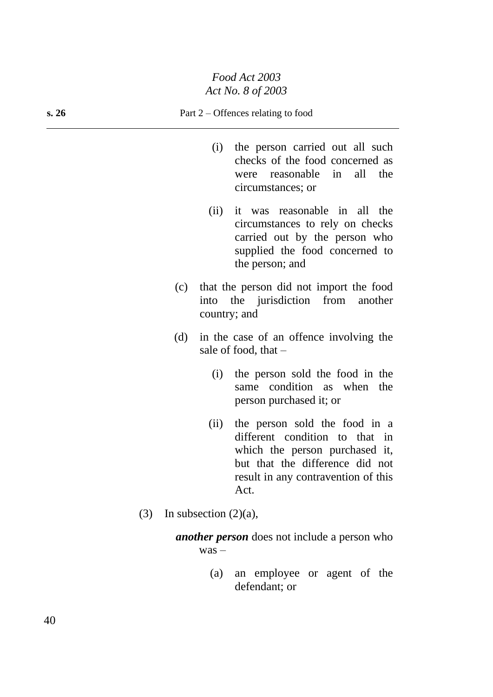- (i) the person carried out all such checks of the food concerned as were reasonable in all the circumstances; or
- (ii) it was reasonable in all the circumstances to rely on checks carried out by the person who supplied the food concerned to the person; and
- (c) that the person did not import the food into the jurisdiction from another country; and
- (d) in the case of an offence involving the sale of food, that –
	- (i) the person sold the food in the same condition as when the person purchased it; or
	- (ii) the person sold the food in a different condition to that in which the person purchased it, but that the difference did not result in any contravention of this Act.
- (3) In subsection  $(2)(a)$ ,

*another person* does not include a person who was –

> (a) an employee or agent of the defendant; or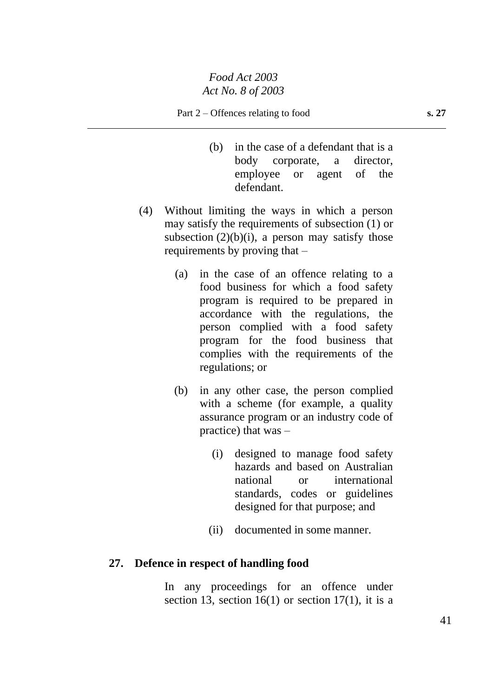- (b) in the case of a defendant that is a body corporate, a director, employee or agent of the defendant.
- (4) Without limiting the ways in which a person may satisfy the requirements of subsection (1) or subsection  $(2)(b)(i)$ , a person may satisfy those requirements by proving that –
	- (a) in the case of an offence relating to a food business for which a food safety program is required to be prepared in accordance with the regulations, the person complied with a food safety program for the food business that complies with the requirements of the regulations; or
	- (b) in any other case, the person complied with a scheme (for example, a quality) assurance program or an industry code of practice) that was –
		- (i) designed to manage food safety hazards and based on Australian national or international standards, codes or guidelines designed for that purpose; and
		- (ii) documented in some manner.

## **27. Defence in respect of handling food**

In any proceedings for an offence under section 13, section 16(1) or section 17(1), it is a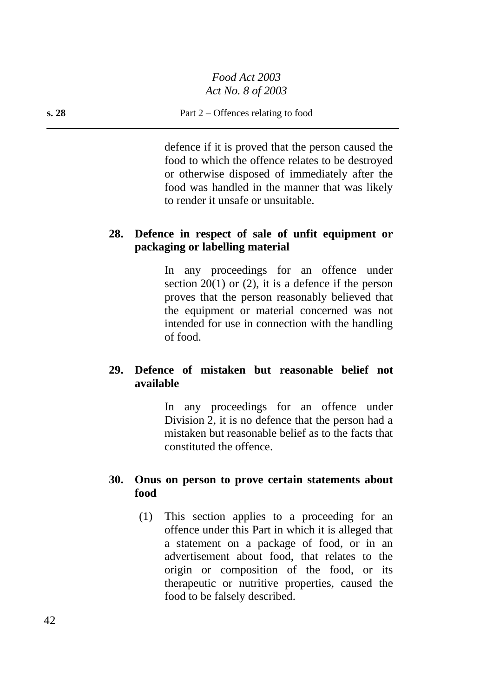#### **s. 28** Part 2 – Offences relating to food

defence if it is proved that the person caused the food to which the offence relates to be destroyed or otherwise disposed of immediately after the food was handled in the manner that was likely to render it unsafe or unsuitable.

## **28. Defence in respect of sale of unfit equipment or packaging or labelling material**

In any proceedings for an offence under section  $20(1)$  or  $(2)$ , it is a defence if the person proves that the person reasonably believed that the equipment or material concerned was not intended for use in connection with the handling of food.

## **29. Defence of mistaken but reasonable belief not available**

In any proceedings for an offence under Division 2, it is no defence that the person had a mistaken but reasonable belief as to the facts that constituted the offence.

## **30. Onus on person to prove certain statements about food**

(1) This section applies to a proceeding for an offence under this Part in which it is alleged that a statement on a package of food, or in an advertisement about food, that relates to the origin or composition of the food, or its therapeutic or nutritive properties, caused the food to be falsely described.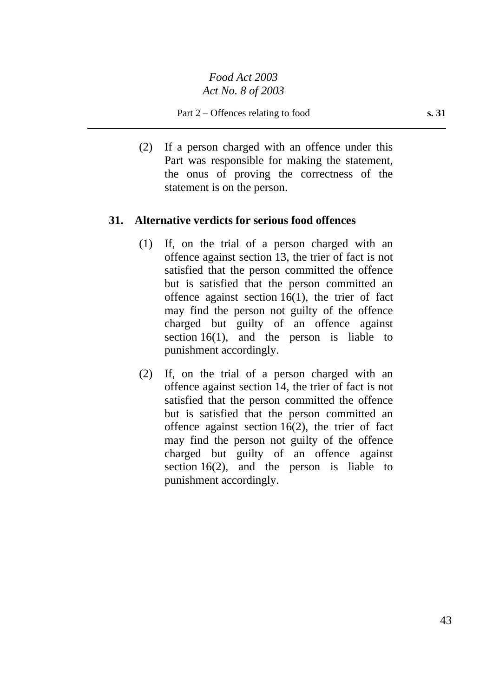Part 2 – Offences relating to food **s. 31** 

(2) If a person charged with an offence under this Part was responsible for making the statement, the onus of proving the correctness of the statement is on the person.

#### **31. Alternative verdicts for serious food offences**

- (1) If, on the trial of a person charged with an offence against section 13, the trier of fact is not satisfied that the person committed the offence but is satisfied that the person committed an offence against section 16(1), the trier of fact may find the person not guilty of the offence charged but guilty of an offence against section  $16(1)$ , and the person is liable to punishment accordingly.
- (2) If, on the trial of a person charged with an offence against section 14, the trier of fact is not satisfied that the person committed the offence but is satisfied that the person committed an offence against section 16(2), the trier of fact may find the person not guilty of the offence charged but guilty of an offence against section  $16(2)$ , and the person is liable to punishment accordingly.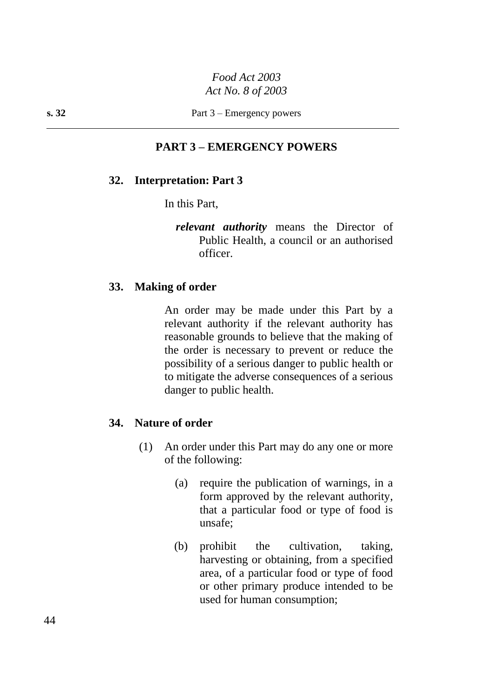#### **s. 32** Part 3 – Emergency powers

#### **PART 3 – EMERGENCY POWERS**

#### **32. Interpretation: Part 3**

In this Part,

*relevant authority* means the Director of Public Health, a council or an authorised officer.

#### **33. Making of order**

An order may be made under this Part by a relevant authority if the relevant authority has reasonable grounds to believe that the making of the order is necessary to prevent or reduce the possibility of a serious danger to public health or to mitigate the adverse consequences of a serious danger to public health.

#### **34. Nature of order**

- (1) An order under this Part may do any one or more of the following:
	- (a) require the publication of warnings, in a form approved by the relevant authority, that a particular food or type of food is unsafe;
	- (b) prohibit the cultivation, taking, harvesting or obtaining, from a specified area, of a particular food or type of food or other primary produce intended to be used for human consumption;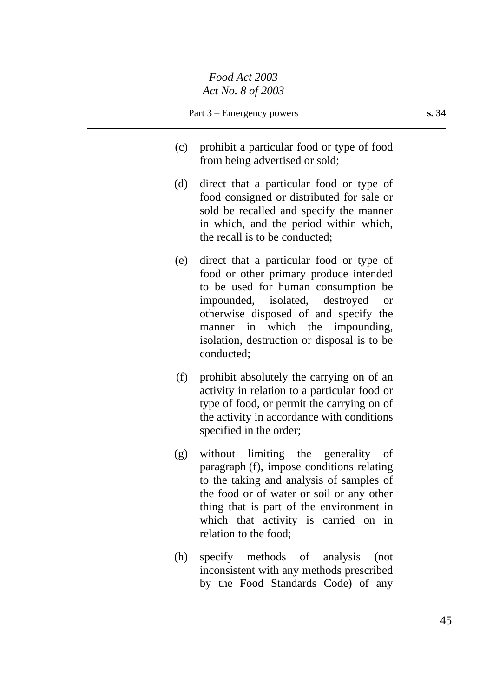- (c) prohibit a particular food or type of food from being advertised or sold;
- (d) direct that a particular food or type of food consigned or distributed for sale or sold be recalled and specify the manner in which, and the period within which, the recall is to be conducted;
- (e) direct that a particular food or type of food or other primary produce intended to be used for human consumption be impounded, isolated, destroyed or otherwise disposed of and specify the manner in which the impounding, isolation, destruction or disposal is to be conducted;
- (f) prohibit absolutely the carrying on of an activity in relation to a particular food or type of food, or permit the carrying on of the activity in accordance with conditions specified in the order;
- (g) without limiting the generality of paragraph (f), impose conditions relating to the taking and analysis of samples of the food or of water or soil or any other thing that is part of the environment in which that activity is carried on in relation to the food;
- (h) specify methods of analysis (not inconsistent with any methods prescribed by the Food Standards Code) of any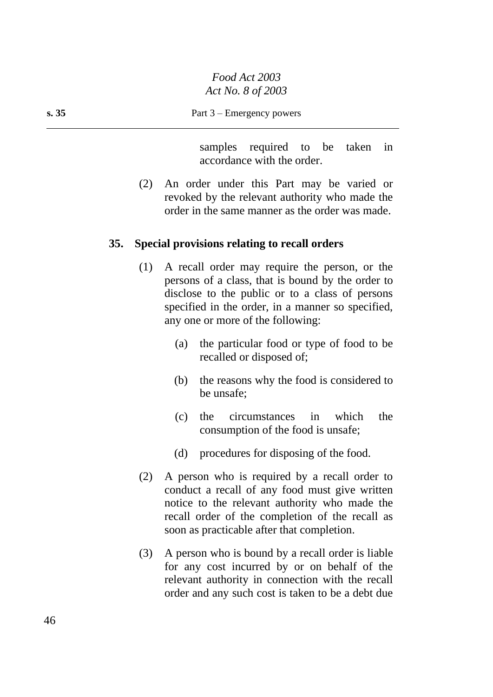samples required to be taken in accordance with the order.

(2) An order under this Part may be varied or revoked by the relevant authority who made the order in the same manner as the order was made.

#### **35. Special provisions relating to recall orders**

- (1) A recall order may require the person, or the persons of a class, that is bound by the order to disclose to the public or to a class of persons specified in the order, in a manner so specified, any one or more of the following:
	- (a) the particular food or type of food to be recalled or disposed of;
	- (b) the reasons why the food is considered to be unsafe;
	- (c) the circumstances in which the consumption of the food is unsafe;
	- (d) procedures for disposing of the food.
- (2) A person who is required by a recall order to conduct a recall of any food must give written notice to the relevant authority who made the recall order of the completion of the recall as soon as practicable after that completion.
- (3) A person who is bound by a recall order is liable for any cost incurred by or on behalf of the relevant authority in connection with the recall order and any such cost is taken to be a debt due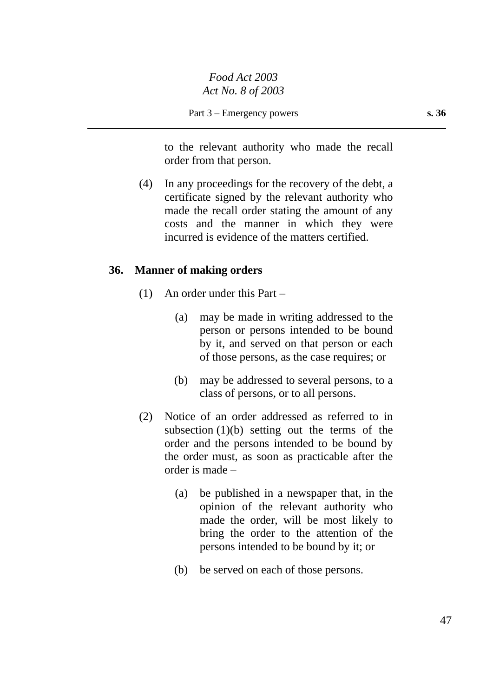to the relevant authority who made the recall order from that person.

(4) In any proceedings for the recovery of the debt, a certificate signed by the relevant authority who made the recall order stating the amount of any costs and the manner in which they were incurred is evidence of the matters certified.

#### **36. Manner of making orders**

- (1) An order under this Part
	- (a) may be made in writing addressed to the person or persons intended to be bound by it, and served on that person or each of those persons, as the case requires; or
	- (b) may be addressed to several persons, to a class of persons, or to all persons.
- (2) Notice of an order addressed as referred to in subsection  $(1)(b)$  setting out the terms of the order and the persons intended to be bound by the order must, as soon as practicable after the order is made –
	- (a) be published in a newspaper that, in the opinion of the relevant authority who made the order, will be most likely to bring the order to the attention of the persons intended to be bound by it; or
	- (b) be served on each of those persons.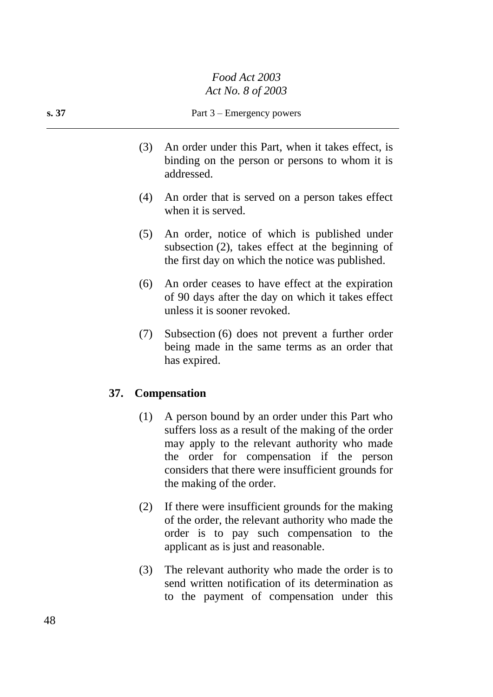#### **s. 37** Part 3 – Emergency powers

- (3) An order under this Part, when it takes effect, is binding on the person or persons to whom it is addressed.
- (4) An order that is served on a person takes effect when it is served.
- (5) An order, notice of which is published under subsection (2), takes effect at the beginning of the first day on which the notice was published.
- (6) An order ceases to have effect at the expiration of 90 days after the day on which it takes effect unless it is sooner revoked.
- (7) Subsection (6) does not prevent a further order being made in the same terms as an order that has expired.

#### **37. Compensation**

- (1) A person bound by an order under this Part who suffers loss as a result of the making of the order may apply to the relevant authority who made the order for compensation if the person considers that there were insufficient grounds for the making of the order.
- (2) If there were insufficient grounds for the making of the order, the relevant authority who made the order is to pay such compensation to the applicant as is just and reasonable.
- (3) The relevant authority who made the order is to send written notification of its determination as to the payment of compensation under this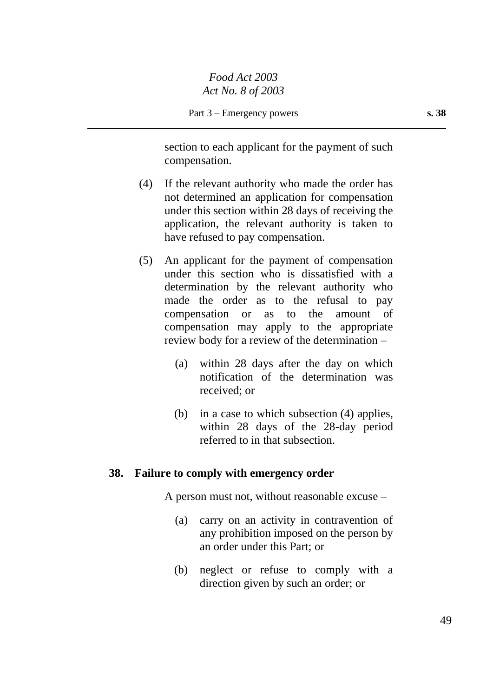section to each applicant for the payment of such compensation.

- (4) If the relevant authority who made the order has not determined an application for compensation under this section within 28 days of receiving the application, the relevant authority is taken to have refused to pay compensation.
- (5) An applicant for the payment of compensation under this section who is dissatisfied with a determination by the relevant authority who made the order as to the refusal to pay compensation or as to the amount of compensation may apply to the appropriate review body for a review of the determination –
	- (a) within 28 days after the day on which notification of the determination was received; or
	- (b) in a case to which subsection (4) applies, within 28 days of the 28-day period referred to in that subsection.

#### **38. Failure to comply with emergency order**

A person must not, without reasonable excuse –

- (a) carry on an activity in contravention of any prohibition imposed on the person by an order under this Part; or
- (b) neglect or refuse to comply with a direction given by such an order; or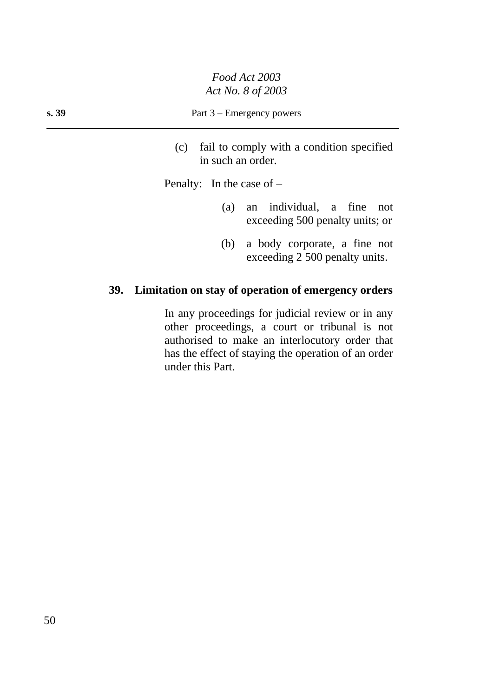#### **s. 39** Part 3 – Emergency powers

(c) fail to comply with a condition specified in such an order.

Penalty: In the case of –

- (a) an individual, a fine not exceeding 500 penalty units; or
- (b) a body corporate, a fine not exceeding 2 500 penalty units.

## **39. Limitation on stay of operation of emergency orders**

In any proceedings for judicial review or in any other proceedings, a court or tribunal is not authorised to make an interlocutory order that has the effect of staying the operation of an order under this Part.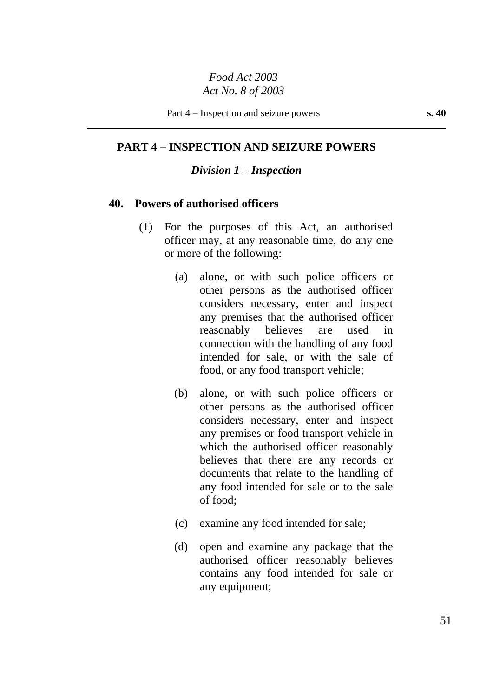#### **PART 4 – INSPECTION AND SEIZURE POWERS**

#### *Division 1 – Inspection*

#### **40. Powers of authorised officers**

- (1) For the purposes of this Act, an authorised officer may, at any reasonable time, do any one or more of the following:
	- (a) alone, or with such police officers or other persons as the authorised officer considers necessary, enter and inspect any premises that the authorised officer reasonably believes are used in connection with the handling of any food intended for sale, or with the sale of food, or any food transport vehicle;
	- (b) alone, or with such police officers or other persons as the authorised officer considers necessary, enter and inspect any premises or food transport vehicle in which the authorised officer reasonably believes that there are any records or documents that relate to the handling of any food intended for sale or to the sale of food;
	- (c) examine any food intended for sale;
	- (d) open and examine any package that the authorised officer reasonably believes contains any food intended for sale or any equipment;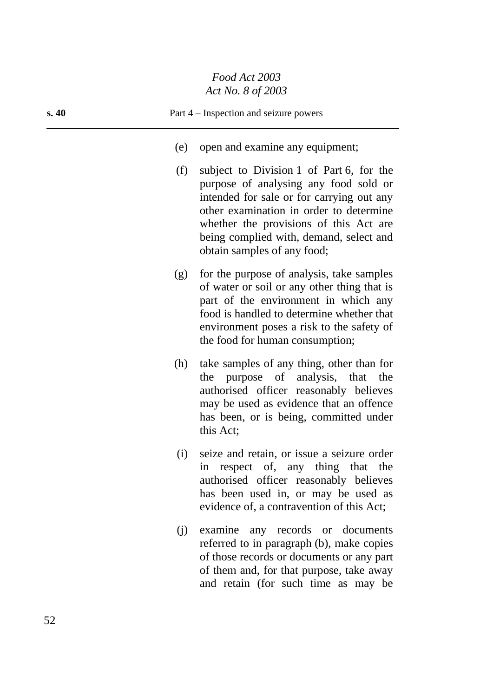| s. 40 |     | Part 4 – Inspection and seizure powers                                                                                                                                                                                                                                                        |
|-------|-----|-----------------------------------------------------------------------------------------------------------------------------------------------------------------------------------------------------------------------------------------------------------------------------------------------|
|       | (e) | open and examine any equipment;                                                                                                                                                                                                                                                               |
|       | (f) | subject to Division 1 of Part 6, for the<br>purpose of analysing any food sold or<br>intended for sale or for carrying out any<br>other examination in order to determine<br>whether the provisions of this Act are<br>being complied with, demand, select and<br>obtain samples of any food; |
|       | (g) | for the purpose of analysis, take samples<br>of water or soil or any other thing that is<br>part of the environment in which any<br>food is handled to determine whether that<br>environment poses a risk to the safety of<br>the food for human consumption;                                 |
|       | (h) | take samples of any thing, other than for<br>the purpose of analysis, that the<br>authorised officer reasonably believes<br>may be used as evidence that an offence<br>has been, or is being, committed under<br>this Act;                                                                    |
|       | (i) | seize and retain, or issue a seizure order<br>in respect of, any thing that<br>the<br>authorised officer reasonably believes<br>has been used in, or may be used as<br>evidence of, a contravention of this Act;                                                                              |
|       | (i) | examine any records or documents<br>referred to in paragraph (b), make copies<br>of those records or documents or any part<br>of them and, for that purpose, take away<br>and retain (for such time as may be                                                                                 |

 $\overline{a}$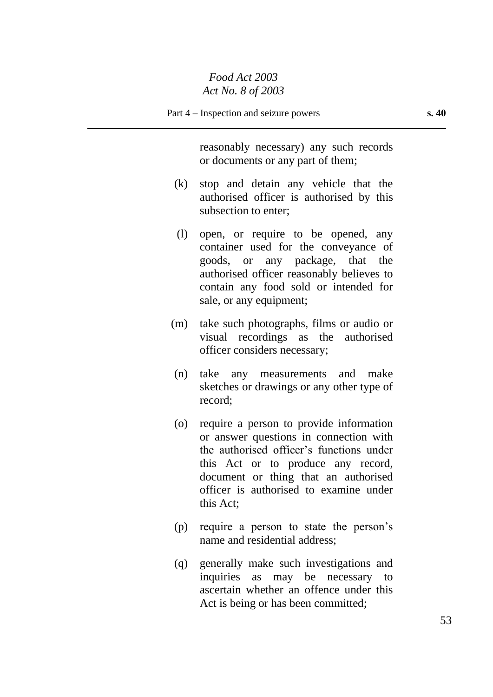reasonably necessary) any such records or documents or any part of them;

- (k) stop and detain any vehicle that the authorised officer is authorised by this subsection to enter;
- (l) open, or require to be opened, any container used for the conveyance of goods, or any package, that the authorised officer reasonably believes to contain any food sold or intended for sale, or any equipment;
- (m) take such photographs, films or audio or visual recordings as the authorised officer considers necessary;
- (n) take any measurements and make sketches or drawings or any other type of record;
- (o) require a person to provide information or answer questions in connection with the authorised officer's functions under this Act or to produce any record, document or thing that an authorised officer is authorised to examine under this Act;
- (p) require a person to state the person's name and residential address;
- (q) generally make such investigations and inquiries as may be necessary to ascertain whether an offence under this Act is being or has been committed;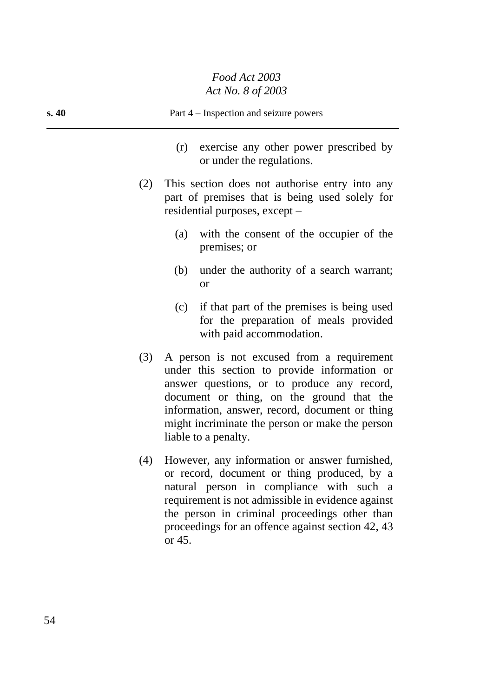| s.40 | Part 4 – Inspection and seizure powers |                                                                                                                                                                                                                                                                                                                     |  |
|------|----------------------------------------|---------------------------------------------------------------------------------------------------------------------------------------------------------------------------------------------------------------------------------------------------------------------------------------------------------------------|--|
|      |                                        | exercise any other power prescribed by<br>(r)<br>or under the regulations.                                                                                                                                                                                                                                          |  |
|      | (2)                                    | This section does not authorise entry into any<br>part of premises that is being used solely for<br>residential purposes, except –                                                                                                                                                                                  |  |
|      |                                        | with the consent of the occupier of the<br>(a)<br>premises; or                                                                                                                                                                                                                                                      |  |
|      |                                        | (b)<br>under the authority of a search warrant;<br><b>or</b>                                                                                                                                                                                                                                                        |  |
|      |                                        | if that part of the premises is being used<br>(c)<br>for the preparation of meals provided<br>with paid accommodation.                                                                                                                                                                                              |  |
|      | (3)                                    | A person is not excused from a requirement<br>under this section to provide information or<br>answer questions, or to produce any record,<br>document or thing, on the ground that the<br>information, answer, record, document or thing<br>might incriminate the person or make the person<br>liable to a penalty. |  |
|      | (4)                                    | However, any information or answer furnished,<br>or record, document or thing produced, by a<br>natural person in compliance with such a<br>requirement is not admissible in evidence against<br>the person in criminal proceedings other than<br>proceedings for an offence against section 42, 43<br>or 45.       |  |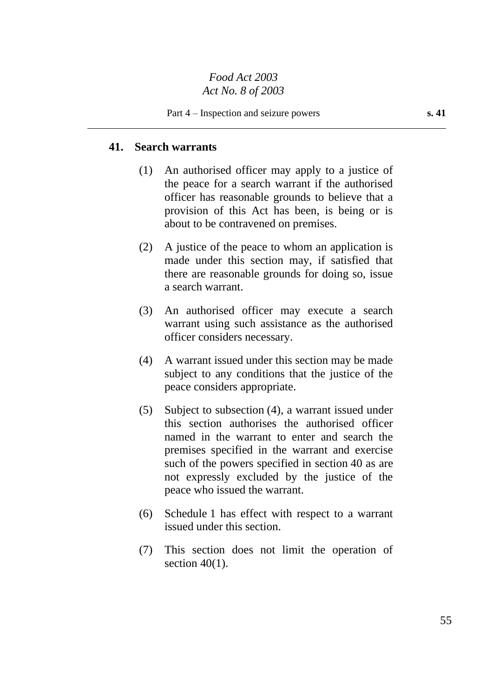#### **41. Search warrants**

- (1) An authorised officer may apply to a justice of the peace for a search warrant if the authorised officer has reasonable grounds to believe that a provision of this Act has been, is being or is about to be contravened on premises.
- (2) A justice of the peace to whom an application is made under this section may, if satisfied that there are reasonable grounds for doing so, issue a search warrant.
- (3) An authorised officer may execute a search warrant using such assistance as the authorised officer considers necessary.
- (4) A warrant issued under this section may be made subject to any conditions that the justice of the peace considers appropriate.
- (5) Subject to subsection (4), a warrant issued under this section authorises the authorised officer named in the warrant to enter and search the premises specified in the warrant and exercise such of the powers specified in section 40 as are not expressly excluded by the justice of the peace who issued the warrant.
- (6) Schedule 1 has effect with respect to a warrant issued under this section.
- (7) This section does not limit the operation of section  $40(1)$ .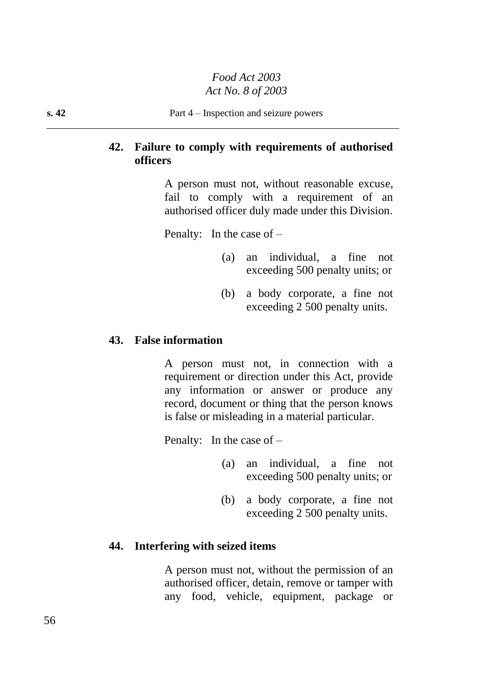## **42. Failure to comply with requirements of authorised officers**

A person must not, without reasonable excuse, fail to comply with a requirement of an authorised officer duly made under this Division.

Penalty: In the case of –

- (a) an individual, a fine not exceeding 500 penalty units; or
- (b) a body corporate, a fine not exceeding 2 500 penalty units.

## **43. False information**

A person must not, in connection with a requirement or direction under this Act, provide any information or answer or produce any record, document or thing that the person knows is false or misleading in a material particular.

Penalty: In the case of –

- (a) an individual, a fine not exceeding 500 penalty units; or
- (b) a body corporate, a fine not exceeding 2 500 penalty units.

#### **44. Interfering with seized items**

A person must not, without the permission of an authorised officer, detain, remove or tamper with any food, vehicle, equipment, package or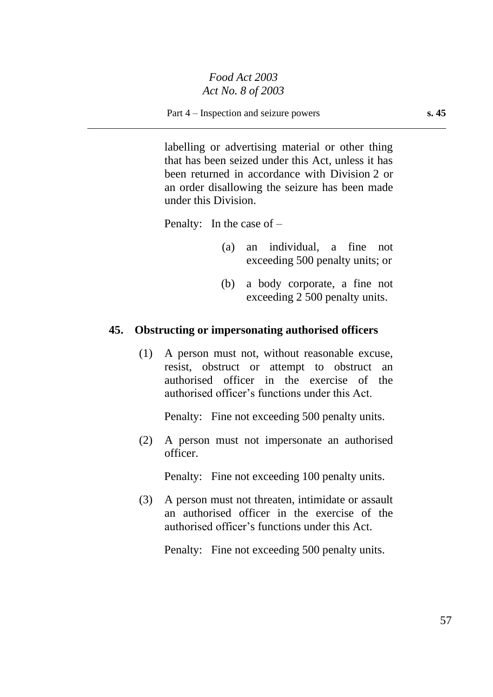Part 4 – Inspection and seizure powers **s. 45**

labelling or advertising material or other thing that has been seized under this Act, unless it has been returned in accordance with Division 2 or an order disallowing the seizure has been made under this Division.

Penalty: In the case of –

- (a) an individual, a fine not exceeding 500 penalty units; or
- (b) a body corporate, a fine not exceeding 2 500 penalty units.

#### **45. Obstructing or impersonating authorised officers**

(1) A person must not, without reasonable excuse, resist, obstruct or attempt to obstruct an authorised officer in the exercise of the authorised officer's functions under this Act.

Penalty: Fine not exceeding 500 penalty units.

(2) A person must not impersonate an authorised officer.

Penalty: Fine not exceeding 100 penalty units.

(3) A person must not threaten, intimidate or assault an authorised officer in the exercise of the authorised officer's functions under this Act.

Penalty: Fine not exceeding 500 penalty units.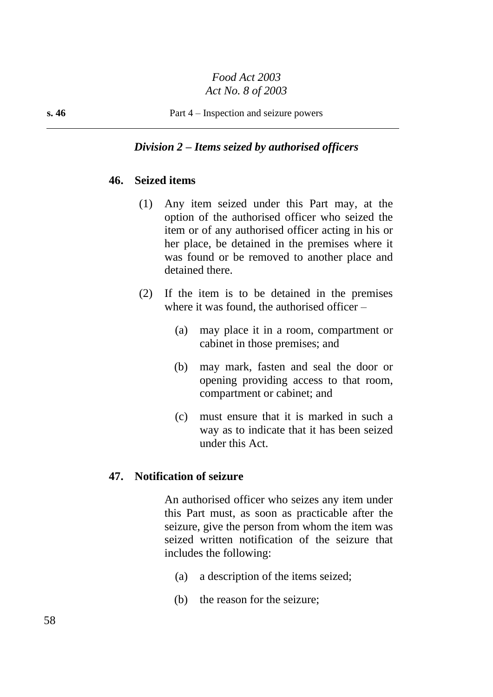#### *Division 2 – Items seized by authorised officers*

## **46. Seized items**

- (1) Any item seized under this Part may, at the option of the authorised officer who seized the item or of any authorised officer acting in his or her place, be detained in the premises where it was found or be removed to another place and detained there.
- (2) If the item is to be detained in the premises where it was found, the authorised officer –
	- (a) may place it in a room, compartment or cabinet in those premises; and
	- (b) may mark, fasten and seal the door or opening providing access to that room, compartment or cabinet; and
	- (c) must ensure that it is marked in such a way as to indicate that it has been seized under this Act.

#### **47. Notification of seizure**

An authorised officer who seizes any item under this Part must, as soon as practicable after the seizure, give the person from whom the item was seized written notification of the seizure that includes the following:

- (a) a description of the items seized;
- (b) the reason for the seizure;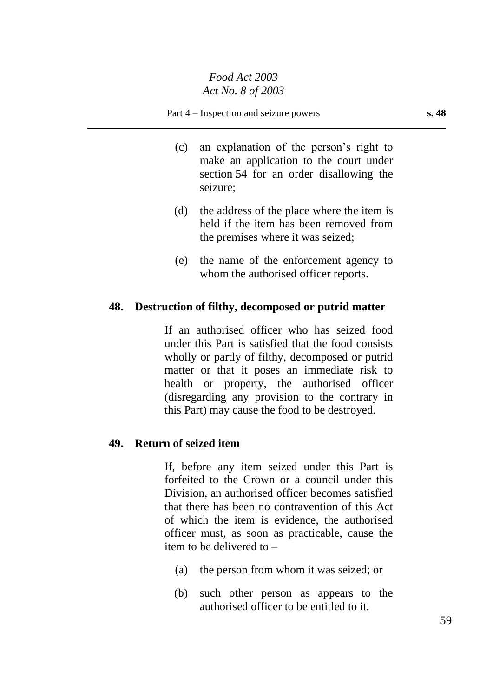- (c) an explanation of the person's right to make an application to the court under section 54 for an order disallowing the seizure;
- (d) the address of the place where the item is held if the item has been removed from the premises where it was seized;
- (e) the name of the enforcement agency to whom the authorised officer reports.

## **48. Destruction of filthy, decomposed or putrid matter**

If an authorised officer who has seized food under this Part is satisfied that the food consists wholly or partly of filthy, decomposed or putrid matter or that it poses an immediate risk to health or property, the authorised officer (disregarding any provision to the contrary in this Part) may cause the food to be destroyed.

## **49. Return of seized item**

If, before any item seized under this Part is forfeited to the Crown or a council under this Division, an authorised officer becomes satisfied that there has been no contravention of this Act of which the item is evidence, the authorised officer must, as soon as practicable, cause the item to be delivered to –

- (a) the person from whom it was seized; or
- (b) such other person as appears to the authorised officer to be entitled to it.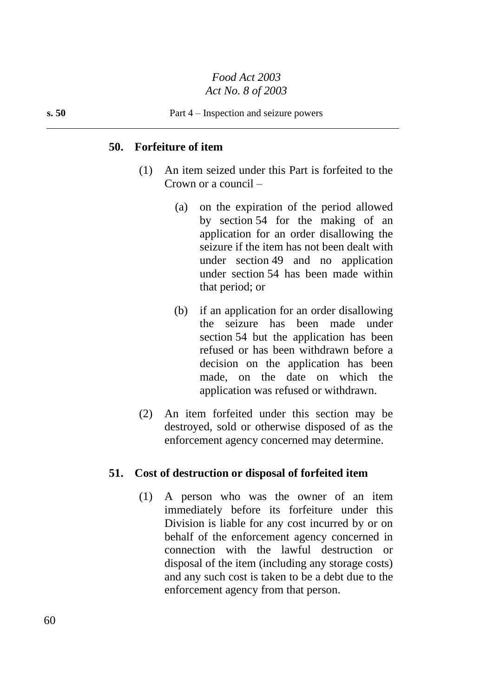#### **50. Forfeiture of item**

- (1) An item seized under this Part is forfeited to the Crown or a council –
	- (a) on the expiration of the period allowed by section 54 for the making of an application for an order disallowing the seizure if the item has not been dealt with under section 49 and no application under section 54 has been made within that period; or
	- (b) if an application for an order disallowing the seizure has been made under section 54 but the application has been refused or has been withdrawn before a decision on the application has been made, on the date on which the application was refused or withdrawn.
- (2) An item forfeited under this section may be destroyed, sold or otherwise disposed of as the enforcement agency concerned may determine.

#### **51. Cost of destruction or disposal of forfeited item**

(1) A person who was the owner of an item immediately before its forfeiture under this Division is liable for any cost incurred by or on behalf of the enforcement agency concerned in connection with the lawful destruction or disposal of the item (including any storage costs) and any such cost is taken to be a debt due to the enforcement agency from that person.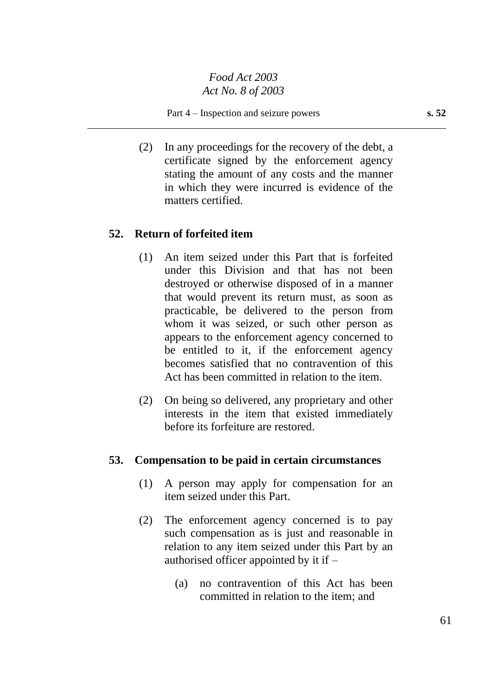(2) In any proceedings for the recovery of the debt, a certificate signed by the enforcement agency stating the amount of any costs and the manner in which they were incurred is evidence of the matters certified.

#### **52. Return of forfeited item**

- (1) An item seized under this Part that is forfeited under this Division and that has not been destroyed or otherwise disposed of in a manner that would prevent its return must, as soon as practicable, be delivered to the person from whom it was seized, or such other person as appears to the enforcement agency concerned to be entitled to it, if the enforcement agency becomes satisfied that no contravention of this Act has been committed in relation to the item.
- (2) On being so delivered, any proprietary and other interests in the item that existed immediately before its forfeiture are restored.

#### **53. Compensation to be paid in certain circumstances**

- (1) A person may apply for compensation for an item seized under this Part.
- (2) The enforcement agency concerned is to pay such compensation as is just and reasonable in relation to any item seized under this Part by an authorised officer appointed by it if –
	- (a) no contravention of this Act has been committed in relation to the item; and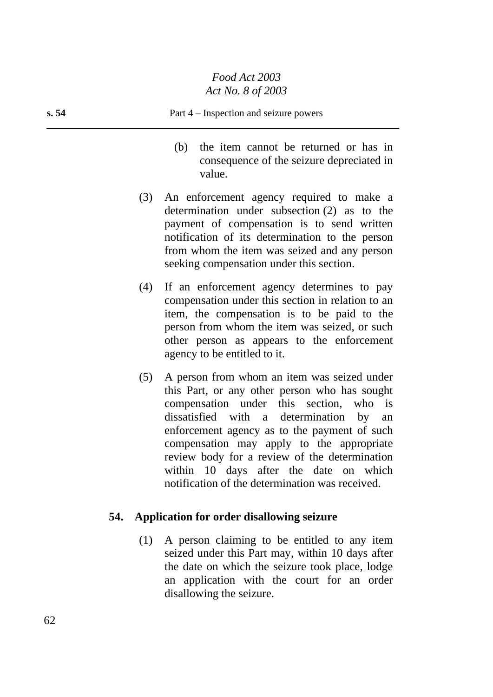#### **s. 54** Part 4 – Inspection and seizure powers

- (b) the item cannot be returned or has in consequence of the seizure depreciated in value.
- (3) An enforcement agency required to make a determination under subsection (2) as to the payment of compensation is to send written notification of its determination to the person from whom the item was seized and any person seeking compensation under this section.
- (4) If an enforcement agency determines to pay compensation under this section in relation to an item, the compensation is to be paid to the person from whom the item was seized, or such other person as appears to the enforcement agency to be entitled to it.
- (5) A person from whom an item was seized under this Part, or any other person who has sought compensation under this section, who is dissatisfied with a determination by an enforcement agency as to the payment of such compensation may apply to the appropriate review body for a review of the determination within 10 days after the date on which notification of the determination was received.

#### **54. Application for order disallowing seizure**

(1) A person claiming to be entitled to any item seized under this Part may, within 10 days after the date on which the seizure took place, lodge an application with the court for an order disallowing the seizure.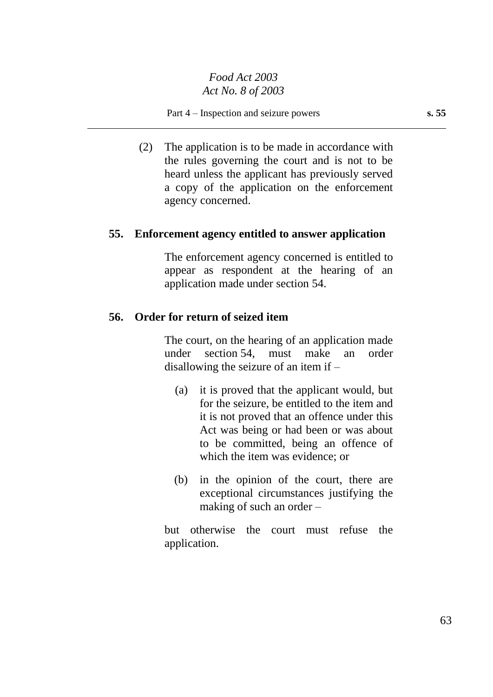(2) The application is to be made in accordance with the rules governing the court and is not to be heard unless the applicant has previously served a copy of the application on the enforcement agency concerned.

## **55. Enforcement agency entitled to answer application**

The enforcement agency concerned is entitled to appear as respondent at the hearing of an application made under section 54.

## **56. Order for return of seized item**

The court, on the hearing of an application made under section 54, must make an order disallowing the seizure of an item if –

- (a) it is proved that the applicant would, but for the seizure, be entitled to the item and it is not proved that an offence under this Act was being or had been or was about to be committed, being an offence of which the item was evidence; or
- (b) in the opinion of the court, there are exceptional circumstances justifying the making of such an order –

but otherwise the court must refuse the application.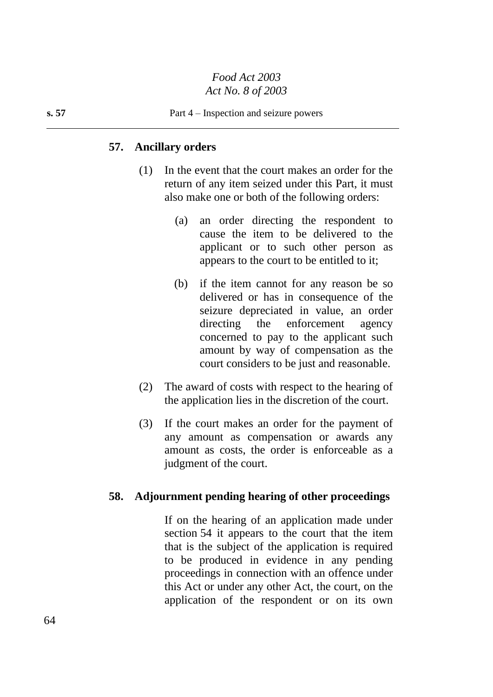#### **57. Ancillary orders**

- (1) In the event that the court makes an order for the return of any item seized under this Part, it must also make one or both of the following orders:
	- (a) an order directing the respondent to cause the item to be delivered to the applicant or to such other person as appears to the court to be entitled to it;
	- (b) if the item cannot for any reason be so delivered or has in consequence of the seizure depreciated in value, an order directing the enforcement agency concerned to pay to the applicant such amount by way of compensation as the court considers to be just and reasonable.
- (2) The award of costs with respect to the hearing of the application lies in the discretion of the court.
- (3) If the court makes an order for the payment of any amount as compensation or awards any amount as costs, the order is enforceable as a judgment of the court.

#### **58. Adjournment pending hearing of other proceedings**

If on the hearing of an application made under section 54 it appears to the court that the item that is the subject of the application is required to be produced in evidence in any pending proceedings in connection with an offence under this Act or under any other Act, the court, on the application of the respondent or on its own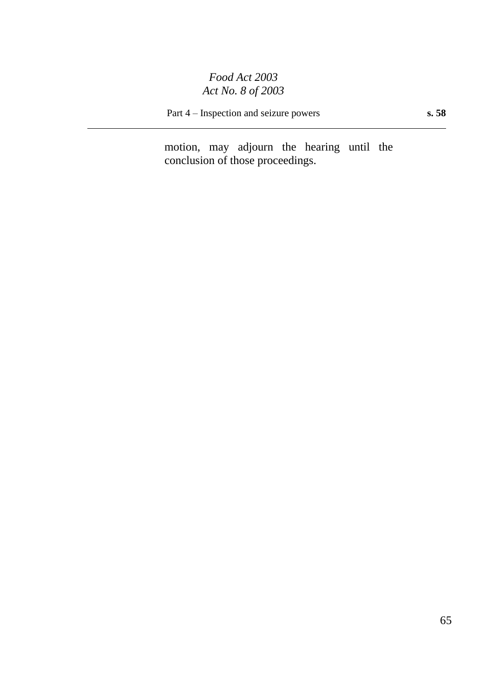Part 4 – Inspection and seizure powers **s. 58**

motion, may adjourn the hearing until the conclusion of those proceedings.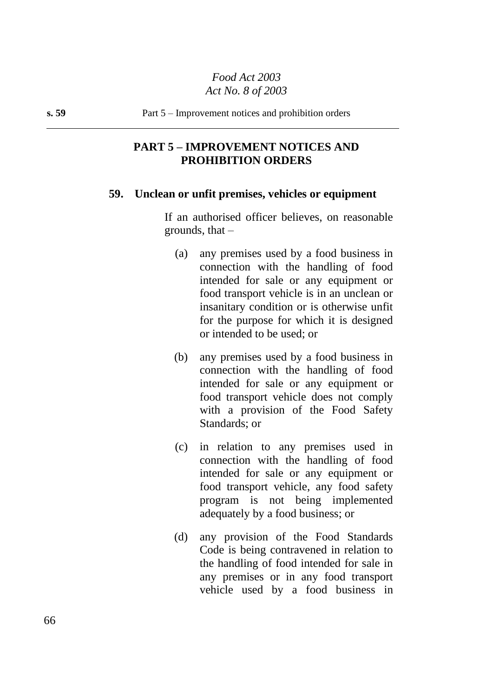## **PART 5 – IMPROVEMENT NOTICES AND PROHIBITION ORDERS**

#### **59. Unclean or unfit premises, vehicles or equipment**

If an authorised officer believes, on reasonable grounds, that  $-$ 

- (a) any premises used by a food business in connection with the handling of food intended for sale or any equipment or food transport vehicle is in an unclean or insanitary condition or is otherwise unfit for the purpose for which it is designed or intended to be used; or
- (b) any premises used by a food business in connection with the handling of food intended for sale or any equipment or food transport vehicle does not comply with a provision of the Food Safety Standards; or
- (c) in relation to any premises used in connection with the handling of food intended for sale or any equipment or food transport vehicle, any food safety program is not being implemented adequately by a food business; or
- (d) any provision of the Food Standards Code is being contravened in relation to the handling of food intended for sale in any premises or in any food transport vehicle used by a food business in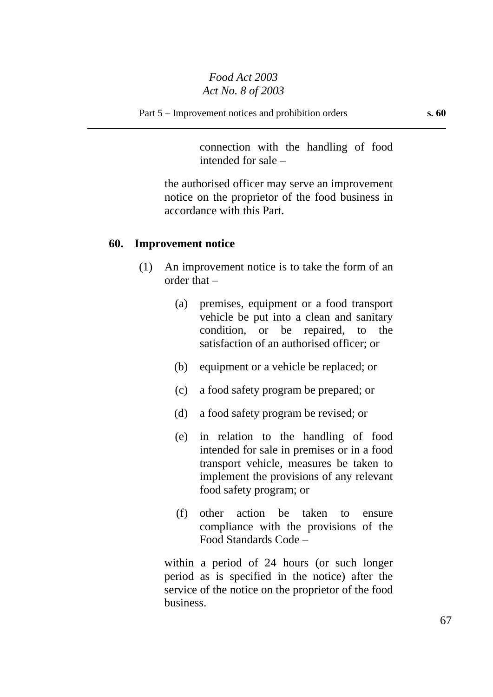connection with the handling of food intended for sale –

the authorised officer may serve an improvement notice on the proprietor of the food business in accordance with this Part.

#### **60. Improvement notice**

- (1) An improvement notice is to take the form of an order that –
	- (a) premises, equipment or a food transport vehicle be put into a clean and sanitary condition, or be repaired, to the satisfaction of an authorised officer; or
	- (b) equipment or a vehicle be replaced; or
	- (c) a food safety program be prepared; or
	- (d) a food safety program be revised; or
	- (e) in relation to the handling of food intended for sale in premises or in a food transport vehicle, measures be taken to implement the provisions of any relevant food safety program; or
	- (f) other action be taken to ensure compliance with the provisions of the Food Standards Code –

within a period of 24 hours (or such longer period as is specified in the notice) after the service of the notice on the proprietor of the food business.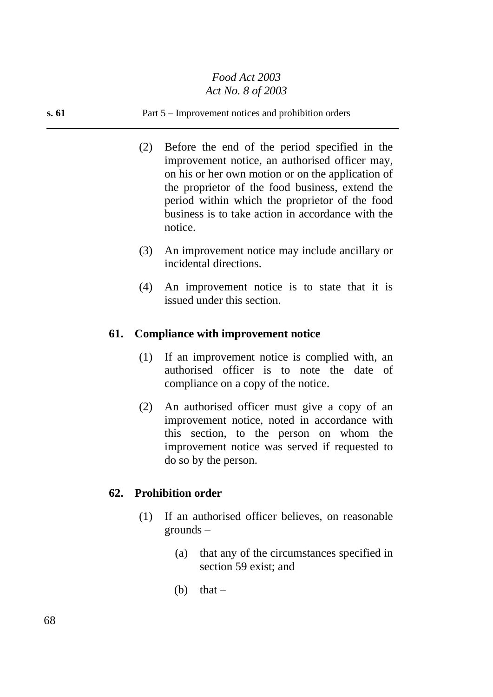#### **s. 61** Part 5 – Improvement notices and prohibition orders

- (2) Before the end of the period specified in the improvement notice, an authorised officer may, on his or her own motion or on the application of the proprietor of the food business, extend the period within which the proprietor of the food business is to take action in accordance with the notice.
- (3) An improvement notice may include ancillary or incidental directions.
- (4) An improvement notice is to state that it is issued under this section.

#### **61. Compliance with improvement notice**

- (1) If an improvement notice is complied with, an authorised officer is to note the date of compliance on a copy of the notice.
- (2) An authorised officer must give a copy of an improvement notice, noted in accordance with this section, to the person on whom the improvement notice was served if requested to do so by the person.

#### **62. Prohibition order**

- (1) If an authorised officer believes, on reasonable grounds –
	- (a) that any of the circumstances specified in section 59 exist; and
	- (b) that  $-$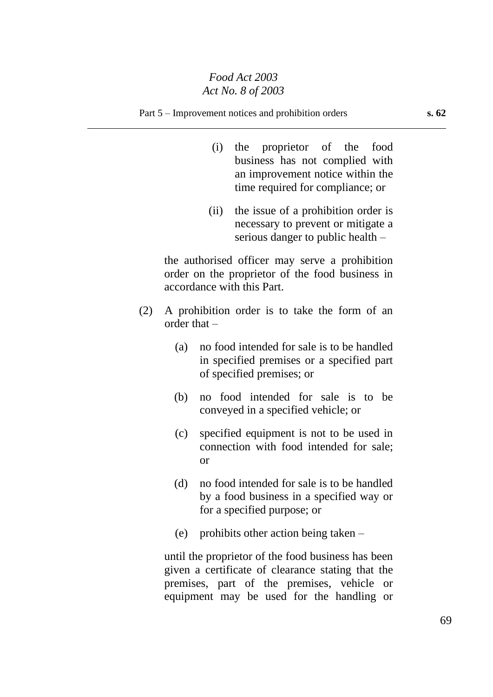#### Part 5 – Improvement notices and prohibition orders **s. 62**

- (i) the proprietor of the food business has not complied with an improvement notice within the time required for compliance; or
- (ii) the issue of a prohibition order is necessary to prevent or mitigate a serious danger to public health –

the authorised officer may serve a prohibition order on the proprietor of the food business in accordance with this Part.

- (2) A prohibition order is to take the form of an order that –
	- (a) no food intended for sale is to be handled in specified premises or a specified part of specified premises; or
	- (b) no food intended for sale is to be conveyed in a specified vehicle; or
	- (c) specified equipment is not to be used in connection with food intended for sale; or
	- (d) no food intended for sale is to be handled by a food business in a specified way or for a specified purpose; or
	- (e) prohibits other action being taken –

until the proprietor of the food business has been given a certificate of clearance stating that the premises, part of the premises, vehicle or equipment may be used for the handling or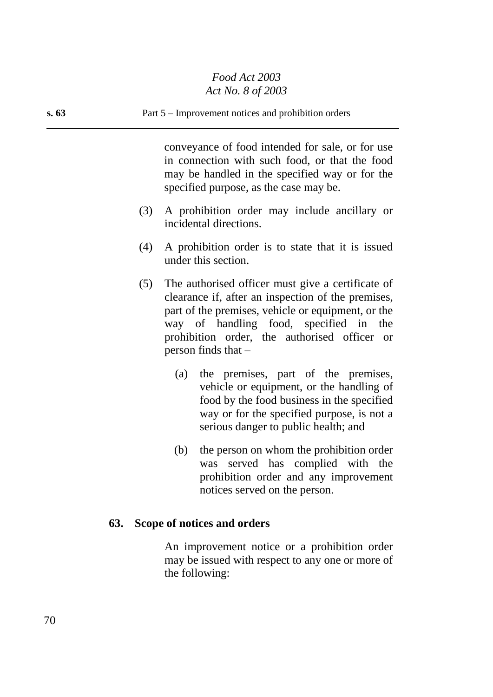# **s. 63** Part 5 – Improvement notices and prohibition orders conveyance of food intended for sale, or for use in connection with such food, or that the food may be handled in the specified way or for the specified purpose, as the case may be. (3) A prohibition order may include ancillary or incidental directions.

- (4) A prohibition order is to state that it is issued under this section.
- (5) The authorised officer must give a certificate of clearance if, after an inspection of the premises, part of the premises, vehicle or equipment, or the way of handling food, specified in the prohibition order, the authorised officer or person finds that –
	- (a) the premises, part of the premises, vehicle or equipment, or the handling of food by the food business in the specified way or for the specified purpose, is not a serious danger to public health; and
	- (b) the person on whom the prohibition order was served has complied with the prohibition order and any improvement notices served on the person.

# **63. Scope of notices and orders**

An improvement notice or a prohibition order may be issued with respect to any one or more of the following: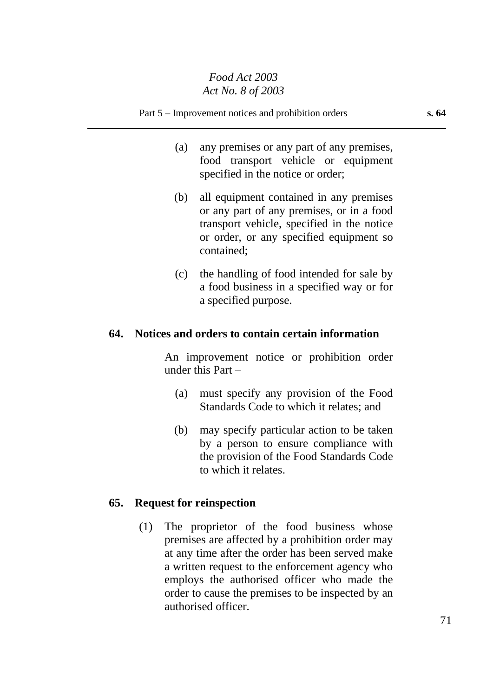- (a) any premises or any part of any premises, food transport vehicle or equipment specified in the notice or order;
- (b) all equipment contained in any premises or any part of any premises, or in a food transport vehicle, specified in the notice or order, or any specified equipment so contained;
- (c) the handling of food intended for sale by a food business in a specified way or for a specified purpose.

## **64. Notices and orders to contain certain information**

An improvement notice or prohibition order under this Part –

- (a) must specify any provision of the Food Standards Code to which it relates; and
- (b) may specify particular action to be taken by a person to ensure compliance with the provision of the Food Standards Code to which it relates.

## **65. Request for reinspection**

(1) The proprietor of the food business whose premises are affected by a prohibition order may at any time after the order has been served make a written request to the enforcement agency who employs the authorised officer who made the order to cause the premises to be inspected by an authorised officer.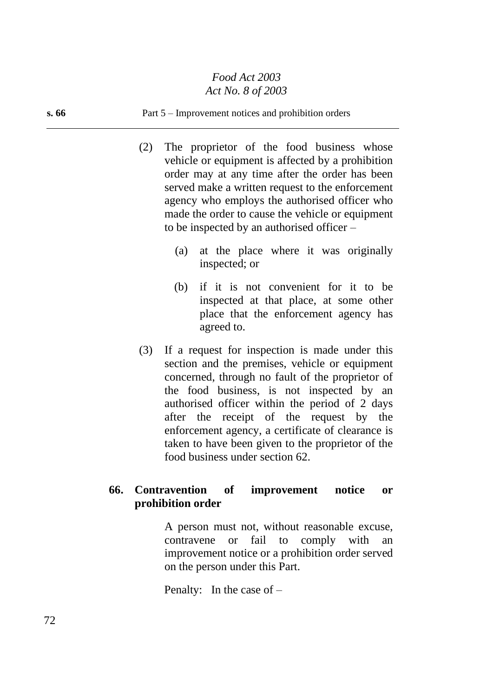#### **s. 66** Part 5 – Improvement notices and prohibition orders

- (2) The proprietor of the food business whose vehicle or equipment is affected by a prohibition order may at any time after the order has been served make a written request to the enforcement agency who employs the authorised officer who made the order to cause the vehicle or equipment to be inspected by an authorised officer –
	- (a) at the place where it was originally inspected; or
	- (b) if it is not convenient for it to be inspected at that place, at some other place that the enforcement agency has agreed to.
- (3) If a request for inspection is made under this section and the premises, vehicle or equipment concerned, through no fault of the proprietor of the food business, is not inspected by an authorised officer within the period of 2 days after the receipt of the request by the enforcement agency, a certificate of clearance is taken to have been given to the proprietor of the food business under section 62.

## **66. Contravention of improvement notice or prohibition order**

A person must not, without reasonable excuse, contravene or fail to comply with an improvement notice or a prohibition order served on the person under this Part.

Penalty: In the case of –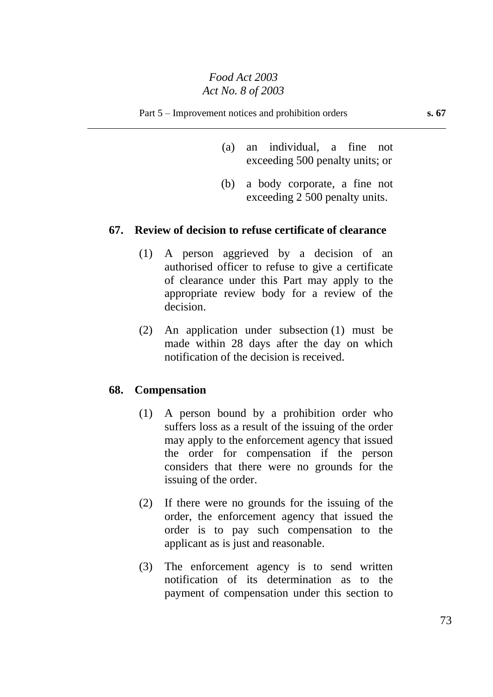- (a) an individual, a fine not exceeding 500 penalty units; or
- (b) a body corporate, a fine not exceeding 2 500 penalty units.

### **67. Review of decision to refuse certificate of clearance**

- (1) A person aggrieved by a decision of an authorised officer to refuse to give a certificate of clearance under this Part may apply to the appropriate review body for a review of the decision.
- (2) An application under subsection (1) must be made within 28 days after the day on which notification of the decision is received.

### **68. Compensation**

- (1) A person bound by a prohibition order who suffers loss as a result of the issuing of the order may apply to the enforcement agency that issued the order for compensation if the person considers that there were no grounds for the issuing of the order.
- (2) If there were no grounds for the issuing of the order, the enforcement agency that issued the order is to pay such compensation to the applicant as is just and reasonable.
- (3) The enforcement agency is to send written notification of its determination as to the payment of compensation under this section to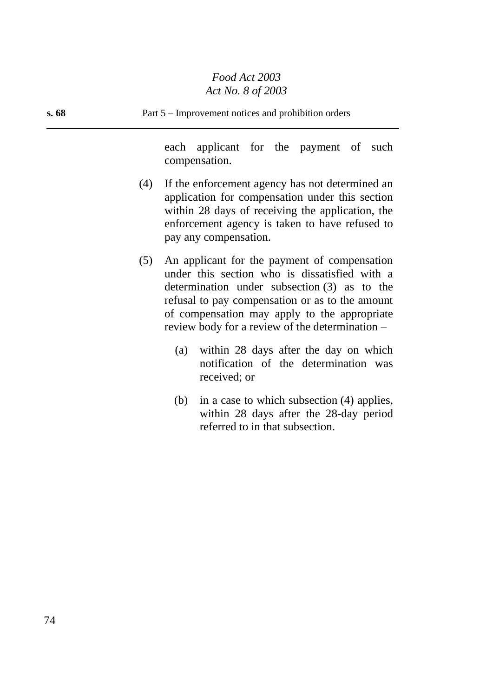| s.68 | Part 5 – Improvement notices and prohibition orders |                                                                                                                                                                                                                                                                                                       |
|------|-----------------------------------------------------|-------------------------------------------------------------------------------------------------------------------------------------------------------------------------------------------------------------------------------------------------------------------------------------------------------|
|      |                                                     | each applicant for the payment of such<br>compensation.                                                                                                                                                                                                                                               |
|      |                                                     | (4) If the enforcement agency has not determined an<br>application for compensation under this section<br>within 28 days of receiving the application, the<br>enforcement agency is taken to have refused to<br>pay any compensation.                                                                 |
|      | (5)                                                 | An applicant for the payment of compensation<br>under this section who is dissatisfied with a<br>determination under subsection $(3)$ as to the<br>refusal to pay compensation or as to the amount<br>of compensation may apply to the appropriate<br>review body for a review of the determination – |
|      |                                                     | (a) within 28 days after the day on which<br>notification of the determination was<br>received; or                                                                                                                                                                                                    |

(b) in a case to which subsection (4) applies, within 28 days after the 28-day period referred to in that subsection.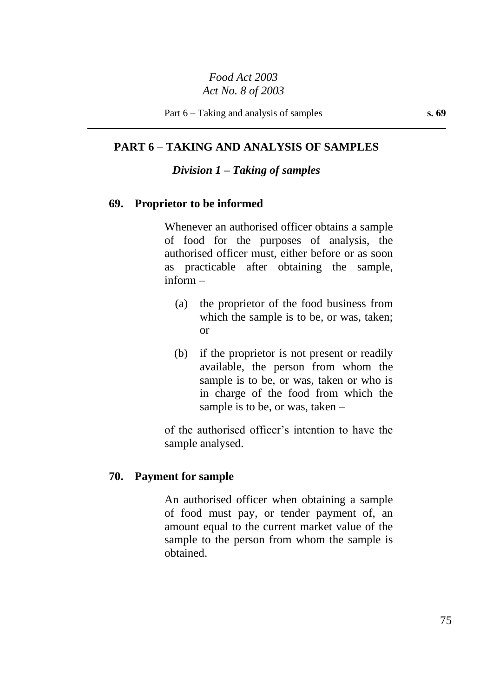# **PART 6 – TAKING AND ANALYSIS OF SAMPLES**

### *Division 1 – Taking of samples*

### **69. Proprietor to be informed**

Whenever an authorised officer obtains a sample of food for the purposes of analysis, the authorised officer must, either before or as soon as practicable after obtaining the sample, inform –

- (a) the proprietor of the food business from which the sample is to be, or was, taken; or
- (b) if the proprietor is not present or readily available, the person from whom the sample is to be, or was, taken or who is in charge of the food from which the sample is to be, or was, taken –

of the authorised officer's intention to have the sample analysed.

### **70. Payment for sample**

An authorised officer when obtaining a sample of food must pay, or tender payment of, an amount equal to the current market value of the sample to the person from whom the sample is obtained.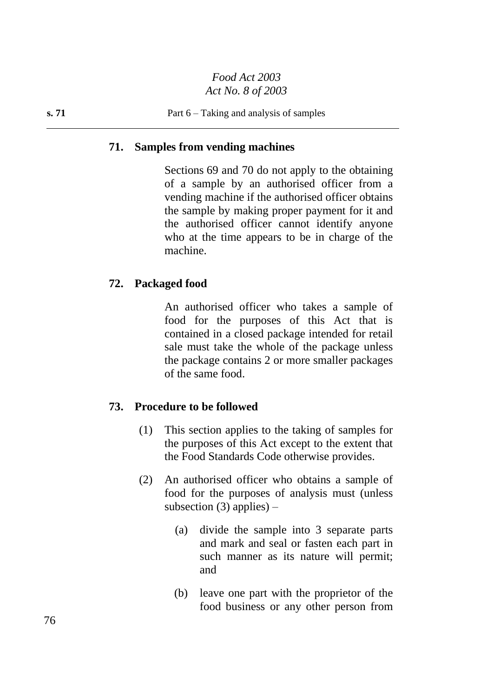## **71. Samples from vending machines**

Sections 69 and 70 do not apply to the obtaining of a sample by an authorised officer from a vending machine if the authorised officer obtains the sample by making proper payment for it and the authorised officer cannot identify anyone who at the time appears to be in charge of the machine.

## **72. Packaged food**

An authorised officer who takes a sample of food for the purposes of this Act that is contained in a closed package intended for retail sale must take the whole of the package unless the package contains 2 or more smaller packages of the same food.

## **73. Procedure to be followed**

- (1) This section applies to the taking of samples for the purposes of this Act except to the extent that the Food Standards Code otherwise provides.
- (2) An authorised officer who obtains a sample of food for the purposes of analysis must (unless subsection (3) applies)  $-$ 
	- (a) divide the sample into 3 separate parts and mark and seal or fasten each part in such manner as its nature will permit; and
	- (b) leave one part with the proprietor of the food business or any other person from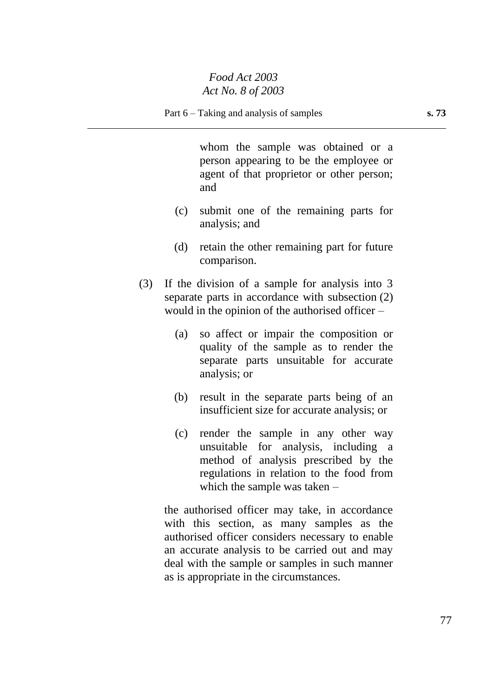whom the sample was obtained or a person appearing to be the employee or agent of that proprietor or other person; and

- (c) submit one of the remaining parts for analysis; and
- (d) retain the other remaining part for future comparison.
- (3) If the division of a sample for analysis into 3 separate parts in accordance with subsection (2) would in the opinion of the authorised officer –
	- (a) so affect or impair the composition or quality of the sample as to render the separate parts unsuitable for accurate analysis; or
	- (b) result in the separate parts being of an insufficient size for accurate analysis; or
	- (c) render the sample in any other way unsuitable for analysis, including a method of analysis prescribed by the regulations in relation to the food from which the sample was taken –

the authorised officer may take, in accordance with this section, as many samples as the authorised officer considers necessary to enable an accurate analysis to be carried out and may deal with the sample or samples in such manner as is appropriate in the circumstances.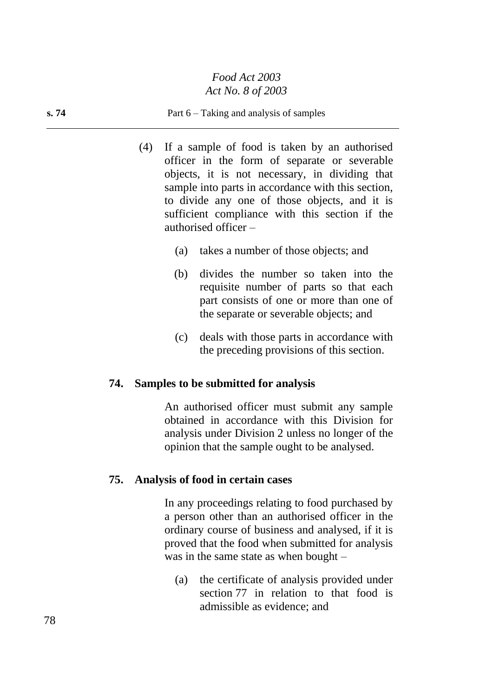#### **s. 74** Part 6 – Taking and analysis of samples

- (4) If a sample of food is taken by an authorised officer in the form of separate or severable objects, it is not necessary, in dividing that sample into parts in accordance with this section, to divide any one of those objects, and it is sufficient compliance with this section if the authorised officer –
	- (a) takes a number of those objects; and
	- (b) divides the number so taken into the requisite number of parts so that each part consists of one or more than one of the separate or severable objects; and
	- (c) deals with those parts in accordance with the preceding provisions of this section.

### **74. Samples to be submitted for analysis**

An authorised officer must submit any sample obtained in accordance with this Division for analysis under Division 2 unless no longer of the opinion that the sample ought to be analysed.

### **75. Analysis of food in certain cases**

In any proceedings relating to food purchased by a person other than an authorised officer in the ordinary course of business and analysed, if it is proved that the food when submitted for analysis was in the same state as when bought –

(a) the certificate of analysis provided under section 77 in relation to that food is admissible as evidence; and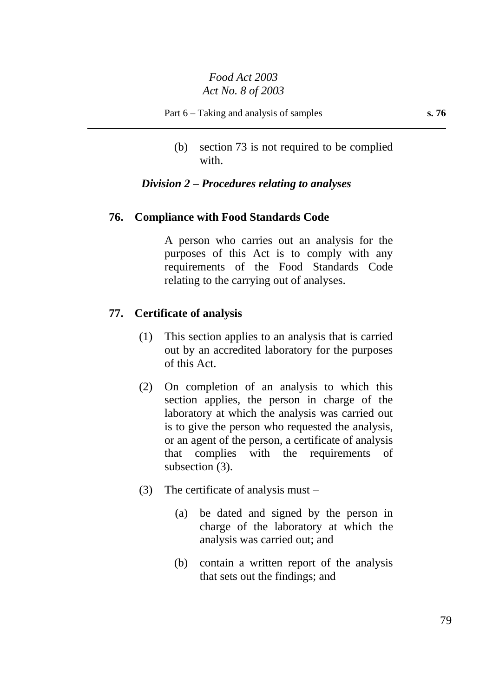(b) section 73 is not required to be complied with.

# *Division 2 – Procedures relating to analyses*

## **76. Compliance with Food Standards Code**

A person who carries out an analysis for the purposes of this Act is to comply with any requirements of the Food Standards Code relating to the carrying out of analyses.

### **77. Certificate of analysis**

- (1) This section applies to an analysis that is carried out by an accredited laboratory for the purposes of this Act.
- (2) On completion of an analysis to which this section applies, the person in charge of the laboratory at which the analysis was carried out is to give the person who requested the analysis, or an agent of the person, a certificate of analysis that complies with the requirements of subsection (3).
- (3) The certificate of analysis must
	- (a) be dated and signed by the person in charge of the laboratory at which the analysis was carried out; and
	- (b) contain a written report of the analysis that sets out the findings; and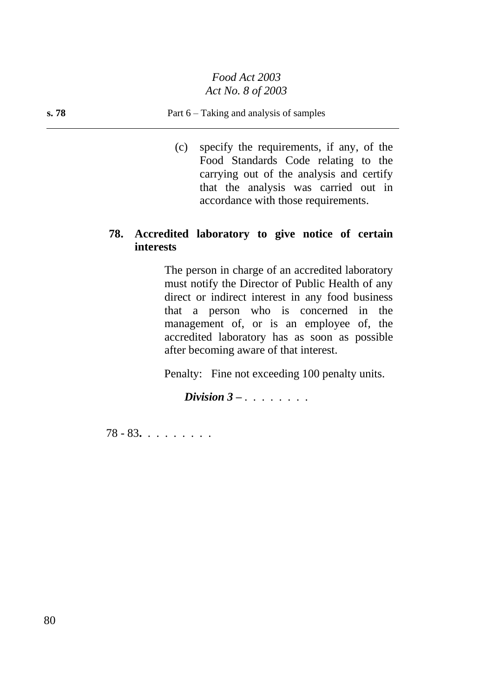### **s. 78** Part 6 – Taking and analysis of samples

(c) specify the requirements, if any, of the Food Standards Code relating to the carrying out of the analysis and certify that the analysis was carried out in accordance with those requirements.

## **78. Accredited laboratory to give notice of certain interests**

The person in charge of an accredited laboratory must notify the Director of Public Health of any direct or indirect interest in any food business that a person who is concerned in the management of, or is an employee of, the accredited laboratory has as soon as possible after becoming aware of that interest.

Penalty: Fine not exceeding 100 penalty units.

*Division 3 – . . . . . . . .*

78 - 83**.** . . . . . . . .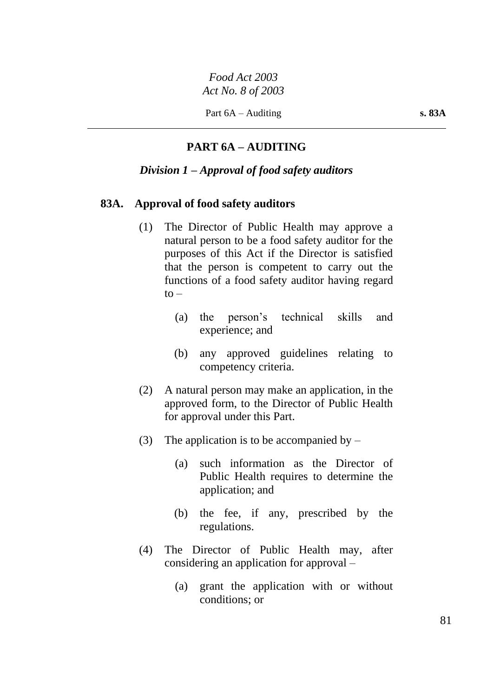Part 6A – Auditing **s. 83A** 

# **PART 6A – AUDITING**

## *Division 1 – Approval of food safety auditors*

### **83A. Approval of food safety auditors**

- (1) The Director of Public Health may approve a natural person to be a food safety auditor for the purposes of this Act if the Director is satisfied that the person is competent to carry out the functions of a food safety auditor having regard  $to -$ 
	- (a) the person's technical skills and experience; and
	- (b) any approved guidelines relating to competency criteria.
- (2) A natural person may make an application, in the approved form, to the Director of Public Health for approval under this Part.
- (3) The application is to be accompanied by  $-$ 
	- (a) such information as the Director of Public Health requires to determine the application; and
	- (b) the fee, if any, prescribed by the regulations.
- (4) The Director of Public Health may, after considering an application for approval –
	- (a) grant the application with or without conditions; or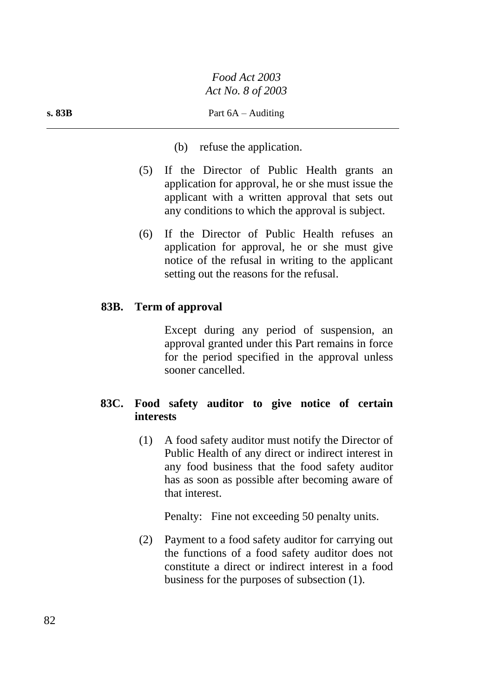- (b) refuse the application.
- (5) If the Director of Public Health grants an application for approval, he or she must issue the applicant with a written approval that sets out any conditions to which the approval is subject.
- (6) If the Director of Public Health refuses an application for approval, he or she must give notice of the refusal in writing to the applicant setting out the reasons for the refusal.

# **83B. Term of approval**

Except during any period of suspension, an approval granted under this Part remains in force for the period specified in the approval unless sooner cancelled.

# **83C. Food safety auditor to give notice of certain interests**

(1) A food safety auditor must notify the Director of Public Health of any direct or indirect interest in any food business that the food safety auditor has as soon as possible after becoming aware of that interest.

Penalty: Fine not exceeding 50 penalty units.

(2) Payment to a food safety auditor for carrying out the functions of a food safety auditor does not constitute a direct or indirect interest in a food business for the purposes of subsection (1).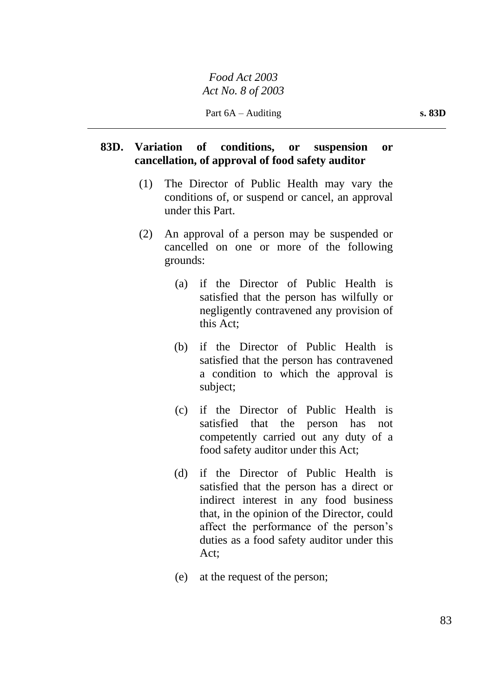# **83D. Variation of conditions, or suspension or cancellation, of approval of food safety auditor**

- (1) The Director of Public Health may vary the conditions of, or suspend or cancel, an approval under this Part.
- (2) An approval of a person may be suspended or cancelled on one or more of the following grounds:
	- (a) if the Director of Public Health is satisfied that the person has wilfully or negligently contravened any provision of this Act;
	- (b) if the Director of Public Health is satisfied that the person has contravened a condition to which the approval is subject;
	- (c) if the Director of Public Health is satisfied that the person has not competently carried out any duty of a food safety auditor under this Act;
	- (d) if the Director of Public Health is satisfied that the person has a direct or indirect interest in any food business that, in the opinion of the Director, could affect the performance of the person's duties as a food safety auditor under this Act;
	- (e) at the request of the person;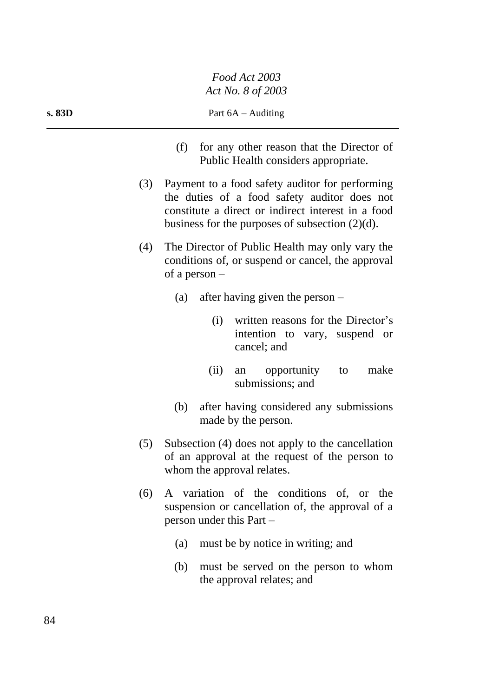- (f) for any other reason that the Director of Public Health considers appropriate.
- (3) Payment to a food safety auditor for performing the duties of a food safety auditor does not constitute a direct or indirect interest in a food business for the purposes of subsection (2)(d).
- (4) The Director of Public Health may only vary the conditions of, or suspend or cancel, the approval of a person –
	- (a) after having given the person
		- (i) written reasons for the Director's intention to vary, suspend or cancel; and
		- (ii) an opportunity to make submissions; and
	- (b) after having considered any submissions made by the person.
- (5) Subsection (4) does not apply to the cancellation of an approval at the request of the person to whom the approval relates.
- (6) A variation of the conditions of, or the suspension or cancellation of, the approval of a person under this Part –
	- (a) must be by notice in writing; and
	- (b) must be served on the person to whom the approval relates; and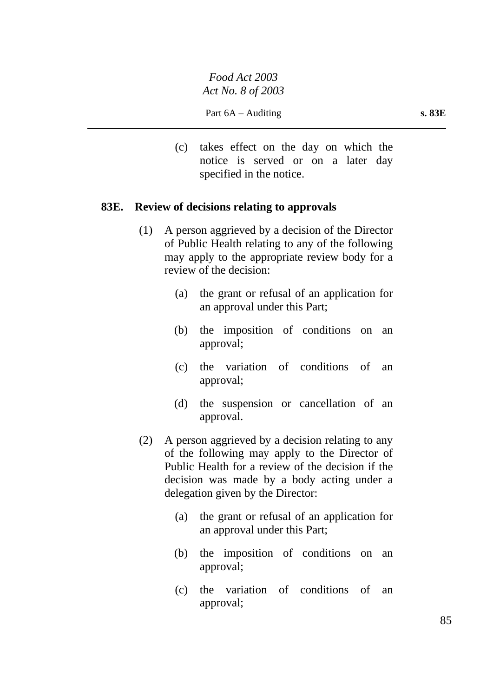(c) takes effect on the day on which the notice is served or on a later day specified in the notice.

## **83E. Review of decisions relating to approvals**

- (1) A person aggrieved by a decision of the Director of Public Health relating to any of the following may apply to the appropriate review body for a review of the decision:
	- (a) the grant or refusal of an application for an approval under this Part;
	- (b) the imposition of conditions on an approval;
	- (c) the variation of conditions of an approval;
	- (d) the suspension or cancellation of an approval.
- (2) A person aggrieved by a decision relating to any of the following may apply to the Director of Public Health for a review of the decision if the decision was made by a body acting under a delegation given by the Director:
	- (a) the grant or refusal of an application for an approval under this Part;
	- (b) the imposition of conditions on an approval;
	- (c) the variation of conditions of an approval;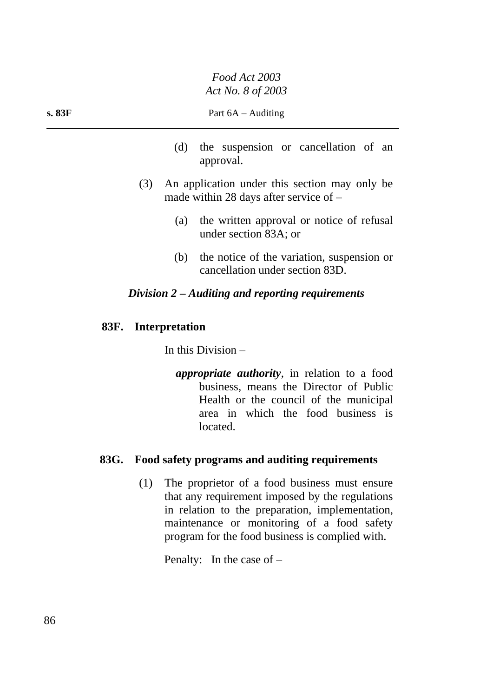- (d) the suspension or cancellation of an approval.
- (3) An application under this section may only be made within 28 days after service of –
	- (a) the written approval or notice of refusal under section 83A; or
	- (b) the notice of the variation, suspension or cancellation under section 83D.

# *Division 2 – Auditing and reporting requirements*

# **83F. Interpretation**

In this Division –

*appropriate authority*, in relation to a food business, means the Director of Public Health or the council of the municipal area in which the food business is located.

## **83G. Food safety programs and auditing requirements**

(1) The proprietor of a food business must ensure that any requirement imposed by the regulations in relation to the preparation, implementation, maintenance or monitoring of a food safety program for the food business is complied with.

Penalty: In the case of –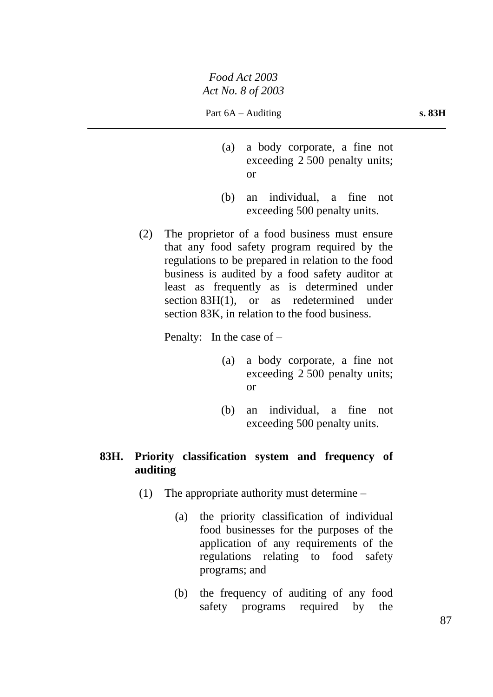- (a) a body corporate, a fine not exceeding 2 500 penalty units; or
- (b) an individual, a fine not exceeding 500 penalty units.
- (2) The proprietor of a food business must ensure that any food safety program required by the regulations to be prepared in relation to the food business is audited by a food safety auditor at least as frequently as is determined under section 83H(1), or as redetermined under section 83K, in relation to the food business.

Penalty: In the case of –

- (a) a body corporate, a fine not exceeding 2 500 penalty units; or
- (b) an individual, a fine not exceeding 500 penalty units.

# **83H. Priority classification system and frequency of auditing**

- (1) The appropriate authority must determine
	- (a) the priority classification of individual food businesses for the purposes of the application of any requirements of the regulations relating to food safety programs; and
	- (b) the frequency of auditing of any food safety programs required by the

87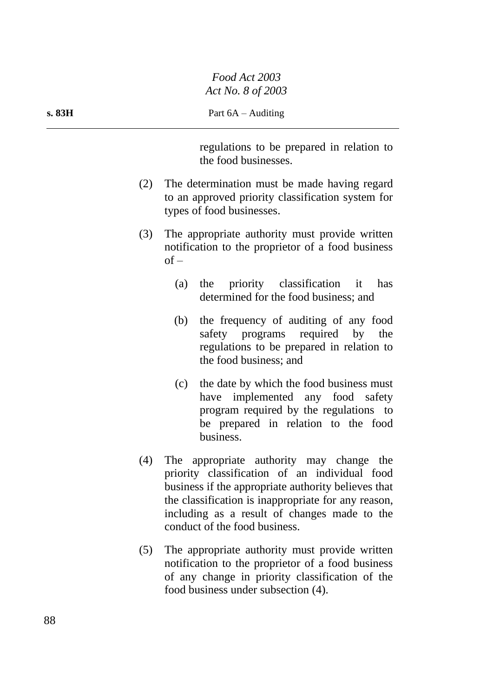regulations to be prepared in relation to the food businesses.

- (2) The determination must be made having regard to an approved priority classification system for types of food businesses.
- (3) The appropriate authority must provide written notification to the proprietor of a food business  $of -$ 
	- (a) the priority classification it has determined for the food business; and
	- (b) the frequency of auditing of any food safety programs required by the regulations to be prepared in relation to the food business; and
	- (c) the date by which the food business must have implemented any food safety program required by the regulations to be prepared in relation to the food business.
- (4) The appropriate authority may change the priority classification of an individual food business if the appropriate authority believes that the classification is inappropriate for any reason, including as a result of changes made to the conduct of the food business.
- (5) The appropriate authority must provide written notification to the proprietor of a food business of any change in priority classification of the food business under subsection (4).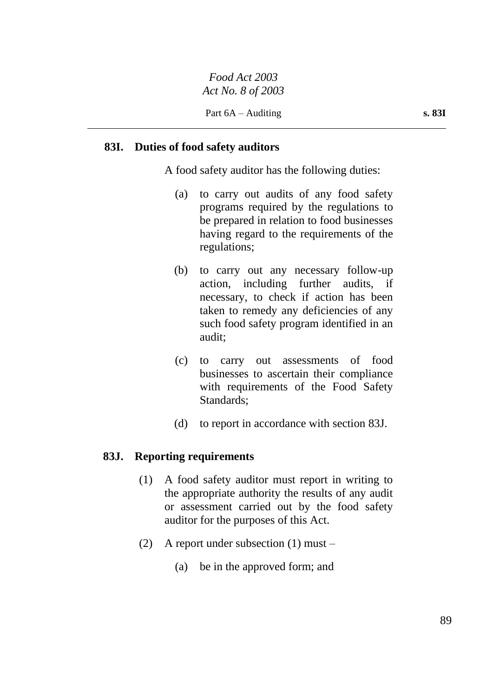# **83I. Duties of food safety auditors**

A food safety auditor has the following duties:

- (a) to carry out audits of any food safety programs required by the regulations to be prepared in relation to food businesses having regard to the requirements of the regulations;
- (b) to carry out any necessary follow-up action, including further audits, if necessary, to check if action has been taken to remedy any deficiencies of any such food safety program identified in an audit;
- (c) to carry out assessments of food businesses to ascertain their compliance with requirements of the Food Safety Standards;
- (d) to report in accordance with section 83J.

### **83J. Reporting requirements**

- (1) A food safety auditor must report in writing to the appropriate authority the results of any audit or assessment carried out by the food safety auditor for the purposes of this Act.
- (2) A report under subsection (1) must
	- (a) be in the approved form; and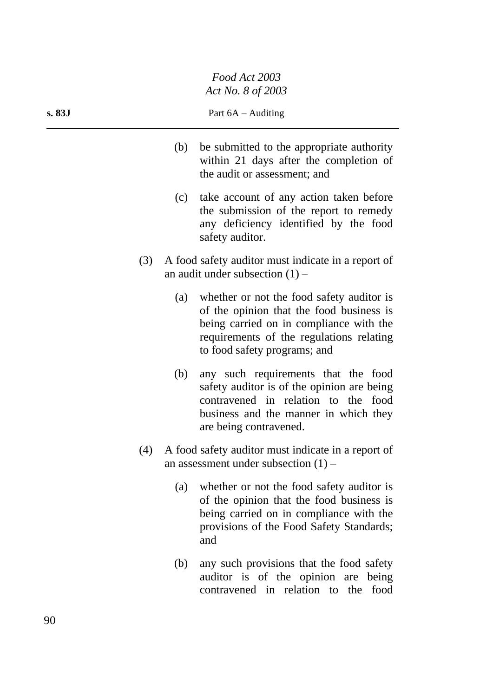- (b) be submitted to the appropriate authority within 21 days after the completion of the audit or assessment; and
- (c) take account of any action taken before the submission of the report to remedy any deficiency identified by the food safety auditor.
- (3) A food safety auditor must indicate in a report of an audit under subsection  $(1)$  –
	- (a) whether or not the food safety auditor is of the opinion that the food business is being carried on in compliance with the requirements of the regulations relating to food safety programs; and
	- (b) any such requirements that the food safety auditor is of the opinion are being contravened in relation to the food business and the manner in which they are being contravened.
- (4) A food safety auditor must indicate in a report of an assessment under subsection  $(1)$  –
	- (a) whether or not the food safety auditor is of the opinion that the food business is being carried on in compliance with the provisions of the Food Safety Standards; and
	- (b) any such provisions that the food safety auditor is of the opinion are being contravened in relation to the food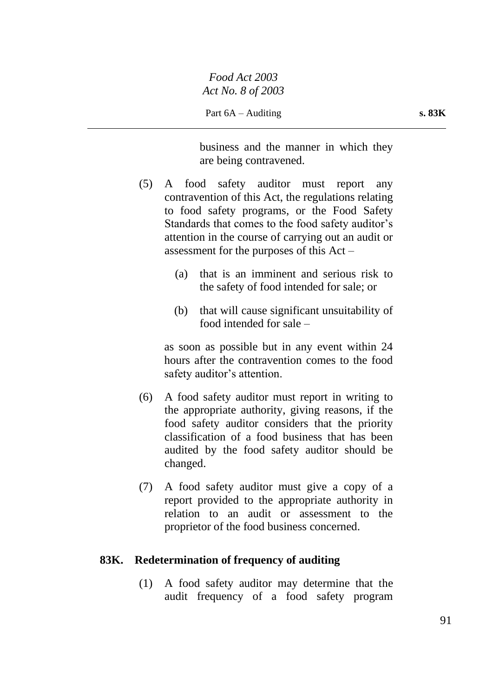business and the manner in which they are being contravened.

- (5) A food safety auditor must report any contravention of this Act, the regulations relating to food safety programs, or the Food Safety Standards that comes to the food safety auditor's attention in the course of carrying out an audit or assessment for the purposes of this Act –
	- (a) that is an imminent and serious risk to the safety of food intended for sale; or
	- (b) that will cause significant unsuitability of food intended for sale –

as soon as possible but in any event within 24 hours after the contravention comes to the food safety auditor's attention.

- (6) A food safety auditor must report in writing to the appropriate authority, giving reasons, if the food safety auditor considers that the priority classification of a food business that has been audited by the food safety auditor should be changed.
- (7) A food safety auditor must give a copy of a report provided to the appropriate authority in relation to an audit or assessment to the proprietor of the food business concerned.

## **83K. Redetermination of frequency of auditing**

(1) A food safety auditor may determine that the audit frequency of a food safety program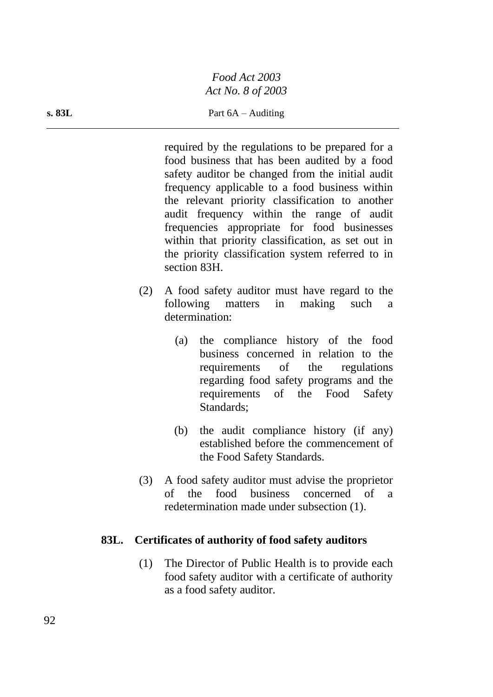required by the regulations to be prepared for a food business that has been audited by a food safety auditor be changed from the initial audit frequency applicable to a food business within the relevant priority classification to another audit frequency within the range of audit frequencies appropriate for food businesses within that priority classification, as set out in the priority classification system referred to in section 83H.

- (2) A food safety auditor must have regard to the following matters in making such a determination:
	- (a) the compliance history of the food business concerned in relation to the requirements of the regulations regarding food safety programs and the requirements of the Food Safety Standards;
	- (b) the audit compliance history (if any) established before the commencement of the Food Safety Standards.
- (3) A food safety auditor must advise the proprietor of the food business concerned of a redetermination made under subsection (1).

# **83L. Certificates of authority of food safety auditors**

(1) The Director of Public Health is to provide each food safety auditor with a certificate of authority as a food safety auditor.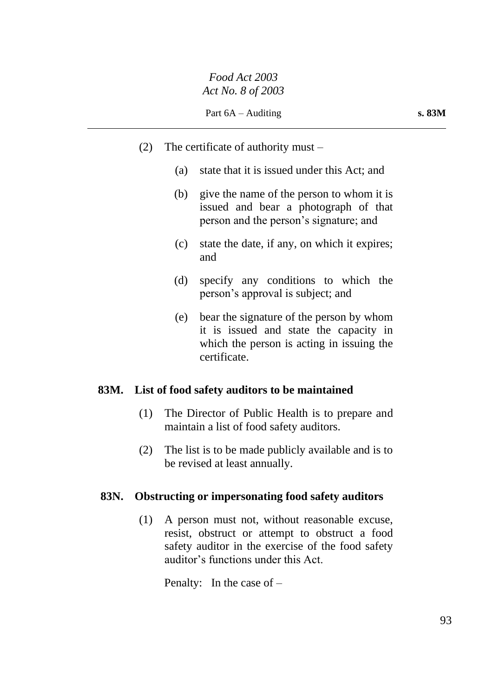- (2) The certificate of authority must
	- (a) state that it is issued under this Act; and
	- (b) give the name of the person to whom it is issued and bear a photograph of that person and the person's signature; and
	- (c) state the date, if any, on which it expires; and
	- (d) specify any conditions to which the person's approval is subject; and
	- (e) bear the signature of the person by whom it is issued and state the capacity in which the person is acting in issuing the certificate.

## **83M. List of food safety auditors to be maintained**

- (1) The Director of Public Health is to prepare and maintain a list of food safety auditors.
- (2) The list is to be made publicly available and is to be revised at least annually.

# **83N. Obstructing or impersonating food safety auditors**

(1) A person must not, without reasonable excuse, resist, obstruct or attempt to obstruct a food safety auditor in the exercise of the food safety auditor's functions under this Act.

Penalty: In the case of –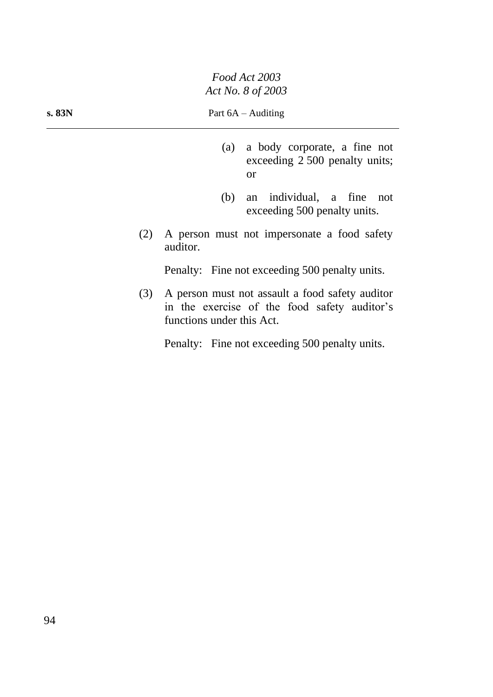- (a) a body corporate, a fine not exceeding 2 500 penalty units; or
- (b) an individual, a fine not exceeding 500 penalty units.
- (2) A person must not impersonate a food safety auditor.

Penalty: Fine not exceeding 500 penalty units.

(3) A person must not assault a food safety auditor in the exercise of the food safety auditor's functions under this Act.

Penalty: Fine not exceeding 500 penalty units.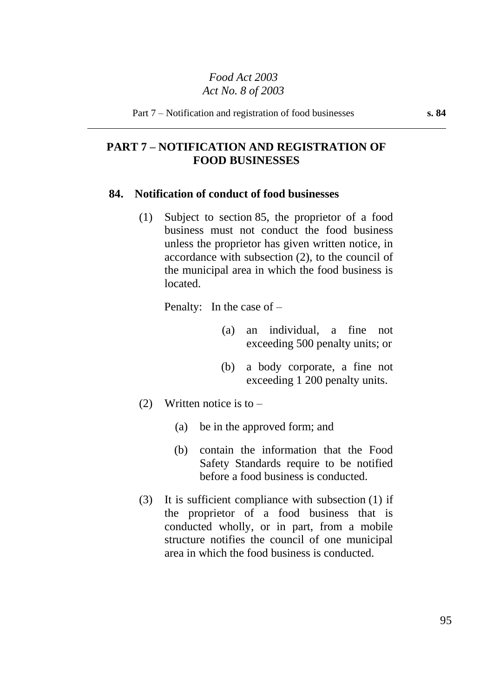# **PART 7 – NOTIFICATION AND REGISTRATION OF FOOD BUSINESSES**

#### **84. Notification of conduct of food businesses**

(1) Subject to section 85, the proprietor of a food business must not conduct the food business unless the proprietor has given written notice, in accordance with subsection (2), to the council of the municipal area in which the food business is located.

Penalty: In the case of –

- (a) an individual, a fine not exceeding 500 penalty units; or
- (b) a body corporate, a fine not exceeding 1 200 penalty units.
- (2) Written notice is to  $-$ 
	- (a) be in the approved form; and
	- (b) contain the information that the Food Safety Standards require to be notified before a food business is conducted.
- (3) It is sufficient compliance with subsection (1) if the proprietor of a food business that is conducted wholly, or in part, from a mobile structure notifies the council of one municipal area in which the food business is conducted.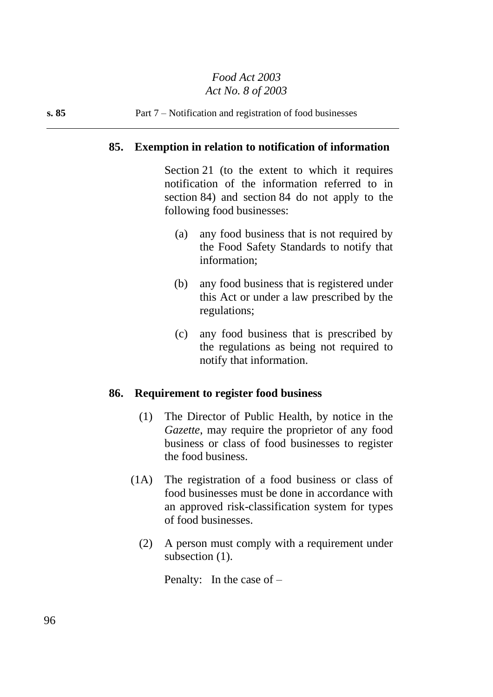## **85. Exemption in relation to notification of information**

Section 21 (to the extent to which it requires notification of the information referred to in section 84) and section 84 do not apply to the following food businesses:

- (a) any food business that is not required by the Food Safety Standards to notify that information;
- (b) any food business that is registered under this Act or under a law prescribed by the regulations;
- (c) any food business that is prescribed by the regulations as being not required to notify that information.

### **86. Requirement to register food business**

- (1) The Director of Public Health, by notice in the *Gazette*, may require the proprietor of any food business or class of food businesses to register the food business.
- (1A) The registration of a food business or class of food businesses must be done in accordance with an approved risk-classification system for types of food businesses.
	- (2) A person must comply with a requirement under subsection  $(1)$ .

Penalty: In the case of –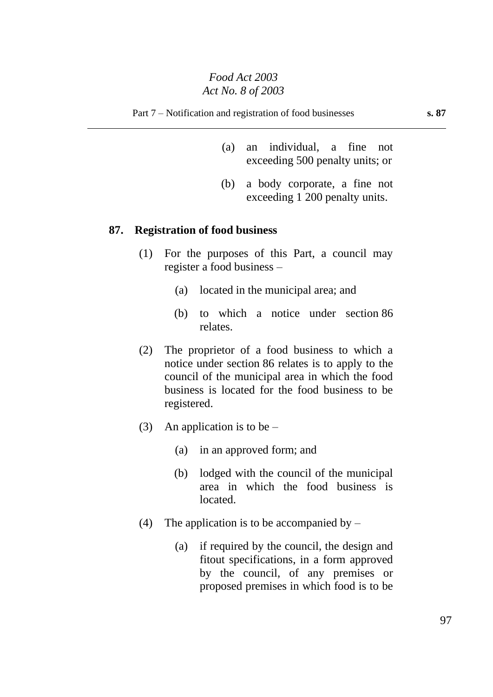- (a) an individual, a fine not exceeding 500 penalty units; or
- (b) a body corporate, a fine not exceeding 1 200 penalty units.

### **87. Registration of food business**

- (1) For the purposes of this Part, a council may register a food business –
	- (a) located in the municipal area; and
	- (b) to which a notice under section 86 relates.
- (2) The proprietor of a food business to which a notice under section 86 relates is to apply to the council of the municipal area in which the food business is located for the food business to be registered.
- (3) An application is to be  $-$ 
	- (a) in an approved form; and
	- (b) lodged with the council of the municipal area in which the food business is located.
- (4) The application is to be accompanied by  $-$ 
	- (a) if required by the council, the design and fitout specifications, in a form approved by the council, of any premises or proposed premises in which food is to be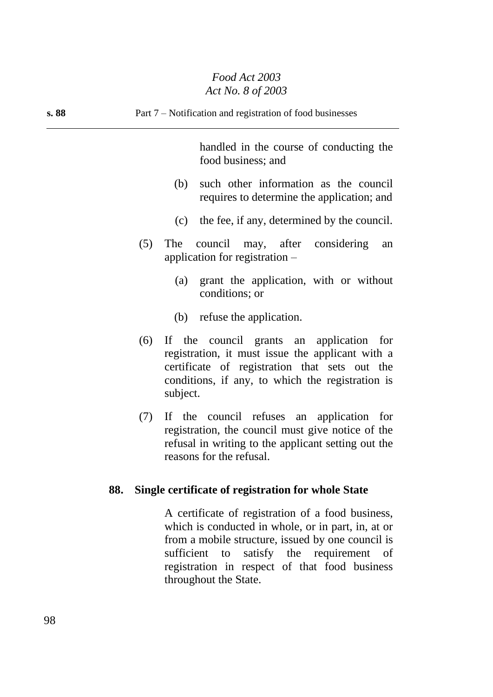handled in the course of conducting the food business; and

- (b) such other information as the council requires to determine the application; and
- (c) the fee, if any, determined by the council.
- (5) The council may, after considering an application for registration –
	- (a) grant the application, with or without conditions; or
	- (b) refuse the application.
- (6) If the council grants an application for registration, it must issue the applicant with a certificate of registration that sets out the conditions, if any, to which the registration is subject.
- (7) If the council refuses an application for registration, the council must give notice of the refusal in writing to the applicant setting out the reasons for the refusal.

### **88. Single certificate of registration for whole State**

A certificate of registration of a food business, which is conducted in whole, or in part, in, at or from a mobile structure, issued by one council is sufficient to satisfy the requirement of registration in respect of that food business throughout the State.

98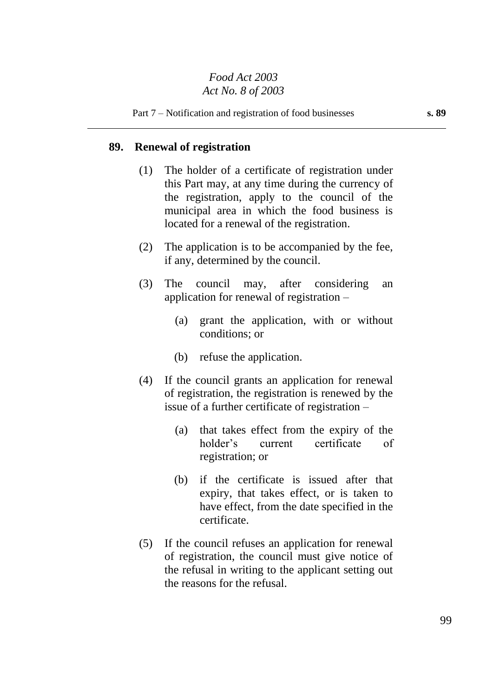## **89. Renewal of registration**

- (1) The holder of a certificate of registration under this Part may, at any time during the currency of the registration, apply to the council of the municipal area in which the food business is located for a renewal of the registration.
- (2) The application is to be accompanied by the fee, if any, determined by the council.
- (3) The council may, after considering an application for renewal of registration –
	- (a) grant the application, with or without conditions; or
	- (b) refuse the application.
- (4) If the council grants an application for renewal of registration, the registration is renewed by the issue of a further certificate of registration –
	- (a) that takes effect from the expiry of the holder's current certificate of registration; or
	- (b) if the certificate is issued after that expiry, that takes effect, or is taken to have effect, from the date specified in the certificate.
- (5) If the council refuses an application for renewal of registration, the council must give notice of the refusal in writing to the applicant setting out the reasons for the refusal.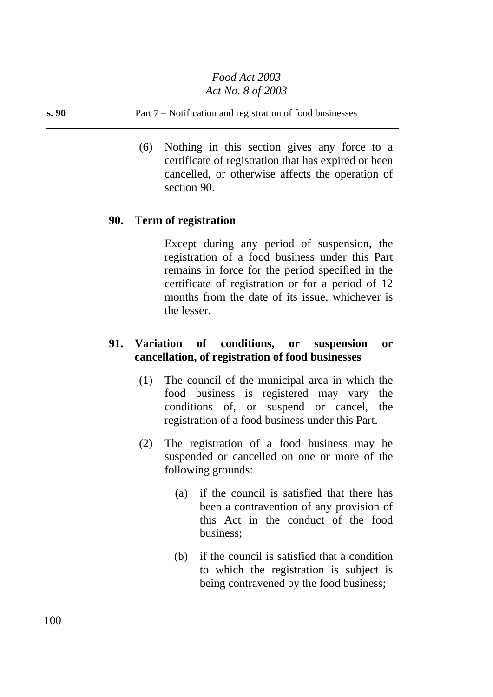#### **s. 90** Part 7 – Notification and registration of food businesses

(6) Nothing in this section gives any force to a certificate of registration that has expired or been cancelled, or otherwise affects the operation of section 90.

### **90. Term of registration**

Except during any period of suspension, the registration of a food business under this Part remains in force for the period specified in the certificate of registration or for a period of 12 months from the date of its issue, whichever is the lesser.

## **91. Variation of conditions, or suspension or cancellation, of registration of food businesses**

- (1) The council of the municipal area in which the food business is registered may vary the conditions of, or suspend or cancel, the registration of a food business under this Part.
- (2) The registration of a food business may be suspended or cancelled on one or more of the following grounds:
	- (a) if the council is satisfied that there has been a contravention of any provision of this Act in the conduct of the food business;
	- (b) if the council is satisfied that a condition to which the registration is subject is being contravened by the food business;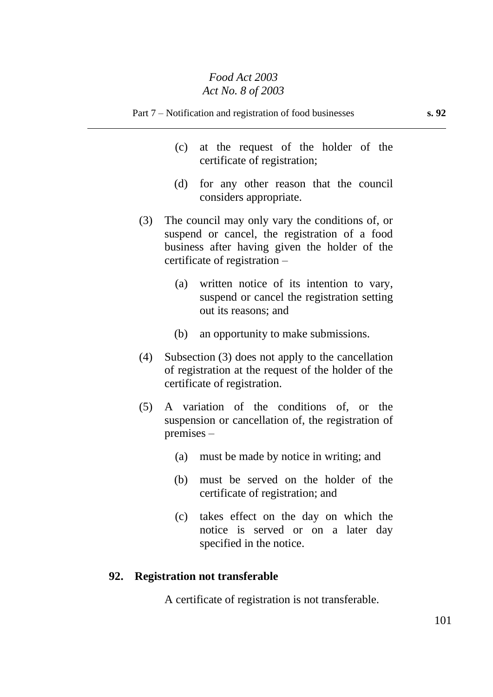- (c) at the request of the holder of the certificate of registration;
- (d) for any other reason that the council considers appropriate.
- (3) The council may only vary the conditions of, or suspend or cancel, the registration of a food business after having given the holder of the certificate of registration –
	- (a) written notice of its intention to vary, suspend or cancel the registration setting out its reasons; and
	- (b) an opportunity to make submissions.
- (4) Subsection (3) does not apply to the cancellation of registration at the request of the holder of the certificate of registration.
- (5) A variation of the conditions of, or the suspension or cancellation of, the registration of premises –
	- (a) must be made by notice in writing; and
	- (b) must be served on the holder of the certificate of registration; and
	- (c) takes effect on the day on which the notice is served or on a later day specified in the notice.

# **92. Registration not transferable**

A certificate of registration is not transferable.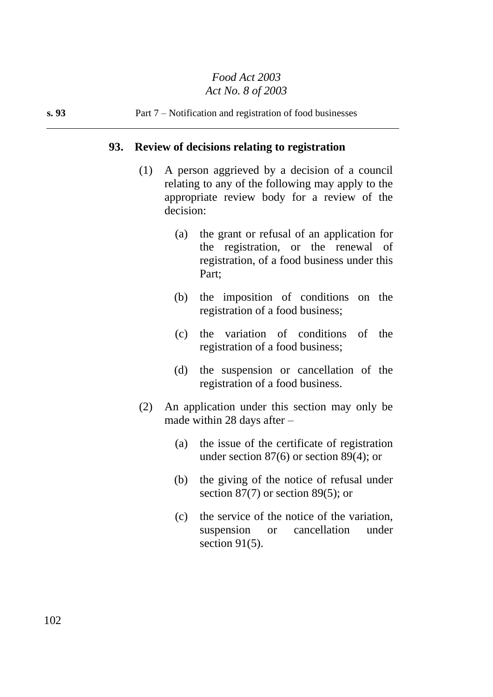## **93. Review of decisions relating to registration**

- (1) A person aggrieved by a decision of a council relating to any of the following may apply to the appropriate review body for a review of the decision:
	- (a) the grant or refusal of an application for the registration, or the renewal of registration, of a food business under this Part;
	- (b) the imposition of conditions on the registration of a food business;
	- (c) the variation of conditions of the registration of a food business;
	- (d) the suspension or cancellation of the registration of a food business.
- (2) An application under this section may only be made within 28 days after –
	- (a) the issue of the certificate of registration under section 87(6) or section 89(4); or
	- (b) the giving of the notice of refusal under section 87(7) or section 89(5); or
	- (c) the service of the notice of the variation, suspension or cancellation under section 91(5).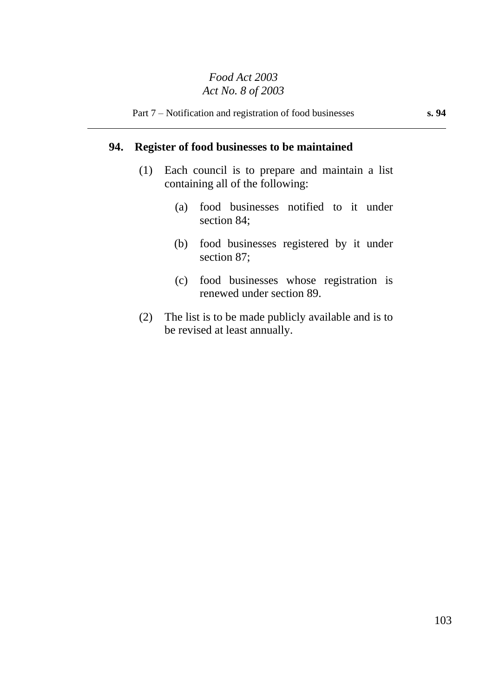## **94. Register of food businesses to be maintained**

- (1) Each council is to prepare and maintain a list containing all of the following:
	- (a) food businesses notified to it under section 84;
	- (b) food businesses registered by it under section 87;
	- (c) food businesses whose registration is renewed under section 89.
- (2) The list is to be made publicly available and is to be revised at least annually.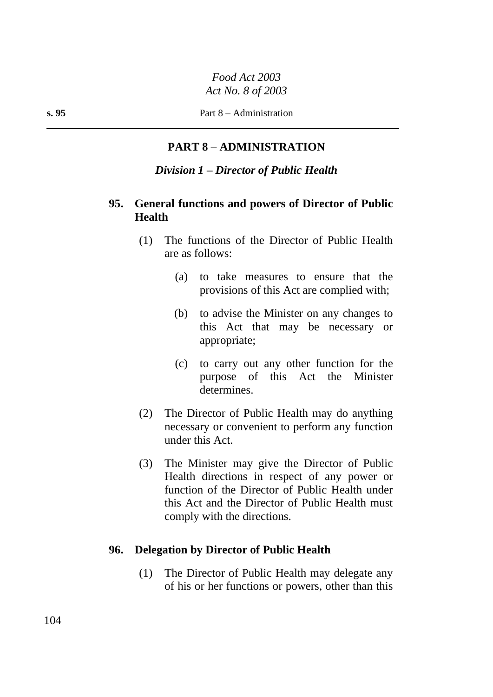# **PART 8 – ADMINISTRATION**

### *Division 1 – Director of Public Health*

## **95. General functions and powers of Director of Public Health**

- (1) The functions of the Director of Public Health are as follows:
	- (a) to take measures to ensure that the provisions of this Act are complied with;
	- (b) to advise the Minister on any changes to this Act that may be necessary or appropriate;
	- (c) to carry out any other function for the purpose of this Act the Minister determines.
- (2) The Director of Public Health may do anything necessary or convenient to perform any function under this Act.
- (3) The Minister may give the Director of Public Health directions in respect of any power or function of the Director of Public Health under this Act and the Director of Public Health must comply with the directions.

### **96. Delegation by Director of Public Health**

(1) The Director of Public Health may delegate any of his or her functions or powers, other than this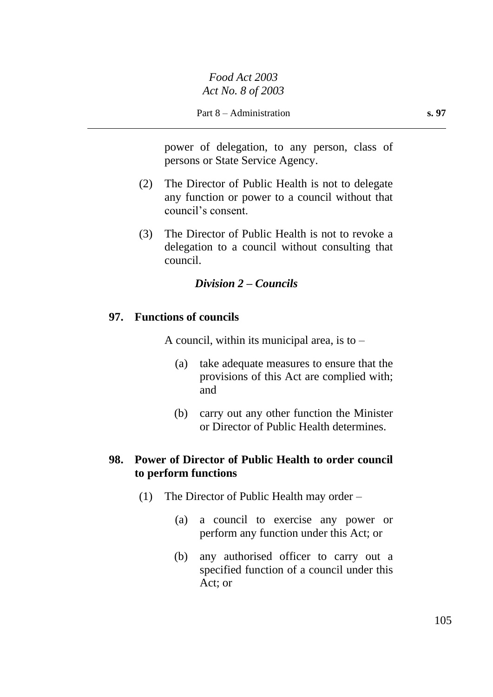power of delegation, to any person, class of persons or State Service Agency.

- (2) The Director of Public Health is not to delegate any function or power to a council without that council's consent.
- (3) The Director of Public Health is not to revoke a delegation to a council without consulting that council.

# *Division 2 – Councils*

## **97. Functions of councils**

A council, within its municipal area, is to  $-$ 

- (a) take adequate measures to ensure that the provisions of this Act are complied with; and
- (b) carry out any other function the Minister or Director of Public Health determines.

# **98. Power of Director of Public Health to order council to perform functions**

- (1) The Director of Public Health may order
	- (a) a council to exercise any power or perform any function under this Act; or
	- (b) any authorised officer to carry out a specified function of a council under this Act; or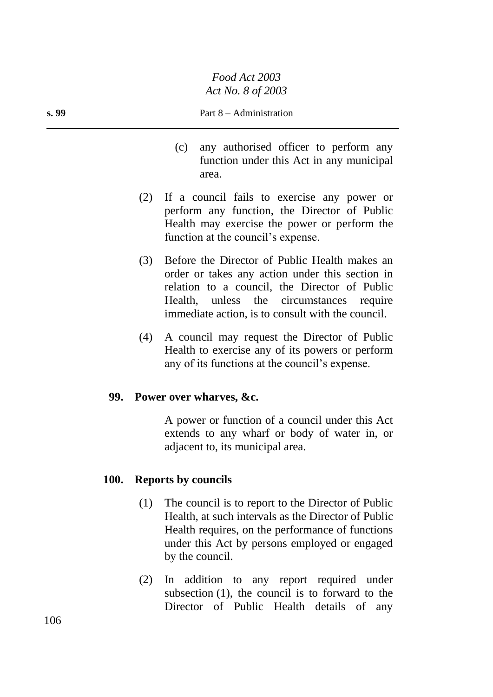### **s. 99** Part 8 – Administration

- (c) any authorised officer to perform any function under this Act in any municipal area.
- (2) If a council fails to exercise any power or perform any function, the Director of Public Health may exercise the power or perform the function at the council's expense.
- (3) Before the Director of Public Health makes an order or takes any action under this section in relation to a council, the Director of Public Health, unless the circumstances require immediate action, is to consult with the council.
- (4) A council may request the Director of Public Health to exercise any of its powers or perform any of its functions at the council's expense.

### **99. Power over wharves, &c.**

A power or function of a council under this Act extends to any wharf or body of water in, or adjacent to, its municipal area.

### **100. Reports by councils**

- (1) The council is to report to the Director of Public Health, at such intervals as the Director of Public Health requires, on the performance of functions under this Act by persons employed or engaged by the council.
- (2) In addition to any report required under subsection (1), the council is to forward to the Director of Public Health details of any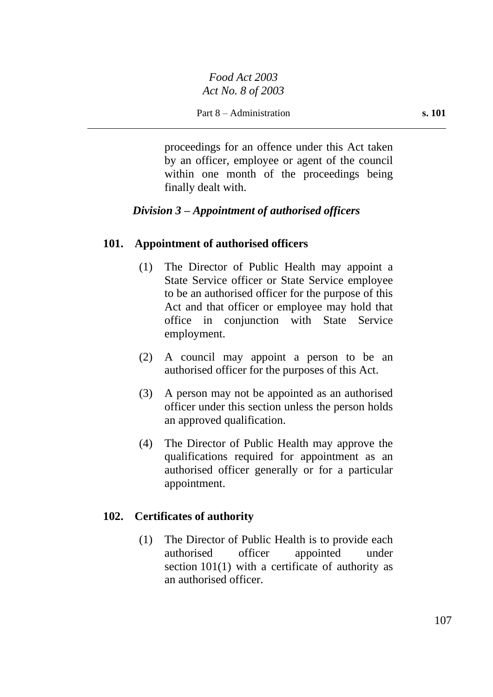proceedings for an offence under this Act taken by an officer, employee or agent of the council within one month of the proceedings being finally dealt with.

# *Division 3 – Appointment of authorised officers*

# **101. Appointment of authorised officers**

- (1) The Director of Public Health may appoint a State Service officer or State Service employee to be an authorised officer for the purpose of this Act and that officer or employee may hold that office in conjunction with State Service employment.
- (2) A council may appoint a person to be an authorised officer for the purposes of this Act.
- (3) A person may not be appointed as an authorised officer under this section unless the person holds an approved qualification.
- (4) The Director of Public Health may approve the qualifications required for appointment as an authorised officer generally or for a particular appointment.

## **102. Certificates of authority**

(1) The Director of Public Health is to provide each authorised officer appointed under section 101(1) with a certificate of authority as an authorised officer.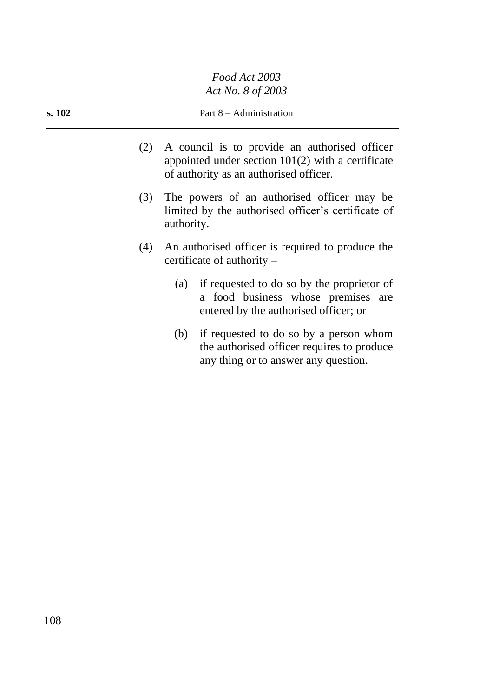### **s. 102** Part 8 – Administration

- (2) A council is to provide an authorised officer appointed under section 101(2) with a certificate of authority as an authorised officer.
- (3) The powers of an authorised officer may be limited by the authorised officer's certificate of authority.
- (4) An authorised officer is required to produce the certificate of authority –
	- (a) if requested to do so by the proprietor of a food business whose premises are entered by the authorised officer; or
	- (b) if requested to do so by a person whom the authorised officer requires to produce any thing or to answer any question.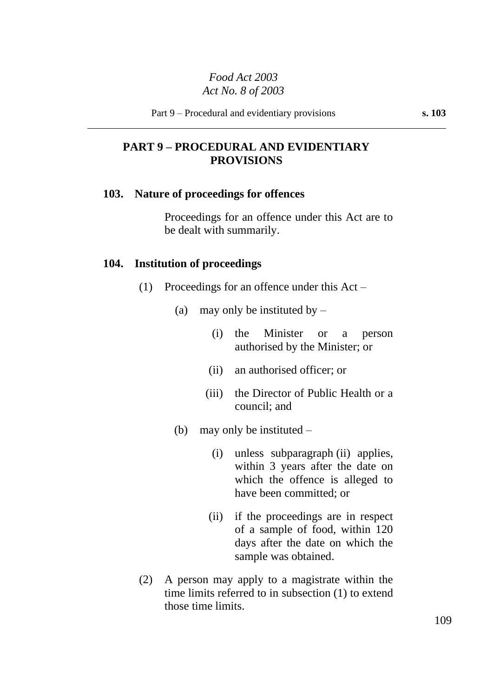## **PART 9 – PROCEDURAL AND EVIDENTIARY PROVISIONS**

#### **103. Nature of proceedings for offences**

Proceedings for an offence under this Act are to be dealt with summarily.

#### **104. Institution of proceedings**

- (1) Proceedings for an offence under this Act
	- (a) may only be instituted by  $-$ 
		- (i) the Minister or a person authorised by the Minister; or
		- (ii) an authorised officer; or
		- (iii) the Director of Public Health or a council; and
	- (b) may only be instituted
		- (i) unless subparagraph (ii) applies, within 3 years after the date on which the offence is alleged to have been committed; or
		- (ii) if the proceedings are in respect of a sample of food, within 120 days after the date on which the sample was obtained.
- (2) A person may apply to a magistrate within the time limits referred to in subsection (1) to extend those time limits.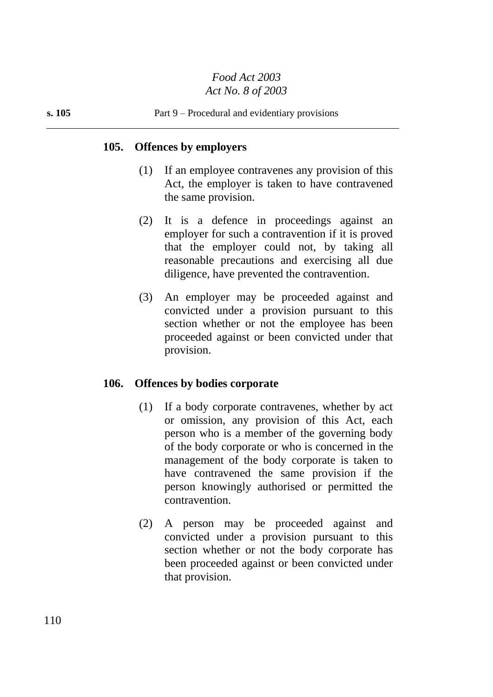### **105. Offences by employers**

- (1) If an employee contravenes any provision of this Act, the employer is taken to have contravened the same provision.
- (2) It is a defence in proceedings against an employer for such a contravention if it is proved that the employer could not, by taking all reasonable precautions and exercising all due diligence, have prevented the contravention.
- (3) An employer may be proceeded against and convicted under a provision pursuant to this section whether or not the employee has been proceeded against or been convicted under that provision.

### **106. Offences by bodies corporate**

- (1) If a body corporate contravenes, whether by act or omission, any provision of this Act, each person who is a member of the governing body of the body corporate or who is concerned in the management of the body corporate is taken to have contravened the same provision if the person knowingly authorised or permitted the contravention.
- (2) A person may be proceeded against and convicted under a provision pursuant to this section whether or not the body corporate has been proceeded against or been convicted under that provision.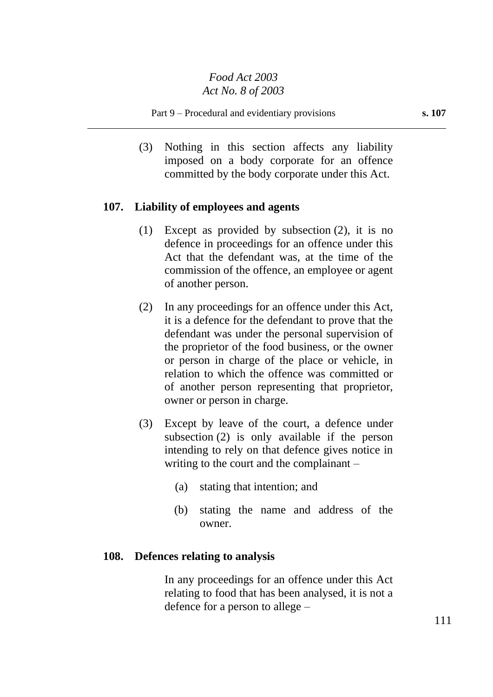Part 9 – Procedural and evidentiary provisions **s. 107**

(3) Nothing in this section affects any liability imposed on a body corporate for an offence committed by the body corporate under this Act.

## **107. Liability of employees and agents**

- (1) Except as provided by subsection (2), it is no defence in proceedings for an offence under this Act that the defendant was, at the time of the commission of the offence, an employee or agent of another person.
- (2) In any proceedings for an offence under this Act, it is a defence for the defendant to prove that the defendant was under the personal supervision of the proprietor of the food business, or the owner or person in charge of the place or vehicle, in relation to which the offence was committed or of another person representing that proprietor, owner or person in charge.
- (3) Except by leave of the court, a defence under subsection (2) is only available if the person intending to rely on that defence gives notice in writing to the court and the complainant –
	- (a) stating that intention; and
	- (b) stating the name and address of the owner.

### **108. Defences relating to analysis**

In any proceedings for an offence under this Act relating to food that has been analysed, it is not a defence for a person to allege –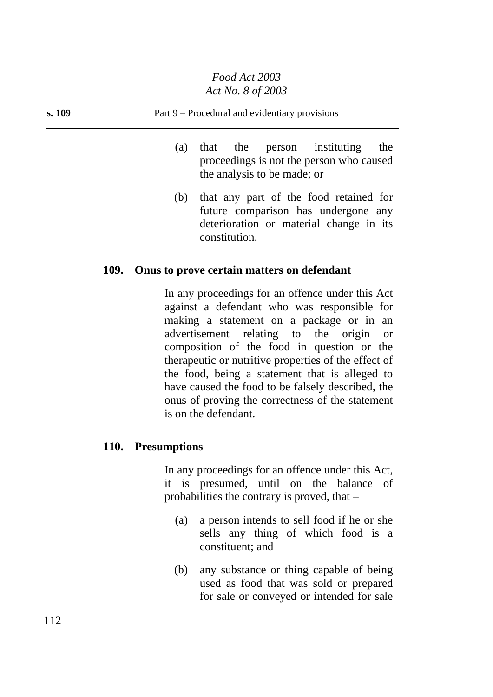- (a) that the person instituting the proceedings is not the person who caused the analysis to be made; or
- (b) that any part of the food retained for future comparison has undergone any deterioration or material change in its constitution.

### **109. Onus to prove certain matters on defendant**

In any proceedings for an offence under this Act against a defendant who was responsible for making a statement on a package or in an advertisement relating to the origin or composition of the food in question or the therapeutic or nutritive properties of the effect of the food, being a statement that is alleged to have caused the food to be falsely described, the onus of proving the correctness of the statement is on the defendant.

### **110. Presumptions**

In any proceedings for an offence under this Act, it is presumed, until on the balance of probabilities the contrary is proved, that –

- (a) a person intends to sell food if he or she sells any thing of which food is a constituent; and
- (b) any substance or thing capable of being used as food that was sold or prepared for sale or conveyed or intended for sale

112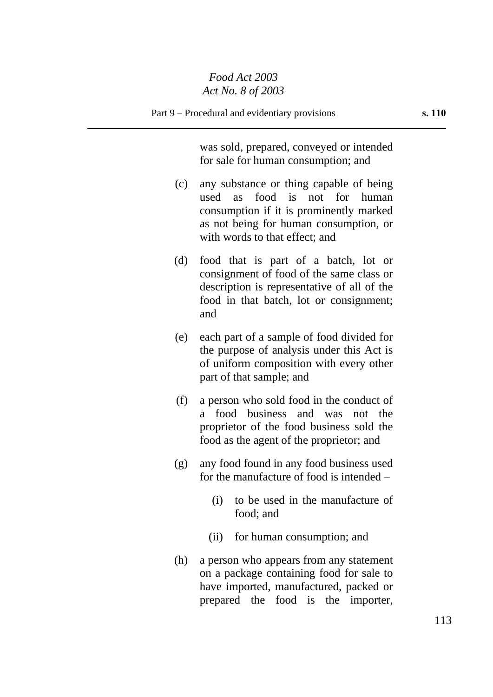was sold, prepared, conveyed or intended for sale for human consumption; and

- (c) any substance or thing capable of being used as food is not for human consumption if it is prominently marked as not being for human consumption, or with words to that effect; and
- (d) food that is part of a batch, lot or consignment of food of the same class or description is representative of all of the food in that batch, lot or consignment; and
- (e) each part of a sample of food divided for the purpose of analysis under this Act is of uniform composition with every other part of that sample; and
- (f) a person who sold food in the conduct of a food business and was not the proprietor of the food business sold the food as the agent of the proprietor; and
- (g) any food found in any food business used for the manufacture of food is intended –
	- (i) to be used in the manufacture of food; and
	- (ii) for human consumption; and
- (h) a person who appears from any statement on a package containing food for sale to have imported, manufactured, packed or prepared the food is the importer,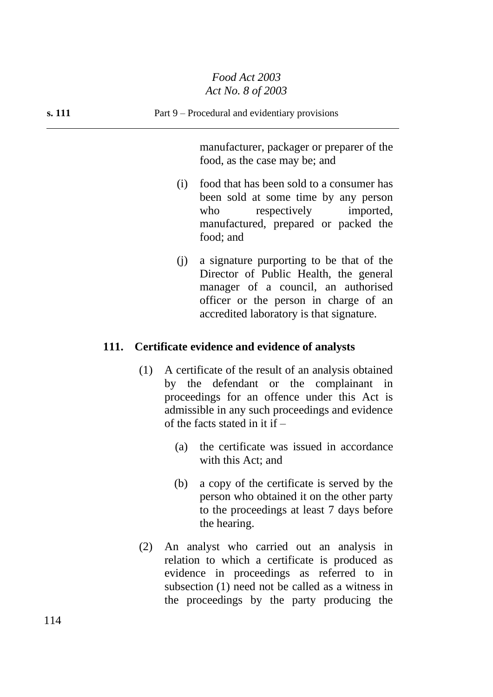### **s. 111** Part 9 – Procedural and evidentiary provisions

manufacturer, packager or preparer of the food, as the case may be; and

- (i) food that has been sold to a consumer has been sold at some time by any person who respectively imported, manufactured, prepared or packed the food; and
- (j) a signature purporting to be that of the Director of Public Health, the general manager of a council, an authorised officer or the person in charge of an accredited laboratory is that signature.

### **111. Certificate evidence and evidence of analysts**

- (1) A certificate of the result of an analysis obtained by the defendant or the complainant in proceedings for an offence under this Act is admissible in any such proceedings and evidence of the facts stated in it if  $-$ 
	- (a) the certificate was issued in accordance with this Act; and
	- (b) a copy of the certificate is served by the person who obtained it on the other party to the proceedings at least 7 days before the hearing.
- (2) An analyst who carried out an analysis in relation to which a certificate is produced as evidence in proceedings as referred to in subsection (1) need not be called as a witness in the proceedings by the party producing the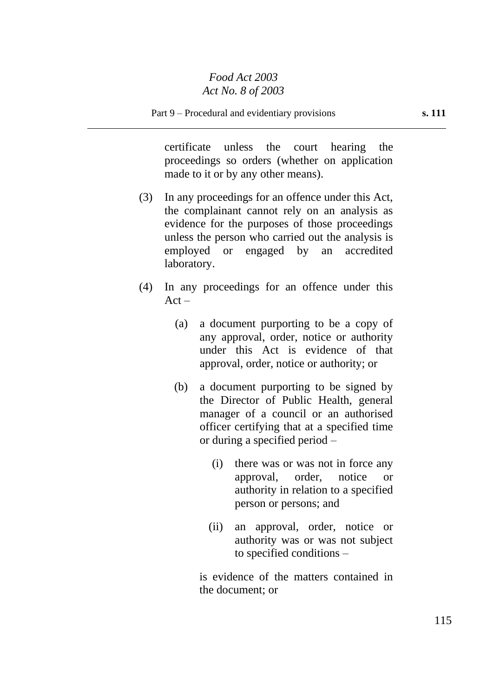certificate unless the court hearing the proceedings so orders (whether on application made to it or by any other means).

- (3) In any proceedings for an offence under this Act, the complainant cannot rely on an analysis as evidence for the purposes of those proceedings unless the person who carried out the analysis is employed or engaged by an accredited laboratory.
- (4) In any proceedings for an offence under this  $Act -$ 
	- (a) a document purporting to be a copy of any approval, order, notice or authority under this Act is evidence of that approval, order, notice or authority; or
	- (b) a document purporting to be signed by the Director of Public Health, general manager of a council or an authorised officer certifying that at a specified time or during a specified period –
		- (i) there was or was not in force any approval, order, notice or authority in relation to a specified person or persons; and
		- (ii) an approval, order, notice or authority was or was not subject to specified conditions –

is evidence of the matters contained in the document; or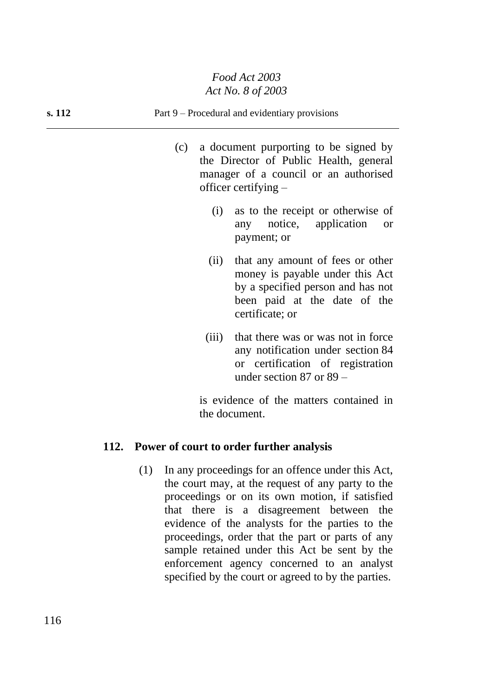### **s. 112** Part 9 – Procedural and evidentiary provisions

- (c) a document purporting to be signed by the Director of Public Health, general manager of a council or an authorised officer certifying –
	- (i) as to the receipt or otherwise of any notice, application or payment; or
	- (ii) that any amount of fees or other money is payable under this Act by a specified person and has not been paid at the date of the certificate; or
	- (iii) that there was or was not in force any notification under section 84 or certification of registration under section 87 or 89 –

is evidence of the matters contained in the document.

### **112. Power of court to order further analysis**

(1) In any proceedings for an offence under this Act, the court may, at the request of any party to the proceedings or on its own motion, if satisfied that there is a disagreement between the evidence of the analysts for the parties to the proceedings, order that the part or parts of any sample retained under this Act be sent by the enforcement agency concerned to an analyst specified by the court or agreed to by the parties.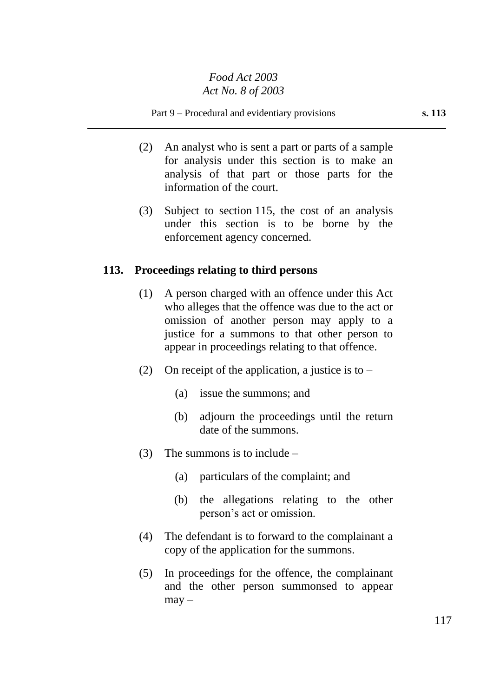Part 9 – Procedural and evidentiary provisions **s. 113** 

- (2) An analyst who is sent a part or parts of a sample for analysis under this section is to make an analysis of that part or those parts for the information of the court.
- (3) Subject to section 115, the cost of an analysis under this section is to be borne by the enforcement agency concerned.

### **113. Proceedings relating to third persons**

- (1) A person charged with an offence under this Act who alleges that the offence was due to the act or omission of another person may apply to a justice for a summons to that other person to appear in proceedings relating to that offence.
- (2) On receipt of the application, a justice is to
	- (a) issue the summons; and
	- (b) adjourn the proceedings until the return date of the summons.
- (3) The summons is to include
	- (a) particulars of the complaint; and
	- (b) the allegations relating to the other person's act or omission.
- (4) The defendant is to forward to the complainant a copy of the application for the summons.
- (5) In proceedings for the offence, the complainant and the other person summonsed to appear  $may -$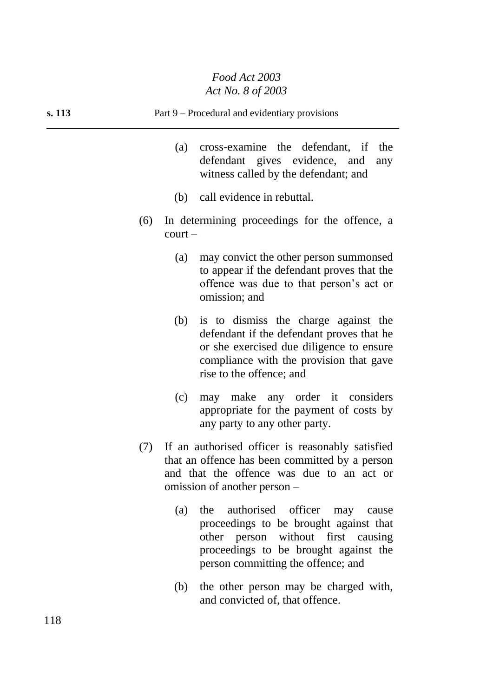| s. 113 | Part 9 – Procedural and evidentiary provisions                                                                                                                                                              |
|--------|-------------------------------------------------------------------------------------------------------------------------------------------------------------------------------------------------------------|
|        | cross-examine the defendant, if<br>(a)<br>the<br>defendant gives evidence, and<br>any<br>witness called by the defendant; and                                                                               |
|        | call evidence in rebuttal.<br>(b)                                                                                                                                                                           |
|        | In determining proceedings for the offence, a<br>(6)<br>$court -$                                                                                                                                           |
|        | may convict the other person summonsed<br>(a)<br>to appear if the defendant proves that the<br>offence was due to that person's act or<br>omission; and                                                     |
|        | is to dismiss the charge against the<br>(b)<br>defendant if the defendant proves that he<br>or she exercised due diligence to ensure<br>compliance with the provision that gave<br>rise to the offence; and |
|        | may make any order it considers<br>(c)<br>appropriate for the payment of costs by<br>any party to any other party.                                                                                          |
|        | If an authorised officer is reasonably satisfied<br>(7)<br>that an offence has been committed by a person<br>and that the offence was due to an act or<br>omission of another person –                      |
|        | authorised officer<br>(a)<br>the<br>may<br>cause                                                                                                                                                            |

- proceedings to be brought against that other person without first causing proceedings to be brought against the person committing the offence; and
- (b) the other person may be charged with, and convicted of, that offence.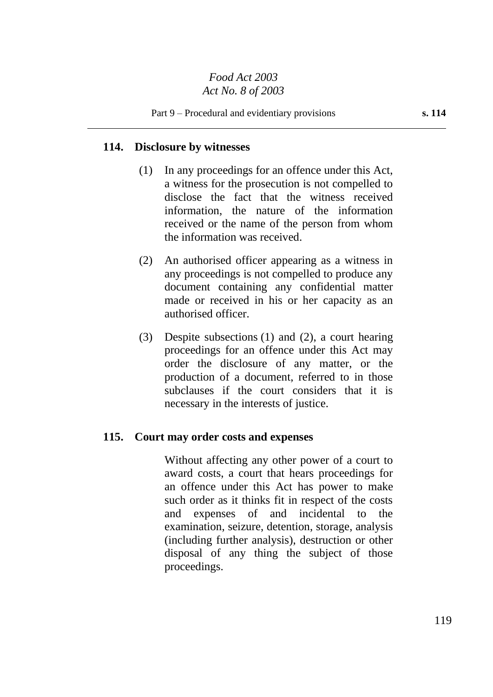## **114. Disclosure by witnesses**

- (1) In any proceedings for an offence under this Act, a witness for the prosecution is not compelled to disclose the fact that the witness received information, the nature of the information received or the name of the person from whom the information was received.
- (2) An authorised officer appearing as a witness in any proceedings is not compelled to produce any document containing any confidential matter made or received in his or her capacity as an authorised officer.
- (3) Despite subsections (1) and (2), a court hearing proceedings for an offence under this Act may order the disclosure of any matter, or the production of a document, referred to in those subclauses if the court considers that it is necessary in the interests of justice.

### **115. Court may order costs and expenses**

Without affecting any other power of a court to award costs, a court that hears proceedings for an offence under this Act has power to make such order as it thinks fit in respect of the costs and expenses of and incidental to the examination, seizure, detention, storage, analysis (including further analysis), destruction or other disposal of any thing the subject of those proceedings.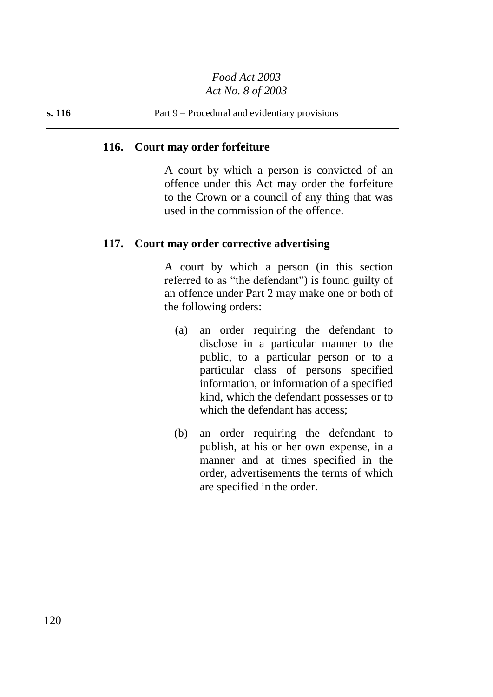### **116. Court may order forfeiture**

A court by which a person is convicted of an offence under this Act may order the forfeiture to the Crown or a council of any thing that was used in the commission of the offence.

### **117. Court may order corrective advertising**

A court by which a person (in this section referred to as "the defendant") is found guilty of an offence under Part 2 may make one or both of the following orders:

- (a) an order requiring the defendant to disclose in a particular manner to the public, to a particular person or to a particular class of persons specified information, or information of a specified kind, which the defendant possesses or to which the defendant has access;
- (b) an order requiring the defendant to publish, at his or her own expense, in a manner and at times specified in the order, advertisements the terms of which are specified in the order.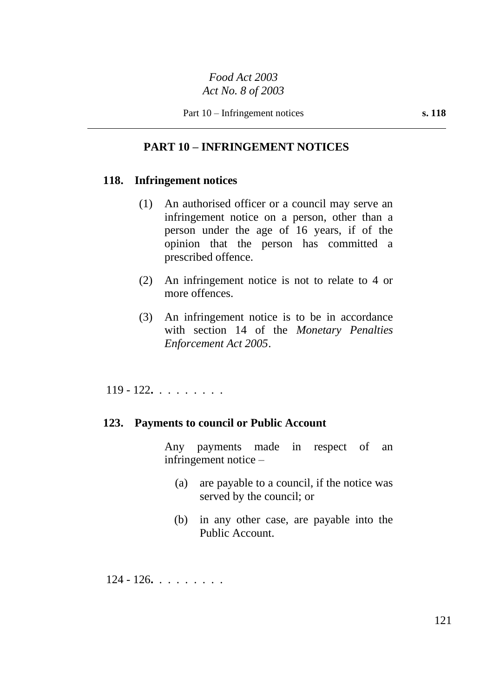# **PART 10 – INFRINGEMENT NOTICES**

### **118. Infringement notices**

- (1) An authorised officer or a council may serve an infringement notice on a person, other than a person under the age of 16 years, if of the opinion that the person has committed a prescribed offence.
- (2) An infringement notice is not to relate to 4 or more offences.
- (3) An infringement notice is to be in accordance with section 14 of the *Monetary Penalties Enforcement Act 2005*.

119 - 122**.** . . . . . . . .

### **123. Payments to council or Public Account**

Any payments made in respect of an infringement notice –

- (a) are payable to a council, if the notice was served by the council; or
- (b) in any other case, are payable into the Public Account.

124 - 126**.** . . . . . . . .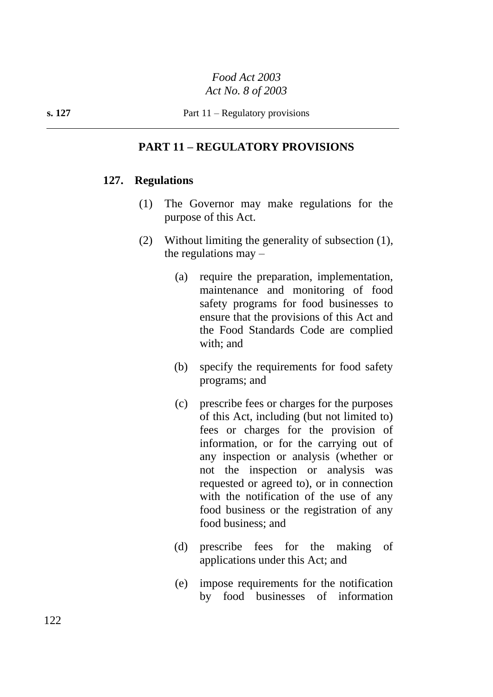## **PART 11 – REGULATORY PROVISIONS**

### **127. Regulations**

- (1) The Governor may make regulations for the purpose of this Act.
- (2) Without limiting the generality of subsection (1), the regulations  $may -$ 
	- (a) require the preparation, implementation, maintenance and monitoring of food safety programs for food businesses to ensure that the provisions of this Act and the Food Standards Code are complied with; and
	- (b) specify the requirements for food safety programs; and
	- (c) prescribe fees or charges for the purposes of this Act, including (but not limited to) fees or charges for the provision of information, or for the carrying out of any inspection or analysis (whether or not the inspection or analysis was requested or agreed to), or in connection with the notification of the use of any food business or the registration of any food business; and
	- (d) prescribe fees for the making of applications under this Act; and
	- (e) impose requirements for the notification by food businesses of information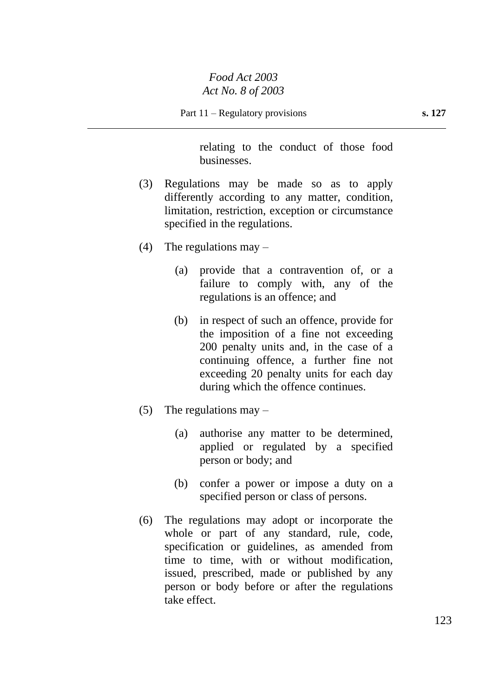relating to the conduct of those food businesses.

- (3) Regulations may be made so as to apply differently according to any matter, condition, limitation, restriction, exception or circumstance specified in the regulations.
- (4) The regulations may  $-$ 
	- (a) provide that a contravention of, or a failure to comply with, any of the regulations is an offence; and
	- (b) in respect of such an offence, provide for the imposition of a fine not exceeding 200 penalty units and, in the case of a continuing offence, a further fine not exceeding 20 penalty units for each day during which the offence continues.
- (5) The regulations may  $-$ 
	- (a) authorise any matter to be determined, applied or regulated by a specified person or body; and
	- (b) confer a power or impose a duty on a specified person or class of persons.
- (6) The regulations may adopt or incorporate the whole or part of any standard, rule, code, specification or guidelines, as amended from time to time, with or without modification, issued, prescribed, made or published by any person or body before or after the regulations take effect.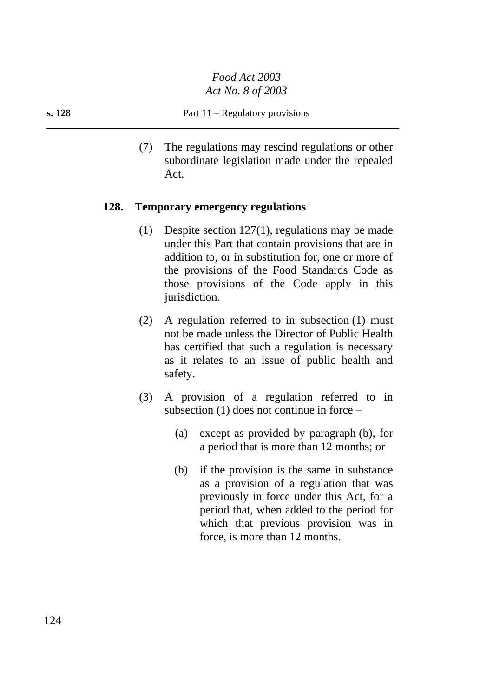(7) The regulations may rescind regulations or other subordinate legislation made under the repealed Act.

### **128. Temporary emergency regulations**

- (1) Despite section 127(1), regulations may be made under this Part that contain provisions that are in addition to, or in substitution for, one or more of the provisions of the Food Standards Code as those provisions of the Code apply in this jurisdiction.
- (2) A regulation referred to in subsection (1) must not be made unless the Director of Public Health has certified that such a regulation is necessary as it relates to an issue of public health and safety.
- (3) A provision of a regulation referred to in subsection (1) does not continue in force –
	- (a) except as provided by paragraph (b), for a period that is more than 12 months; or
	- (b) if the provision is the same in substance as a provision of a regulation that was previously in force under this Act, for a period that, when added to the period for which that previous provision was in force, is more than 12 months.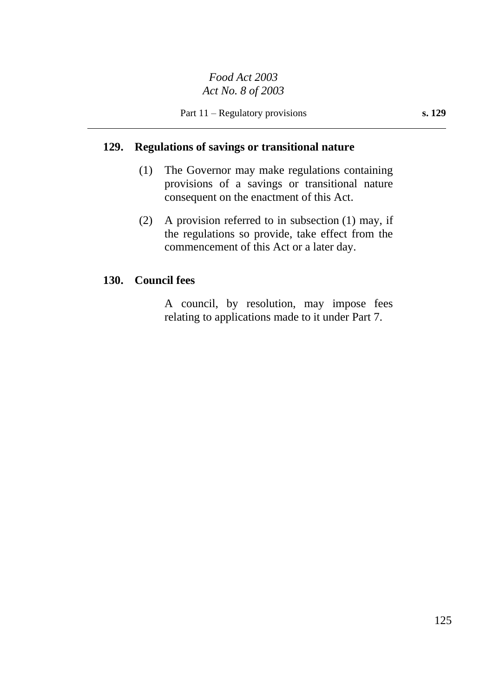## **129. Regulations of savings or transitional nature**

- (1) The Governor may make regulations containing provisions of a savings or transitional nature consequent on the enactment of this Act.
- (2) A provision referred to in subsection (1) may, if the regulations so provide, take effect from the commencement of this Act or a later day.

### **130. Council fees**

A council, by resolution, may impose fees relating to applications made to it under Part 7.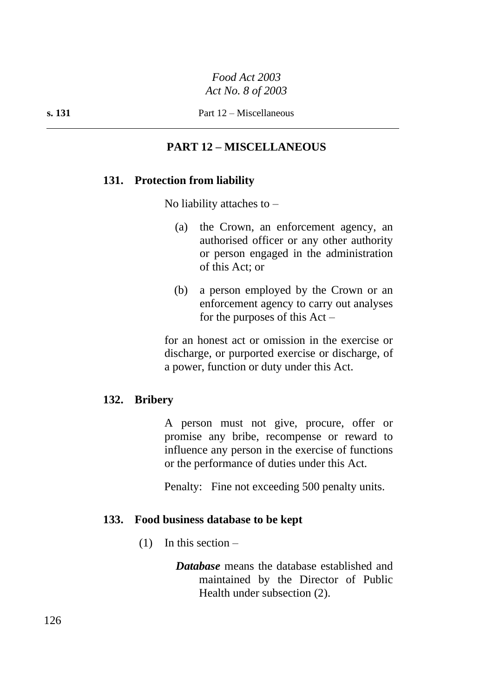# **PART 12 – MISCELLANEOUS**

## **131. Protection from liability**

No liability attaches to  $-$ 

- (a) the Crown, an enforcement agency, an authorised officer or any other authority or person engaged in the administration of this Act; or
- (b) a person employed by the Crown or an enforcement agency to carry out analyses for the purposes of this  $Act -$

for an honest act or omission in the exercise or discharge, or purported exercise or discharge, of a power, function or duty under this Act.

### **132. Bribery**

A person must not give, procure, offer or promise any bribe, recompense or reward to influence any person in the exercise of functions or the performance of duties under this Act.

Penalty: Fine not exceeding 500 penalty units.

### **133. Food business database to be kept**

 $(1)$  In this section –

*Database* means the database established and maintained by the Director of Public Health under subsection (2).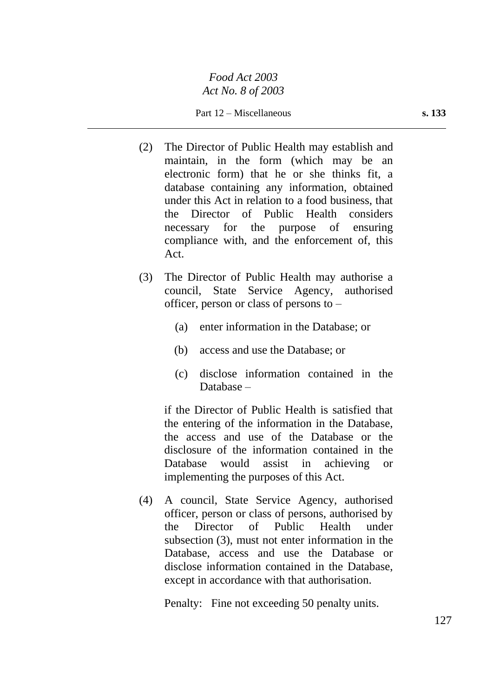Part 12 – Miscellaneous **s. 133**

- (2) The Director of Public Health may establish and maintain, in the form (which may be an electronic form) that he or she thinks fit, a database containing any information, obtained under this Act in relation to a food business, that the Director of Public Health considers necessary for the purpose of ensuring compliance with, and the enforcement of, this Act.
- (3) The Director of Public Health may authorise a council, State Service Agency, authorised officer, person or class of persons to –
	- (a) enter information in the Database; or
	- (b) access and use the Database; or
	- (c) disclose information contained in the Database –

if the Director of Public Health is satisfied that the entering of the information in the Database, the access and use of the Database or the disclosure of the information contained in the Database would assist in achieving or implementing the purposes of this Act.

(4) A council, State Service Agency, authorised officer, person or class of persons, authorised by the Director of Public Health under subsection (3), must not enter information in the Database, access and use the Database or disclose information contained in the Database, except in accordance with that authorisation.

Penalty: Fine not exceeding 50 penalty units.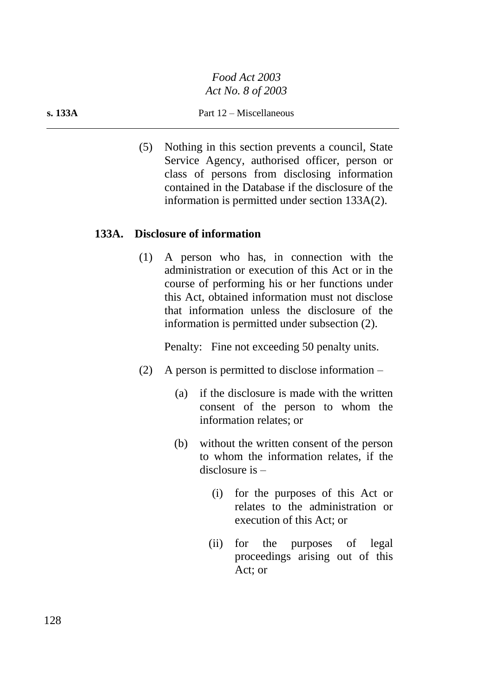#### **s. 133A** Part 12 – Miscellaneous

(5) Nothing in this section prevents a council, State Service Agency, authorised officer, person or class of persons from disclosing information contained in the Database if the disclosure of the information is permitted under section 133A(2).

### **133A. Disclosure of information**

(1) A person who has, in connection with the administration or execution of this Act or in the course of performing his or her functions under this Act, obtained information must not disclose that information unless the disclosure of the information is permitted under subsection (2).

Penalty: Fine not exceeding 50 penalty units.

- (2) A person is permitted to disclose information
	- (a) if the disclosure is made with the written consent of the person to whom the information relates; or
	- (b) without the written consent of the person to whom the information relates, if the disclosure is –
		- (i) for the purposes of this Act or relates to the administration or execution of this Act; or
		- (ii) for the purposes of legal proceedings arising out of this Act; or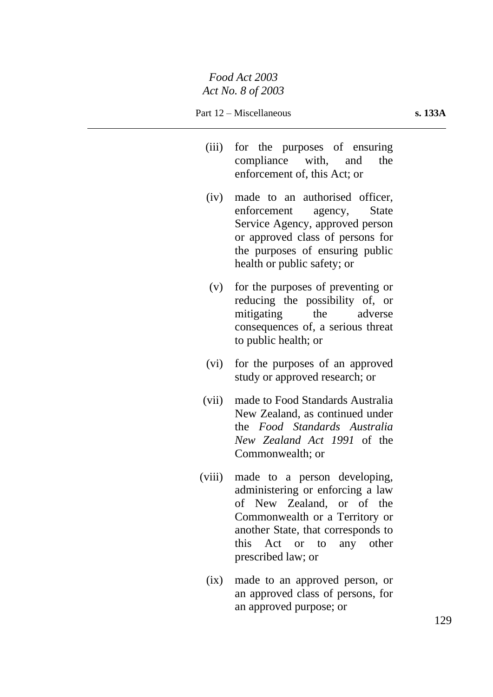- (iii) for the purposes of ensuring compliance with, and the enforcement of, this Act; or
- (iv) made to an authorised officer, enforcement agency, State Service Agency, approved person or approved class of persons for the purposes of ensuring public health or public safety; or
- (v) for the purposes of preventing or reducing the possibility of, or mitigating the adverse consequences of, a serious threat to public health; or
- (vi) for the purposes of an approved study or approved research; or
- (vii) made to Food Standards Australia New Zealand, as continued under the *Food Standards Australia New Zealand Act 1991* of the Commonwealth; or
- (viii) made to a person developing, administering or enforcing a law of New Zealand, or of the Commonwealth or a Territory or another State, that corresponds to this Act or to any other prescribed law; or
	- (ix) made to an approved person, or an approved class of persons, for an approved purpose; or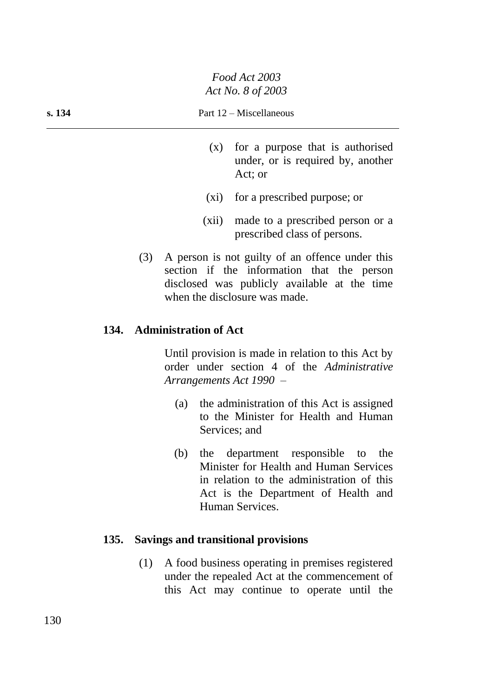- (x) for a purpose that is authorised under, or is required by, another Act; or
- (xi) for a prescribed purpose; or
- (xii) made to a prescribed person or a prescribed class of persons.
- (3) A person is not guilty of an offence under this section if the information that the person disclosed was publicly available at the time when the disclosure was made.

## **134. Administration of Act**

Until provision is made in relation to this Act by order under section 4 of the *Administrative Arrangements Act 1990* –

- (a) the administration of this Act is assigned to the Minister for Health and Human Services; and
- (b) the department responsible to the Minister for Health and Human Services in relation to the administration of this Act is the Department of Health and Human Services.

### **135. Savings and transitional provisions**

(1) A food business operating in premises registered under the repealed Act at the commencement of this Act may continue to operate until the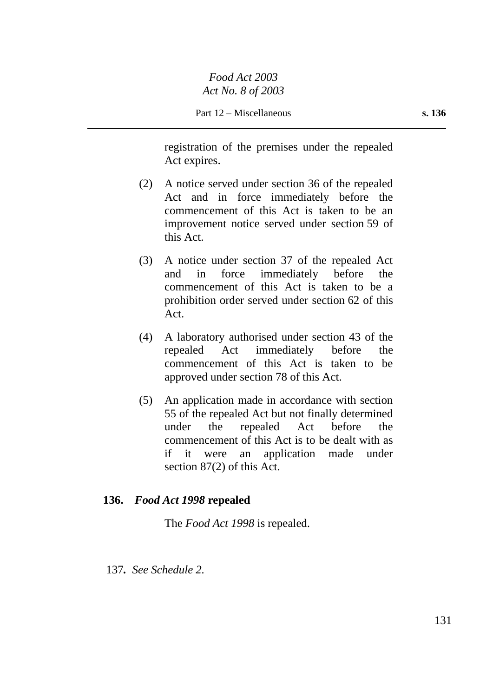registration of the premises under the repealed Act expires.

- (2) A notice served under section 36 of the repealed Act and in force immediately before the commencement of this Act is taken to be an improvement notice served under section 59 of this Act.
- (3) A notice under section 37 of the repealed Act and in force immediately before the commencement of this Act is taken to be a prohibition order served under section 62 of this Act.
- (4) A laboratory authorised under section 43 of the repealed Act immediately before the commencement of this Act is taken to be approved under section 78 of this Act.
- (5) An application made in accordance with section 55 of the repealed Act but not finally determined under the repealed Act before the commencement of this Act is to be dealt with as if it were an application made under section 87(2) of this Act.

## **136.** *Food Act 1998* **repealed**

The *Food Act 1998* is repealed.

137*. See Schedule 2.*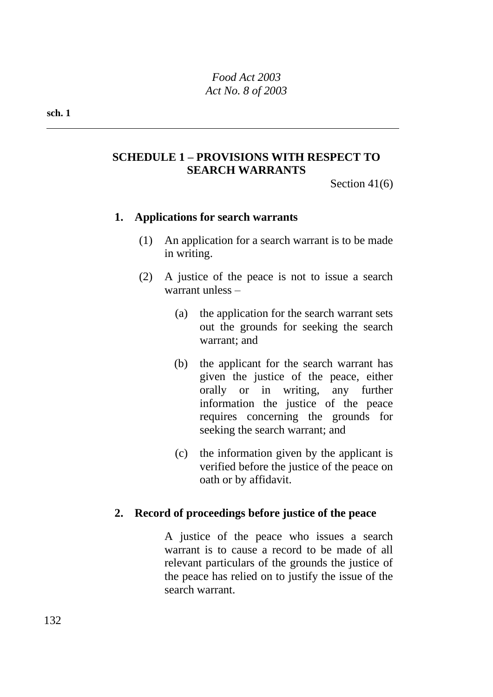# **SCHEDULE 1 – PROVISIONS WITH RESPECT TO SEARCH WARRANTS**

Section 41(6)

## **1. Applications for search warrants**

- (1) An application for a search warrant is to be made in writing.
- (2) A justice of the peace is not to issue a search warrant unless –
	- (a) the application for the search warrant sets out the grounds for seeking the search warrant; and
	- (b) the applicant for the search warrant has given the justice of the peace, either orally or in writing, any further information the justice of the peace requires concerning the grounds for seeking the search warrant; and
	- (c) the information given by the applicant is verified before the justice of the peace on oath or by affidavit.

### **2. Record of proceedings before justice of the peace**

A justice of the peace who issues a search warrant is to cause a record to be made of all relevant particulars of the grounds the justice of the peace has relied on to justify the issue of the search warrant.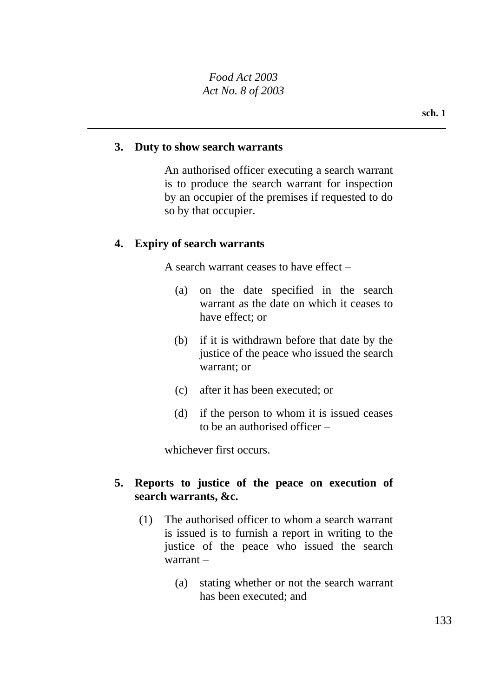#### **3. Duty to show search warrants**

An authorised officer executing a search warrant is to produce the search warrant for inspection by an occupier of the premises if requested to do so by that occupier.

### **4. Expiry of search warrants**

A search warrant ceases to have effect –

- (a) on the date specified in the search warrant as the date on which it ceases to have effect; or
- (b) if it is withdrawn before that date by the justice of the peace who issued the search warrant; or
- (c) after it has been executed; or
- (d) if the person to whom it is issued ceases to be an authorised officer –

whichever first occurs.

### **5. Reports to justice of the peace on execution of search warrants, &c.**

- (1) The authorised officer to whom a search warrant is issued is to furnish a report in writing to the justice of the peace who issued the search warrant –
	- (a) stating whether or not the search warrant has been executed; and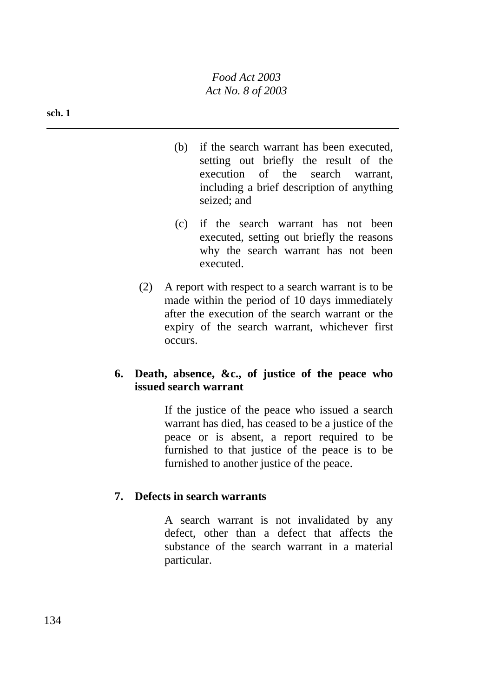#### **sch. 1**

- (b) if the search warrant has been executed, setting out briefly the result of the execution of the search warrant, including a brief description of anything seized; and
- (c) if the search warrant has not been executed, setting out briefly the reasons why the search warrant has not been executed.
- (2) A report with respect to a search warrant is to be made within the period of 10 days immediately after the execution of the search warrant or the expiry of the search warrant, whichever first occurs.

## **6. Death, absence, &c., of justice of the peace who issued search warrant**

If the justice of the peace who issued a search warrant has died, has ceased to be a justice of the peace or is absent, a report required to be furnished to that justice of the peace is to be furnished to another justice of the peace.

### **7. Defects in search warrants**

A search warrant is not invalidated by any defect, other than a defect that affects the substance of the search warrant in a material particular.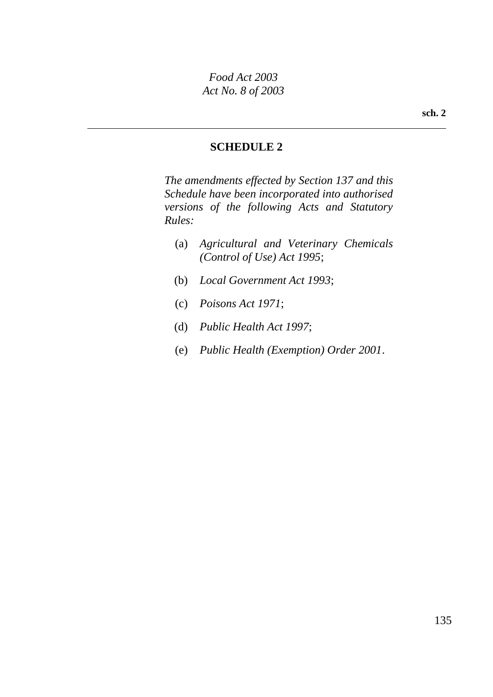# **SCHEDULE 2**

*The amendments effected by Section 137 and this Schedule have been incorporated into authorised versions of the following Acts and Statutory Rules:*

- (a) *Agricultural and Veterinary Chemicals (Control of Use) Act 1995*;
- (b) *Local Government Act 1993*;
- (c) *Poisons Act 1971*;
- (d) *Public Health Act 1997*;
- (e) *Public Health (Exemption) Order 2001*.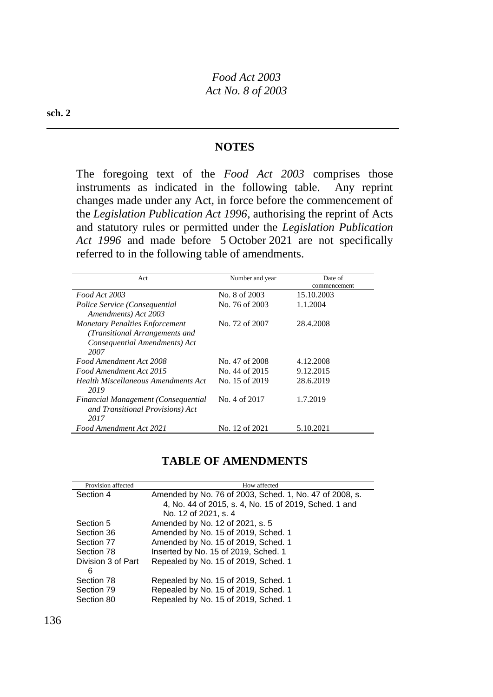#### **sch. 2**

#### **NOTES**

The foregoing text of the *Food Act 2003* comprises those instruments as indicated in the following table. Any reprint changes made under any Act, in force before the commencement of the *Legislation Publication Act 1996*, authorising the reprint of Acts and statutory rules or permitted under the *Legislation Publication Act 1996* and made before 5 October 2021 are not specifically referred to in the following table of amendments.

| Act                                   | Number and year | Date of      |
|---------------------------------------|-----------------|--------------|
|                                       |                 | commencement |
| Food Act 2003                         | No. 8 of 2003   | 15.10.2003   |
| Police Service (Consequential         | No. 76 of 2003  | 1.1.2004     |
| Amendments) Act 2003                  |                 |              |
| <b>Monetary Penalties Enforcement</b> | No. 72 of 2007  | 28.4.2008    |
| (Transitional Arrangements and        |                 |              |
| Consequential Amendments) Act         |                 |              |
| 2007                                  |                 |              |
| Food Amendment Act 2008               | No. 47 of 2008  | 4.12.2008    |
| Food Amendment Act 2015               | No. 44 of 2015  | 9.12.2015    |
| Health Miscellaneous Amendments Act   | No. 15 of 2019  | 28.6.2019    |
| 2019                                  |                 |              |
| Financial Management (Consequential   | No. 4 of 2017   | 1.7.2019     |
| and Transitional Provisions) Act      |                 |              |
| 2017                                  |                 |              |
| Food Amendment Act 2021               | No. 12 of 2021  | 5.10.2021    |

## **TABLE OF AMENDMENTS**

| Provision affected | How affected                                            |
|--------------------|---------------------------------------------------------|
| Section 4          | Amended by No. 76 of 2003, Sched. 1, No. 47 of 2008, s. |
|                    | 4, No. 44 of 2015, s. 4, No. 15 of 2019, Sched. 1 and   |
|                    | No. 12 of 2021, s. 4                                    |
| Section 5          | Amended by No. 12 of 2021, s. 5                         |
| Section 36         | Amended by No. 15 of 2019, Sched. 1                     |
| Section 77         | Amended by No. 15 of 2019, Sched. 1                     |
| Section 78         | Inserted by No. 15 of 2019, Sched. 1                    |
| Division 3 of Part | Repealed by No. 15 of 2019, Sched. 1                    |
| 6                  |                                                         |
| Section 78         | Repealed by No. 15 of 2019, Sched. 1                    |
| Section 79         | Repealed by No. 15 of 2019, Sched. 1                    |
| Section 80         | Repealed by No. 15 of 2019, Sched. 1                    |